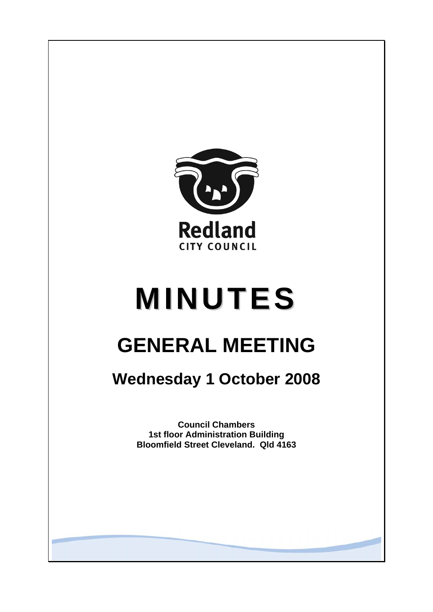

# **MINUTES**

# **GENERAL MEETING**

## **Wednesday 1 October 2008**

**Council Chambers 1st floor Administration Building Bloomfield Street Cleveland. Qld 4163**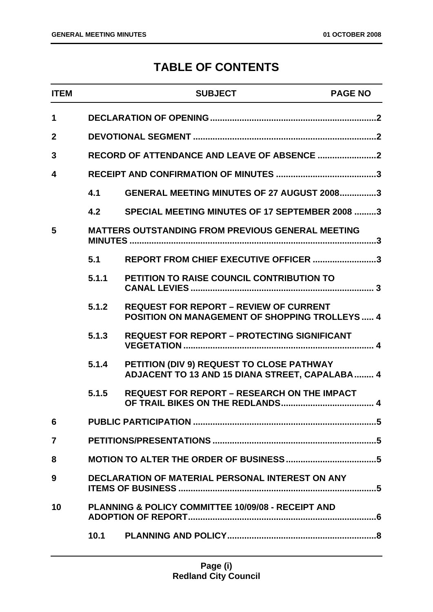### **TABLE OF CONTENTS**

| <b>ITEM</b>  |       | <b>SUBJECT</b>                                                                                         | <b>PAGE NO</b> |
|--------------|-------|--------------------------------------------------------------------------------------------------------|----------------|
| $\mathbf 1$  |       |                                                                                                        |                |
| $\mathbf{2}$ |       |                                                                                                        |                |
| 3            |       | RECORD OF ATTENDANCE AND LEAVE OF ABSENCE 2                                                            |                |
| 4            |       |                                                                                                        |                |
|              | 4.1   | <b>GENERAL MEETING MINUTES OF 27 AUGUST 20083</b>                                                      |                |
|              | 4.2   | SPECIAL MEETING MINUTES OF 17 SEPTEMBER 2008 3                                                         |                |
| 5            |       | <b>MATTERS OUTSTANDING FROM PREVIOUS GENERAL MEETING</b>                                               |                |
|              | 5.1   | REPORT FROM CHIEF EXECUTIVE OFFICER 3                                                                  |                |
|              | 5.1.1 | <b>PETITION TO RAISE COUNCIL CONTRIBUTION TO</b>                                                       |                |
|              | 5.1.2 | <b>REQUEST FOR REPORT - REVIEW OF CURRENT</b><br><b>POSITION ON MANAGEMENT OF SHOPPING TROLLEYS  4</b> |                |
|              | 5.1.3 | <b>REQUEST FOR REPORT - PROTECTING SIGNIFICANT</b>                                                     |                |
|              | 5.1.4 | PETITION (DIV 9) REQUEST TO CLOSE PATHWAY<br>ADJACENT TO 13 AND 15 DIANA STREET, CAPALABA  4           |                |
|              | 5.1.5 | <b>REQUEST FOR REPORT - RESEARCH ON THE IMPACT</b>                                                     |                |
| 6            |       |                                                                                                        |                |
| 7            |       |                                                                                                        |                |
| 8            |       |                                                                                                        |                |
| 9            |       | DECLARATION OF MATERIAL PERSONAL INTEREST ON ANY                                                       |                |
| 10           |       | PLANNING & POLICY COMMITTEE 10/09/08 - RECEIPT AND                                                     |                |
|              | 10.1  |                                                                                                        |                |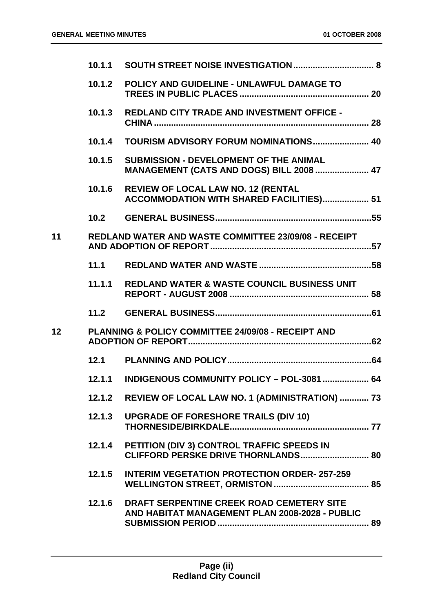|    | 10.1.2 | POLICY AND GUIDELINE - UNLAWFUL DAMAGE TO                                                        |  |
|----|--------|--------------------------------------------------------------------------------------------------|--|
|    | 10.1.3 | <b>REDLAND CITY TRADE AND INVESTMENT OFFICE -</b>                                                |  |
|    |        | 10.1.4 TOURISM ADVISORY FORUM NOMINATIONS 40                                                     |  |
|    | 10.1.5 | <b>SUBMISSION - DEVELOPMENT OF THE ANIMAL</b><br><b>MANAGEMENT (CATS AND DOGS) BILL 2008  47</b> |  |
|    | 10.1.6 | <b>REVIEW OF LOCAL LAW NO. 12 (RENTAL</b><br>ACCOMMODATION WITH SHARED FACILITIES) 51            |  |
|    | 10.2   |                                                                                                  |  |
| 11 |        | REDLAND WATER AND WASTE COMMITTEE 23/09/08 - RECEIPT                                             |  |
|    | 11.1   |                                                                                                  |  |
|    | 11.1.1 | <b>REDLAND WATER &amp; WASTE COUNCIL BUSINESS UNIT</b>                                           |  |
|    | 11.2   |                                                                                                  |  |
| 12 |        | <b>PLANNING &amp; POLICY COMMITTEE 24/09/08 - RECEIPT AND</b>                                    |  |
|    | 12.1   |                                                                                                  |  |
|    | 12.1.1 | INDIGENOUS COMMUNITY POLICY - POL-3081  64                                                       |  |
|    |        | 12.1.2 REVIEW OF LOCAL LAW NO. 1 (ADMINISTRATION)  73                                            |  |
|    | 12.1.3 | <b>UPGRADE OF FORESHORE TRAILS (DIV 10)</b>                                                      |  |
|    |        |                                                                                                  |  |
|    | 12.1.4 | PETITION (DIV 3) CONTROL TRAFFIC SPEEDS IN                                                       |  |
|    | 12.1.5 | <b>INTERIM VEGETATION PROTECTION ORDER-257-259</b>                                               |  |
|    | 12.1.6 | DRAFT SERPENTINE CREEK ROAD CEMETERY SITE<br>AND HABITAT MANAGEMENT PLAN 2008-2028 - PUBLIC      |  |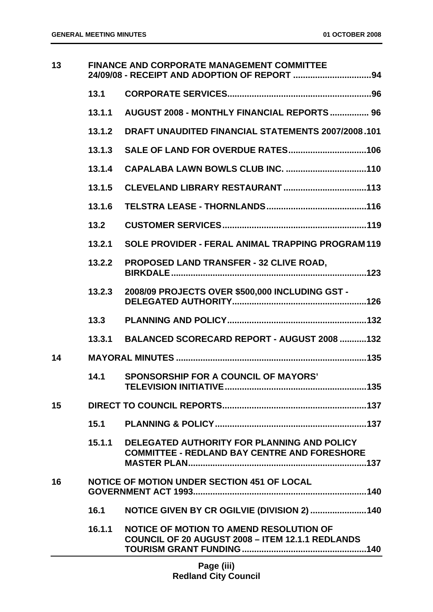| 13 | <b>FINANCE AND CORPORATE MANAGEMENT COMMITTEE</b> |                                                                                                    |
|----|---------------------------------------------------|----------------------------------------------------------------------------------------------------|
|    | 13.1                                              |                                                                                                    |
|    | 13.1.1                                            | AUGUST 2008 - MONTHLY FINANCIAL REPORTS  96                                                        |
|    | 13.1.2                                            | <b>DRAFT UNAUDITED FINANCIAL STATEMENTS 2007/2008.101</b>                                          |
|    | 13.1.3                                            |                                                                                                    |
|    | 13.1.4                                            |                                                                                                    |
|    | 13.1.5                                            |                                                                                                    |
|    | 13.1.6                                            |                                                                                                    |
|    | 13.2                                              |                                                                                                    |
|    | 13.2.1                                            | <b>SOLE PROVIDER - FERAL ANIMAL TRAPPING PROGRAM119</b>                                            |
|    | 13.2.2                                            | <b>PROPOSED LAND TRANSFER - 32 CLIVE ROAD,</b>                                                     |
|    | 13.2.3                                            | 2008/09 PROJECTS OVER \$500,000 INCLUDING GST -                                                    |
|    | 13.3                                              |                                                                                                    |
|    | 13.3.1                                            | BALANCED SCORECARD REPORT - AUGUST 2008 132                                                        |
| 14 |                                                   |                                                                                                    |
|    | 14.1                                              | <b>SPONSORSHIP FOR A COUNCIL OF MAYORS'</b><br>135                                                 |
| 15 |                                                   |                                                                                                    |
|    |                                                   |                                                                                                    |
|    | 15.1.1                                            | DELEGATED AUTHORITY FOR PLANNING AND POLICY<br><b>COMMITTEE - REDLAND BAY CENTRE AND FORESHORE</b> |
| 16 |                                                   | <b>NOTICE OF MOTION UNDER SECTION 451 OF LOCAL</b>                                                 |
|    | 16.1                                              | NOTICE GIVEN BY CR OGILVIE (DIVISION 2) 140                                                        |
|    | 16.1.1                                            | NOTICE OF MOTION TO AMEND RESOLUTION OF<br><b>COUNCIL OF 20 AUGUST 2008 - ITEM 12.1.1 REDLANDS</b> |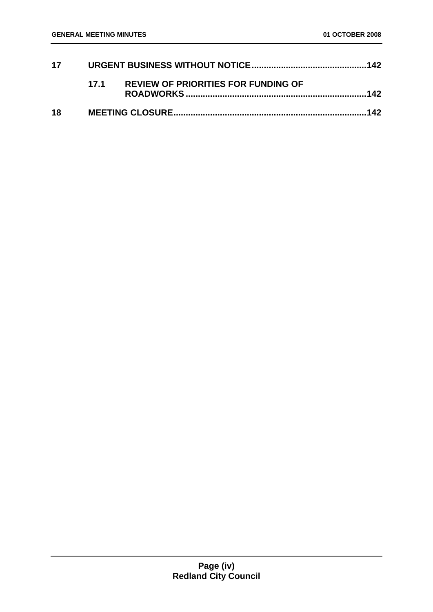| 17 |     |                                            |  |
|----|-----|--------------------------------------------|--|
|    | 171 | <b>REVIEW OF PRIORITIES FOR FUNDING OF</b> |  |
| 18 |     |                                            |  |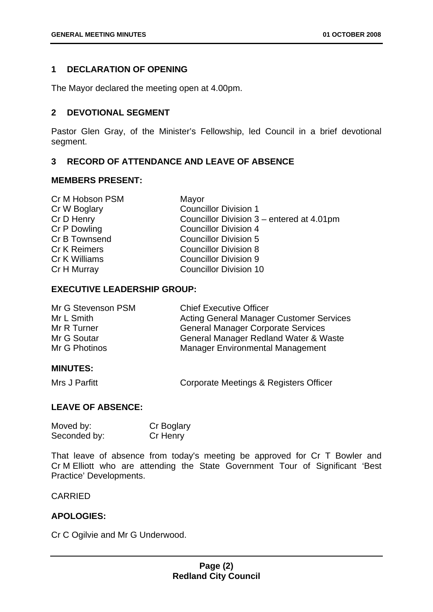#### <span id="page-5-0"></span>**1 DECLARATION OF OPENING**

The Mayor declared the meeting open at 4.00pm.

#### <span id="page-5-1"></span>**2 DEVOTIONAL SEGMENT**

Pastor Glen Gray, of the Minister's Fellowship, led Council in a brief devotional segment.

#### <span id="page-5-2"></span>**3 RECORD OF ATTENDANCE AND LEAVE OF ABSENCE**

#### **MEMBERS PRESENT:**

| Cr M Hobson PSM     | Mayor                                     |
|---------------------|-------------------------------------------|
| Cr W Boglary        | <b>Councillor Division 1</b>              |
| Cr D Henry          | Councillor Division 3 – entered at 4.01pm |
| Cr P Dowling        | <b>Councillor Division 4</b>              |
| Cr B Townsend       | <b>Councillor Division 5</b>              |
| <b>Cr K Reimers</b> | <b>Councillor Division 8</b>              |
| Cr K Williams       | <b>Councillor Division 9</b>              |
| Cr H Murray         | <b>Councillor Division 10</b>             |
|                     |                                           |

#### **EXECUTIVE LEADERSHIP GROUP:**

| Mr G Stevenson PSM | <b>Chief Executive Officer</b>                  |
|--------------------|-------------------------------------------------|
| Mr L Smith         | <b>Acting General Manager Customer Services</b> |
| Mr R Turner        | <b>General Manager Corporate Services</b>       |
| Mr G Soutar        | General Manager Redland Water & Waste           |
| Mr G Photinos      | <b>Manager Environmental Management</b>         |

#### **MINUTES:**

Mrs J Parfitt **Corporate Meetings & Registers Officer** 

#### **LEAVE OF ABSENCE:**

| Moved by:    | Cr Boglary |
|--------------|------------|
| Seconded by: | Cr Henry   |

That leave of absence from today's meeting be approved for Cr T Bowler and Cr M Elliott who are attending the State Government Tour of Significant 'Best Practice' Developments.

#### CARRIED

#### **APOLOGIES:**

Cr C Ogilvie and Mr G Underwood.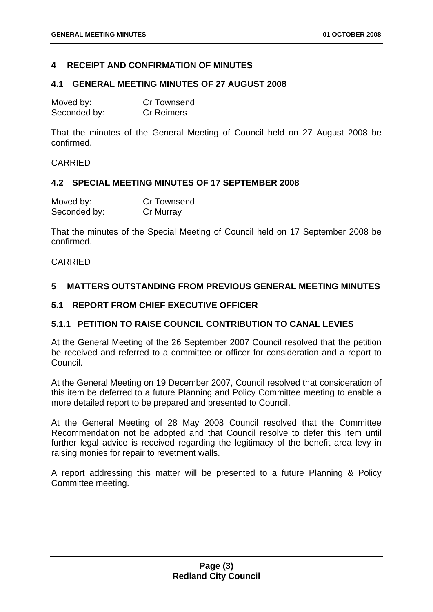#### <span id="page-6-0"></span>**4 RECEIPT AND CONFIRMATION OF MINUTES**

#### <span id="page-6-1"></span>**4.1 GENERAL MEETING MINUTES OF 27 AUGUST 2008**

| Moved by:    | <b>Cr Townsend</b> |
|--------------|--------------------|
| Seconded by: | <b>Cr Reimers</b>  |

That the minutes of the General Meeting of Council held on 27 August 2008 be confirmed.

#### CARRIED

#### <span id="page-6-2"></span>**4.2 SPECIAL MEETING MINUTES OF 17 SEPTEMBER 2008**

| Moved by:    | Cr Townsend |
|--------------|-------------|
| Seconded by: | Cr Murray   |

That the minutes of the Special Meeting of Council held on 17 September 2008 be confirmed.

#### CARRIED

#### <span id="page-6-3"></span>**5 MATTERS OUTSTANDING FROM PREVIOUS GENERAL MEETING MINUTES**

#### <span id="page-6-4"></span>**5.1 REPORT FROM CHIEF EXECUTIVE OFFICER**

#### <span id="page-6-5"></span>**5.1.1 PETITION TO RAISE COUNCIL CONTRIBUTION TO CANAL LEVIES**

At the General Meeting of the 26 September 2007 Council resolved that the petition be received and referred to a committee or officer for consideration and a report to Council.

At the General Meeting on 19 December 2007, Council resolved that consideration of this item be deferred to a future Planning and Policy Committee meeting to enable a more detailed report to be prepared and presented to Council.

At the General Meeting of 28 May 2008 Council resolved that the Committee Recommendation not be adopted and that Council resolve to defer this item until further legal advice is received regarding the legitimacy of the benefit area levy in raising monies for repair to revetment walls.

A report addressing this matter will be presented to a future Planning & Policy Committee meeting.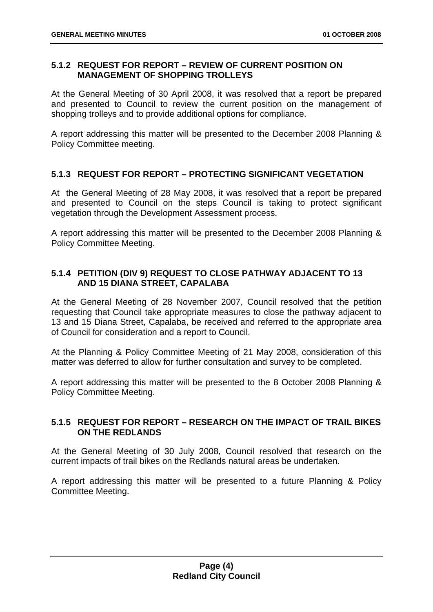#### <span id="page-7-0"></span>**5.1.2 REQUEST FOR REPORT – REVIEW OF CURRENT POSITION ON MANAGEMENT OF SHOPPING TROLLEYS**

At the General Meeting of 30 April 2008, it was resolved that a report be prepared and presented to Council to review the current position on the management of shopping trolleys and to provide additional options for compliance.

A report addressing this matter will be presented to the December 2008 Planning & Policy Committee meeting.

#### <span id="page-7-1"></span>**5.1.3 REQUEST FOR REPORT – PROTECTING SIGNIFICANT VEGETATION**

At the General Meeting of 28 May 2008, it was resolved that a report be prepared and presented to Council on the steps Council is taking to protect significant vegetation through the Development Assessment process.

A report addressing this matter will be presented to the December 2008 Planning & Policy Committee Meeting.

#### <span id="page-7-2"></span>**5.1.4 PETITION (DIV 9) REQUEST TO CLOSE PATHWAY ADJACENT TO 13 AND 15 DIANA STREET, CAPALABA**

At the General Meeting of 28 November 2007, Council resolved that the petition requesting that Council take appropriate measures to close the pathway adjacent to 13 and 15 Diana Street, Capalaba, be received and referred to the appropriate area of Council for consideration and a report to Council.

At the Planning & Policy Committee Meeting of 21 May 2008, consideration of this matter was deferred to allow for further consultation and survey to be completed.

A report addressing this matter will be presented to the 8 October 2008 Planning & Policy Committee Meeting.

#### <span id="page-7-3"></span>**5.1.5 REQUEST FOR REPORT – RESEARCH ON THE IMPACT OF TRAIL BIKES ON THE REDLANDS**

At the General Meeting of 30 July 2008, Council resolved that research on the current impacts of trail bikes on the Redlands natural areas be undertaken.

A report addressing this matter will be presented to a future Planning & Policy Committee Meeting.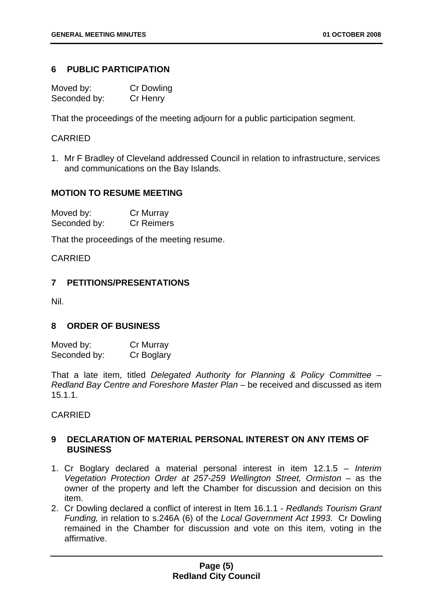#### <span id="page-8-0"></span>**6 PUBLIC PARTICIPATION**

| Moved by:    | <b>Cr Dowling</b> |
|--------------|-------------------|
| Seconded by: | Cr Henry          |

That the proceedings of the meeting adjourn for a public participation segment.

#### CARRIED

1. Mr F Bradley of Cleveland addressed Council in relation to infrastructure, services and communications on the Bay Islands.

#### **MOTION TO RESUME MEETING**

| Moved by:    | Cr Murray         |
|--------------|-------------------|
| Seconded by: | <b>Cr Reimers</b> |

That the proceedings of the meeting resume.

CARRIED

#### <span id="page-8-1"></span>**7 PETITIONS/PRESENTATIONS**

Nil.

#### <span id="page-8-2"></span>**8 ORDER OF BUSINESS**

| Moved by:    | Cr Murray  |
|--------------|------------|
| Seconded by: | Cr Boglary |

That a late item, titled *Delegated Authority for Planning & Policy Committee – Redland Bay Centre and Foreshore Master Plan* – be received and discussed as item 15.1.1.

CARRIED

#### <span id="page-8-3"></span>**9 DECLARATION OF MATERIAL PERSONAL INTEREST ON ANY ITEMS OF BUSINESS**

- 1. Cr Boglary declared a material personal interest in item 12.1.5 *Interim Vegetation Protection Order at 257-259 Wellington Street, Ormiston* – as the owner of the property and left the Chamber for discussion and decision on this item.
- 2. Cr Dowling declared a conflict of interest in Item 16.1.1 *Redlands Tourism Grant Funding,* in relation to s.246A (6) of the *Local Government Act 1993*. Cr Dowling remained in the Chamber for discussion and vote on this item, voting in the affirmative.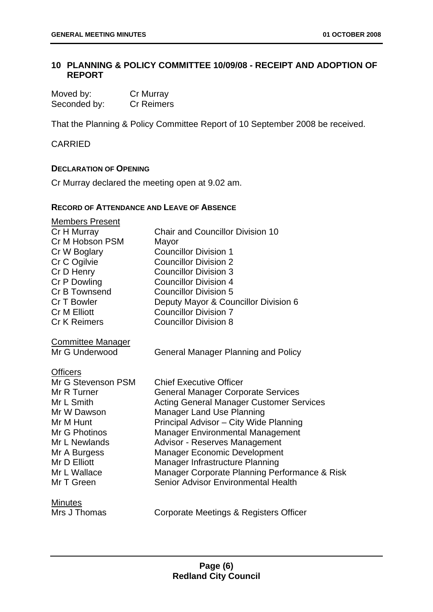#### <span id="page-9-0"></span>**10 PLANNING & POLICY COMMITTEE 10/09/08 - RECEIPT AND ADOPTION OF REPORT**

| Moved by:    | Cr Murray         |
|--------------|-------------------|
| Seconded by: | <b>Cr Reimers</b> |

That the Planning & Policy Committee Report of 10 September 2008 be received.

#### CARRIED

#### **DECLARATION OF OPENING**

Cr Murray declared the meeting open at 9.02 am.

#### **RECORD OF ATTENDANCE AND LEAVE OF ABSENCE**

| <b>Members Present</b>   |                                                 |
|--------------------------|-------------------------------------------------|
| Cr H Murray              | <b>Chair and Councillor Division 10</b>         |
| Cr M Hobson PSM          | Mayor                                           |
| Cr W Boglary             | <b>Councillor Division 1</b>                    |
| Cr C Ogilvie             | <b>Councillor Division 2</b>                    |
| Cr D Henry               | <b>Councillor Division 3</b>                    |
| Cr P Dowling             | <b>Councillor Division 4</b>                    |
| Cr B Townsend            | <b>Councillor Division 5</b>                    |
| <b>Cr T Bowler</b>       | Deputy Mayor & Councillor Division 6            |
| <b>Cr M Elliott</b>      | <b>Councillor Division 7</b>                    |
| <b>Cr K Reimers</b>      | <b>Councillor Division 8</b>                    |
| <b>Committee Manager</b> |                                                 |
| Mr G Underwood           | <b>General Manager Planning and Policy</b>      |
| <b>Officers</b>          |                                                 |
| Mr G Stevenson PSM       | <b>Chief Executive Officer</b>                  |
| Mr R Turner              | <b>General Manager Corporate Services</b>       |
| Mr L Smith               | <b>Acting General Manager Customer Services</b> |
| Mr W Dawson              | <b>Manager Land Use Planning</b>                |
| Mr M Hunt                | Principal Advisor - City Wide Planning          |
| Mr G Photinos            | <b>Manager Environmental Management</b>         |
| Mr L Newlands            | <b>Advisor - Reserves Management</b>            |
| Mr A Burgess             | <b>Manager Economic Development</b>             |
| Mr D Elliott             | Manager Infrastructure Planning                 |
| Mr L Wallace             | Manager Corporate Planning Performance & Risk   |
| Mr T Green               | Senior Advisor Environmental Health             |
| <b>Minutes</b>           |                                                 |
| Mrs J Thomas             | Corporate Meetings & Registers Officer          |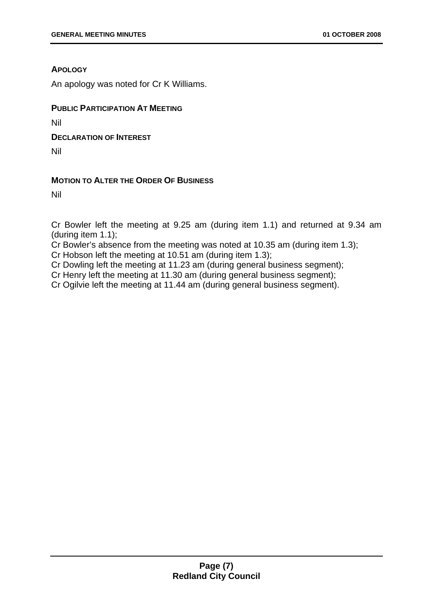#### **APOLOGY**

An apology was noted for Cr K Williams.

#### **PUBLIC PARTICIPATION AT MEETING**

Nil

**DECLARATION OF INTEREST**

Nil

#### **MOTION TO ALTER THE ORDER OF BUSINESS**

Nil

Cr Bowler left the meeting at 9.25 am (during item 1.1) and returned at 9.34 am (during item 1.1);

Cr Bowler's absence from the meeting was noted at 10.35 am (during item 1.3);

Cr Hobson left the meeting at 10.51 am (during item 1.3);

Cr Dowling left the meeting at 11.23 am (during general business segment);

Cr Henry left the meeting at 11.30 am (during general business segment);

Cr Ogilvie left the meeting at 11.44 am (during general business segment).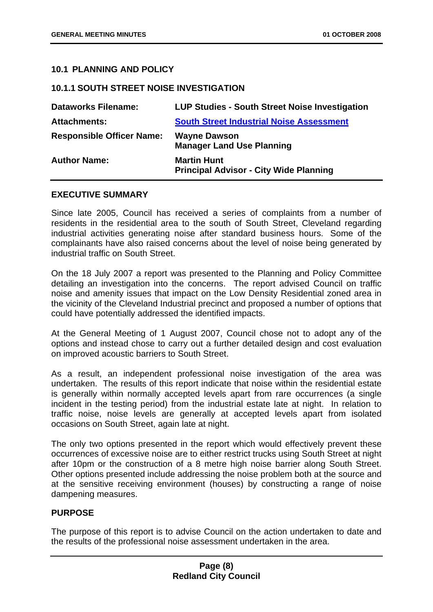#### <span id="page-11-0"></span>**10.1 PLANNING AND POLICY**

#### <span id="page-11-1"></span>**10.1.1 SOUTH STREET NOISE INVESTIGATION**

| <b>Dataworks Filename:</b>       | <b>LUP Studies - South Street Noise Investigation</b>               |
|----------------------------------|---------------------------------------------------------------------|
| <b>Attachments:</b>              | <b>South Street Industrial Noise Assessment</b>                     |
| <b>Responsible Officer Name:</b> | <b>Wayne Dawson</b><br><b>Manager Land Use Planning</b>             |
| <b>Author Name:</b>              | <b>Martin Hunt</b><br><b>Principal Advisor - City Wide Planning</b> |

#### **EXECUTIVE SUMMARY**

Since late 2005, Council has received a series of complaints from a number of residents in the residential area to the south of South Street, Cleveland regarding industrial activities generating noise after standard business hours. Some of the complainants have also raised concerns about the level of noise being generated by industrial traffic on South Street.

On the 18 July 2007 a report was presented to the Planning and Policy Committee detailing an investigation into the concerns. The report advised Council on traffic noise and amenity issues that impact on the Low Density Residential zoned area in the vicinity of the Cleveland Industrial precinct and proposed a number of options that could have potentially addressed the identified impacts.

At the General Meeting of 1 August 2007, Council chose not to adopt any of the options and instead chose to carry out a further detailed design and cost evaluation on improved acoustic barriers to South Street.

As a result, an independent professional noise investigation of the area was undertaken. The results of this report indicate that noise within the residential estate is generally within normally accepted levels apart from rare occurrences (a single incident in the testing period) from the industrial estate late at night. In relation to traffic noise, noise levels are generally at accepted levels apart from isolated occasions on South Street, again late at night.

The only two options presented in the report which would effectively prevent these occurrences of excessive noise are to either restrict trucks using South Street at night after 10pm or the construction of a 8 metre high noise barrier along South Street. Other options presented include addressing the noise problem both at the source and at the sensitive receiving environment (houses) by constructing a range of noise dampening measures.

#### **PURPOSE**

The purpose of this report is to advise Council on the action undertaken to date and the results of the professional noise assessment undertaken in the area.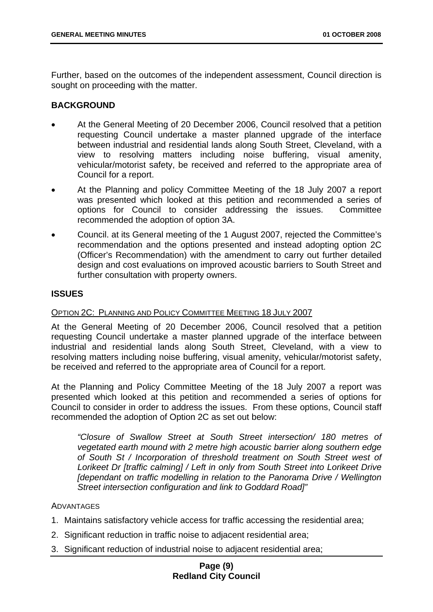Further, based on the outcomes of the independent assessment, Council direction is sought on proceeding with the matter.

#### **BACKGROUND**

- At the General Meeting of 20 December 2006, Council resolved that a petition requesting Council undertake a master planned upgrade of the interface between industrial and residential lands along South Street, Cleveland, with a view to resolving matters including noise buffering, visual amenity, vehicular/motorist safety, be received and referred to the appropriate area of Council for a report.
- At the Planning and policy Committee Meeting of the 18 July 2007 a report was presented which looked at this petition and recommended a series of options for Council to consider addressing the issues. Committee recommended the adoption of option 3A.
- Council. at its General meeting of the 1 August 2007, rejected the Committee's recommendation and the options presented and instead adopting option 2C (Officer's Recommendation) with the amendment to carry out further detailed design and cost evaluations on improved acoustic barriers to South Street and further consultation with property owners.

#### **ISSUES**

#### OPTION 2C: PLANNING AND POLICY COMMITTEE MEETING 18 JULY 2007

At the General Meeting of 20 December 2006, Council resolved that a petition requesting Council undertake a master planned upgrade of the interface between industrial and residential lands along South Street, Cleveland, with a view to resolving matters including noise buffering, visual amenity, vehicular/motorist safety, be received and referred to the appropriate area of Council for a report.

At the Planning and Policy Committee Meeting of the 18 July 2007 a report was presented which looked at this petition and recommended a series of options for Council to consider in order to address the issues. From these options, Council staff recommended the adoption of Option 2C as set out below:

*"Closure of Swallow Street at South Street intersection/ 180 metres of vegetated earth mound with 2 metre high acoustic barrier along southern edge of South St / Incorporation of threshold treatment on South Street west of Lorikeet Dr [traffic calming] / Left in only from South Street into Lorikeet Drive [dependant on traffic modelling in relation to the Panorama Drive / Wellington Street intersection configuration and link to Goddard Road]"* 

#### **ADVANTAGES**

- 1. Maintains satisfactory vehicle access for traffic accessing the residential area;
- 2. Significant reduction in traffic noise to adjacent residential area;
- 3. Significant reduction of industrial noise to adjacent residential area;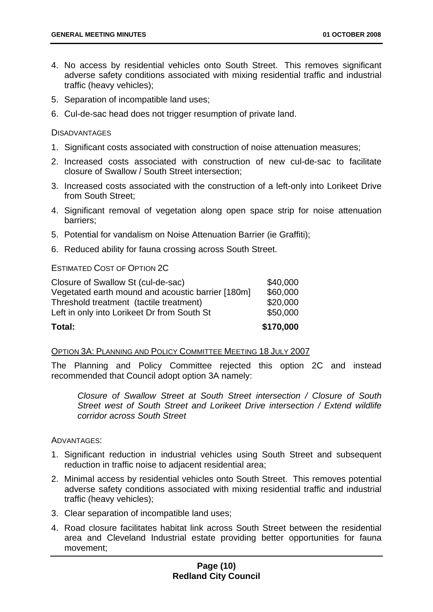- 4. No access by residential vehicles onto South Street. This removes significant adverse safety conditions associated with mixing residential traffic and industrial traffic (heavy vehicles);
- 5. Separation of incompatible land uses;
- 6. Cul-de-sac head does not trigger resumption of private land.

#### **DISADVANTAGES**

- 1. Significant costs associated with construction of noise attenuation measures;
- 2. Increased costs associated with construction of new cul-de-sac to facilitate closure of Swallow / South Street intersection;
- 3. Increased costs associated with the construction of a left-only into Lorikeet Drive from South Street;
- 4. Significant removal of vegetation along open space strip for noise attenuation barriers;
- 5. Potential for vandalism on Noise Attenuation Barrier (ie Graffiti);
- 6. Reduced ability for fauna crossing across South Street.

#### ESTIMATED COST OF OPTION 2C

| Total:                                            | \$170,000 |
|---------------------------------------------------|-----------|
| Left in only into Lorikeet Dr from South St       | \$50,000  |
| Threshold treatment (tactile treatment)           | \$20,000  |
| Vegetated earth mound and acoustic barrier [180m] | \$60,000  |
| Closure of Swallow St (cul-de-sac)                | \$40,000  |

#### OPTION 3A: PLANNING AND POLICY COMMITTEE MEETING 18 JULY 2007

The Planning and Policy Committee rejected this option 2C and instead recommended that Council adopt option 3A namely:

*Closure of Swallow Street at South Street intersection / Closure of South Street west of South Street and Lorikeet Drive intersection / Extend wildlife corridor across South Street* 

ADVANTAGES:

- 1. Significant reduction in industrial vehicles using South Street and subsequent reduction in traffic noise to adjacent residential area;
- 2. Minimal access by residential vehicles onto South Street. This removes potential adverse safety conditions associated with mixing residential traffic and industrial traffic (heavy vehicles);
- 3. Clear separation of incompatible land uses;
- 4. Road closure facilitates habitat link across South Street between the residential area and Cleveland Industrial estate providing better opportunities for fauna movement;

#### **Page (10) Redland City Council**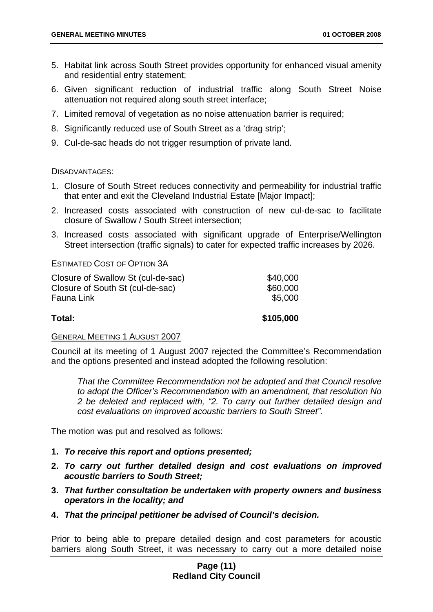- 5. Habitat link across South Street provides opportunity for enhanced visual amenity and residential entry statement;
- 6. Given significant reduction of industrial traffic along South Street Noise attenuation not required along south street interface;
- 7. Limited removal of vegetation as no noise attenuation barrier is required;
- 8. Significantly reduced use of South Street as a 'drag strip';
- 9. Cul-de-sac heads do not trigger resumption of private land.

#### DISADVANTAGES:

- 1. Closure of South Street reduces connectivity and permeability for industrial traffic that enter and exit the Cleveland Industrial Estate [Major Impact];
- 2. Increased costs associated with construction of new cul-de-sac to facilitate closure of Swallow / South Street intersection;
- 3. Increased costs associated with significant upgrade of Enterprise/Wellington Street intersection (traffic signals) to cater for expected traffic increases by 2026.

ESTIMATED COST OF OPTION 3A

| Total:                             | \$105,000 |
|------------------------------------|-----------|
| Fauna Link                         | \$5,000   |
| Closure of South St (cul-de-sac)   | \$60,000  |
| Closure of Swallow St (cul-de-sac) | \$40,000  |

#### GENERAL MEETING 1 AUGUST 2007

Council at its meeting of 1 August 2007 rejected the Committee's Recommendation and the options presented and instead adopted the following resolution:

*That the Committee Recommendation not be adopted and that Council resolve to adopt the Officer's Recommendation with an amendment, that resolution No 2 be deleted and replaced with, "2. To carry out further detailed design and cost evaluations on improved acoustic barriers to South Street".* 

The motion was put and resolved as follows:

- **1.** *To receive this report and options presented;*
- **2.** *To carry out further detailed design and cost evaluations on improved acoustic barriers to South Street;*
- **3.** *That further consultation be undertaken with property owners and business operators in the locality; and*
- **4.** *That the principal petitioner be advised of Council's decision.*

Prior to being able to prepare detailed design and cost parameters for acoustic barriers along South Street, it was necessary to carry out a more detailed noise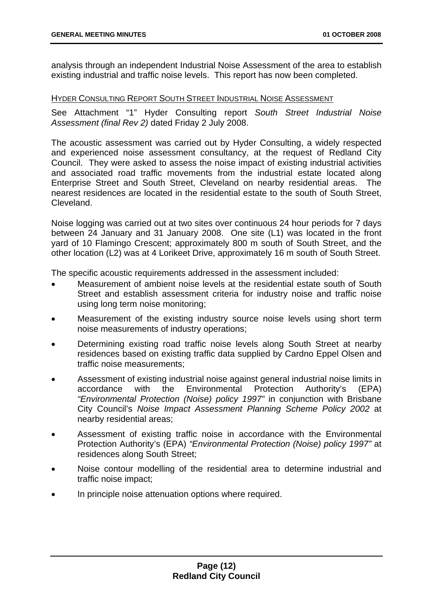analysis through an independent Industrial Noise Assessment of the area to establish existing industrial and traffic noise levels. This report has now been completed.

#### HYDER CONSULTING REPORT SOUTH STREET INDUSTRIAL NOISE ASSESSMENT

See Attachment "1" Hyder Consulting report *South Street Industrial Noise Assessment (final Rev 2)* dated Friday 2 July 2008.

The acoustic assessment was carried out by Hyder Consulting, a widely respected and experienced noise assessment consultancy, at the request of Redland City Council. They were asked to assess the noise impact of existing industrial activities and associated road traffic movements from the industrial estate located along Enterprise Street and South Street, Cleveland on nearby residential areas. The nearest residences are located in the residential estate to the south of South Street, Cleveland.

Noise logging was carried out at two sites over continuous 24 hour periods for 7 days between 24 January and 31 January 2008. One site (L1) was located in the front yard of 10 Flamingo Crescent; approximately 800 m south of South Street, and the other location (L2) was at 4 Lorikeet Drive, approximately 16 m south of South Street.

The specific acoustic requirements addressed in the assessment included:

- Measurement of ambient noise levels at the residential estate south of South Street and establish assessment criteria for industry noise and traffic noise using long term noise monitoring;
- Measurement of the existing industry source noise levels using short term noise measurements of industry operations;
- Determining existing road traffic noise levels along South Street at nearby residences based on existing traffic data supplied by Cardno Eppel Olsen and traffic noise measurements;
- Assessment of existing industrial noise against general industrial noise limits in accordance with the Environmental Protection Authority's (EPA) *"Environmental Protection (Noise) policy 1997"* in conjunction with Brisbane City Council's *Noise Impact Assessment Planning Scheme Policy 2002* at nearby residential areas;
- Assessment of existing traffic noise in accordance with the Environmental Protection Authority's (EPA) *"Environmental Protection (Noise) policy 1997"* at residences along South Street;
- Noise contour modelling of the residential area to determine industrial and traffic noise impact;
- In principle noise attenuation options where required.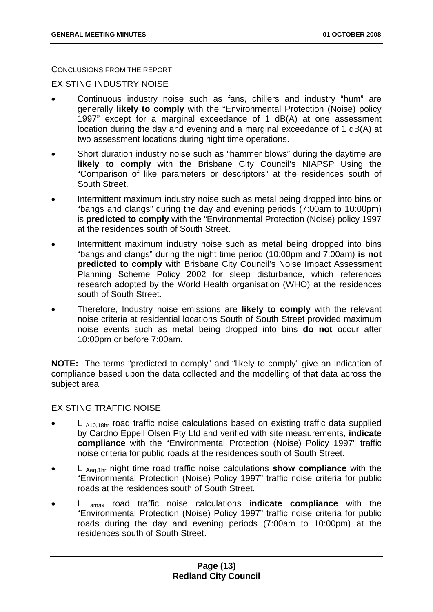CONCLUSIONS FROM THE REPORT

EXISTING INDUSTRY NOISE

- Continuous industry noise such as fans, chillers and industry "hum" are generally **likely to comply** with the "Environmental Protection (Noise) policy 1997" except for a marginal exceedance of 1 dB(A) at one assessment location during the day and evening and a marginal exceedance of 1 dB(A) at two assessment locations during night time operations.
- Short duration industry noise such as "hammer blows" during the daytime are **likely to comply** with the Brisbane City Council's NIAPSP Using the "Comparison of like parameters or descriptors" at the residences south of South Street.
- Intermittent maximum industry noise such as metal being dropped into bins or "bangs and clangs" during the day and evening periods (7:00am to 10:00pm) is **predicted to comply** with the "Environmental Protection (Noise) policy 1997 at the residences south of South Street.
- Intermittent maximum industry noise such as metal being dropped into bins "bangs and clangs" during the night time period (10:00pm and 7:00am) **is not predicted to comply** with Brisbane City Council's Noise Impact Assessment Planning Scheme Policy 2002 for sleep disturbance, which references research adopted by the World Health organisation (WHO) at the residences south of South Street.
- Therefore, Industry noise emissions are **likely to comply** with the relevant noise criteria at residential locations South of South Street provided maximum noise events such as metal being dropped into bins **do not** occur after 10:00pm or before 7:00am.

**NOTE:** The terms "predicted to comply" and "likely to comply" give an indication of compliance based upon the data collected and the modelling of that data across the subject area.

#### EXISTING TRAFFIC NOISE

- $L$  A<sub>10,18hr</sub> road traffic noise calculations based on existing traffic data supplied by Cardno Eppell Olsen Pty Ltd and verified with site measurements, **indicate compliance** with the "Environmental Protection (Noise) Policy 1997" traffic noise criteria for public roads at the residences south of South Street.
- L Aeq,1hr night time road traffic noise calculations **show compliance** with the "Environmental Protection (Noise) Policy 1997" traffic noise criteria for public roads at the residences south of South Street.
- L amax road traffic noise calculations **indicate compliance** with the "Environmental Protection (Noise) Policy 1997" traffic noise criteria for public roads during the day and evening periods (7:00am to 10:00pm) at the residences south of South Street.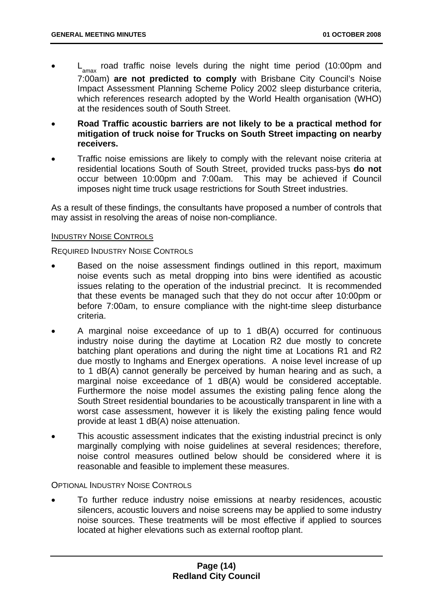- $L_{\text{max}}$  road traffic noise levels during the night time period (10:00pm and 7:00am) **are not predicted to comply** with Brisbane City Council's Noise Impact Assessment Planning Scheme Policy 2002 sleep disturbance criteria, which references research adopted by the World Health organisation (WHO) at the residences south of South Street.
- **Road Traffic acoustic barriers are not likely to be a practical method for mitigation of truck noise for Trucks on South Street impacting on nearby receivers.**
- Traffic noise emissions are likely to comply with the relevant noise criteria at residential locations South of South Street, provided trucks pass-bys **do not**  occur between 10:00pm and 7:00am. This may be achieved if Council imposes night time truck usage restrictions for South Street industries.

As a result of these findings, the consultants have proposed a number of controls that may assist in resolving the areas of noise non-compliance.

#### INDUSTRY NOISE CONTROLS

#### REQUIRED INDUSTRY NOISE CONTROLS

- Based on the noise assessment findings outlined in this report, maximum noise events such as metal dropping into bins were identified as acoustic issues relating to the operation of the industrial precinct. It is recommended that these events be managed such that they do not occur after 10:00pm or before 7:00am, to ensure compliance with the night-time sleep disturbance criteria.
- A marginal noise exceedance of up to 1 dB(A) occurred for continuous industry noise during the daytime at Location R2 due mostly to concrete batching plant operations and during the night time at Locations R1 and R2 due mostly to Inghams and Energex operations. A noise level increase of up to 1 dB(A) cannot generally be perceived by human hearing and as such, a marginal noise exceedance of 1 dB(A) would be considered acceptable. Furthermore the noise model assumes the existing paling fence along the South Street residential boundaries to be acoustically transparent in line with a worst case assessment, however it is likely the existing paling fence would provide at least 1 dB(A) noise attenuation.
- This acoustic assessment indicates that the existing industrial precinct is only marginally complying with noise guidelines at several residences; therefore, noise control measures outlined below should be considered where it is reasonable and feasible to implement these measures.

#### OPTIONAL INDUSTRY NOISE CONTROLS

• To further reduce industry noise emissions at nearby residences, acoustic silencers, acoustic louvers and noise screens may be applied to some industry noise sources. These treatments will be most effective if applied to sources located at higher elevations such as external rooftop plant.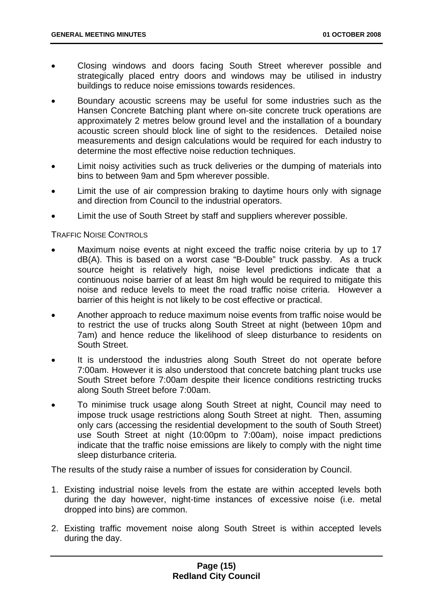- Closing windows and doors facing South Street wherever possible and strategically placed entry doors and windows may be utilised in industry buildings to reduce noise emissions towards residences.
- Boundary acoustic screens may be useful for some industries such as the Hansen Concrete Batching plant where on-site concrete truck operations are approximately 2 metres below ground level and the installation of a boundary acoustic screen should block line of sight to the residences. Detailed noise measurements and design calculations would be required for each industry to determine the most effective noise reduction techniques.
- Limit noisy activities such as truck deliveries or the dumping of materials into bins to between 9am and 5pm wherever possible.
- Limit the use of air compression braking to daytime hours only with signage and direction from Council to the industrial operators.
- Limit the use of South Street by staff and suppliers wherever possible.

TRAFFIC NOISE CONTROLS

- Maximum noise events at night exceed the traffic noise criteria by up to 17 dB(A). This is based on a worst case "B-Double" truck passby. As a truck source height is relatively high, noise level predictions indicate that a continuous noise barrier of at least 8m high would be required to mitigate this noise and reduce levels to meet the road traffic noise criteria. However a barrier of this height is not likely to be cost effective or practical.
- Another approach to reduce maximum noise events from traffic noise would be to restrict the use of trucks along South Street at night (between 10pm and 7am) and hence reduce the likelihood of sleep disturbance to residents on South Street.
- It is understood the industries along South Street do not operate before 7:00am. However it is also understood that concrete batching plant trucks use South Street before 7:00am despite their licence conditions restricting trucks along South Street before 7:00am.
- To minimise truck usage along South Street at night, Council may need to impose truck usage restrictions along South Street at night. Then, assuming only cars (accessing the residential development to the south of South Street) use South Street at night (10:00pm to 7:00am), noise impact predictions indicate that the traffic noise emissions are likely to comply with the night time sleep disturbance criteria.

The results of the study raise a number of issues for consideration by Council.

- 1. Existing industrial noise levels from the estate are within accepted levels both during the day however, night-time instances of excessive noise (i.e. metal dropped into bins) are common.
- 2. Existing traffic movement noise along South Street is within accepted levels during the day.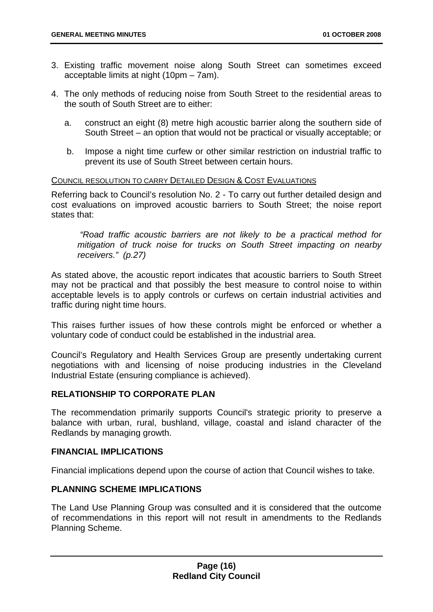- 3. Existing traffic movement noise along South Street can sometimes exceed acceptable limits at night (10pm – 7am).
- 4. The only methods of reducing noise from South Street to the residential areas to the south of South Street are to either:
	- a. construct an eight (8) metre high acoustic barrier along the southern side of South Street – an option that would not be practical or visually acceptable; or
	- b. Impose a night time curfew or other similar restriction on industrial traffic to prevent its use of South Street between certain hours.

#### COUNCIL RESOLUTION TO CARRY DETAILED DESIGN & COST EVALUATIONS

Referring back to Council's resolution No. 2 - To carry out further detailed design and cost evaluations on improved acoustic barriers to South Street; the noise report states that:

 *"Road traffic acoustic barriers are not likely to be a practical method for mitigation of truck noise for trucks on South Street impacting on nearby receivers." (p.27)* 

As stated above, the acoustic report indicates that acoustic barriers to South Street may not be practical and that possibly the best measure to control noise to within acceptable levels is to apply controls or curfews on certain industrial activities and traffic during night time hours.

This raises further issues of how these controls might be enforced or whether a voluntary code of conduct could be established in the industrial area.

Council's Regulatory and Health Services Group are presently undertaking current negotiations with and licensing of noise producing industries in the Cleveland Industrial Estate (ensuring compliance is achieved).

#### **RELATIONSHIP TO CORPORATE PLAN**

The recommendation primarily supports Council's strategic priority to preserve a balance with urban, rural, bushland, village, coastal and island character of the Redlands by managing growth.

#### **FINANCIAL IMPLICATIONS**

Financial implications depend upon the course of action that Council wishes to take.

#### **PLANNING SCHEME IMPLICATIONS**

The Land Use Planning Group was consulted and it is considered that the outcome of recommendations in this report will not result in amendments to the Redlands Planning Scheme.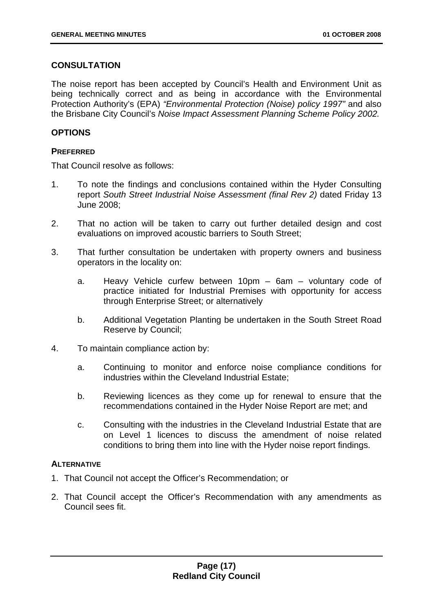#### **CONSULTATION**

The noise report has been accepted by Council's Health and Environment Unit as being technically correct and as being in accordance with the Environmental Protection Authority's (EPA) *"Environmental Protection (Noise) policy 1997"* and also the Brisbane City Council's *Noise Impact Assessment Planning Scheme Policy 2002.*

#### **OPTIONS**

#### **PREFERRED**

That Council resolve as follows:

- 1. To note the findings and conclusions contained within the Hyder Consulting report *South Street Industrial Noise Assessment (final Rev 2)* dated Friday 13 June 2008;
- 2. That no action will be taken to carry out further detailed design and cost evaluations on improved acoustic barriers to South Street;
- 3. That further consultation be undertaken with property owners and business operators in the locality on:
	- a. Heavy Vehicle curfew between 10pm 6am voluntary code of practice initiated for Industrial Premises with opportunity for access through Enterprise Street; or alternatively
	- b. Additional Vegetation Planting be undertaken in the South Street Road Reserve by Council;
- 4. To maintain compliance action by:
	- a. Continuing to monitor and enforce noise compliance conditions for industries within the Cleveland Industrial Estate;
	- b. Reviewing licences as they come up for renewal to ensure that the recommendations contained in the Hyder Noise Report are met; and
	- c. Consulting with the industries in the Cleveland Industrial Estate that are on Level 1 licences to discuss the amendment of noise related conditions to bring them into line with the Hyder noise report findings.

#### **ALTERNATIVE**

- 1. That Council not accept the Officer's Recommendation; or
- 2. That Council accept the Officer's Recommendation with any amendments as Council sees fit.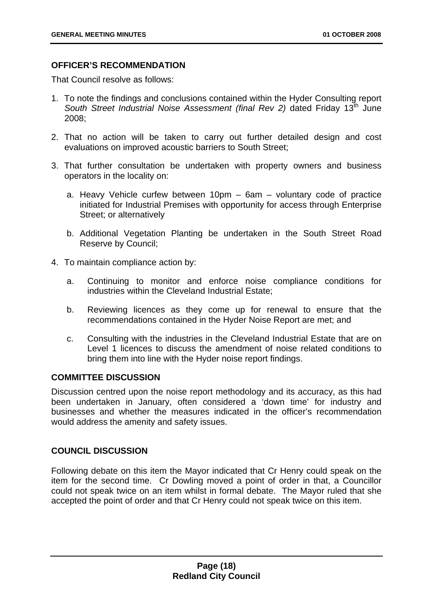#### **OFFICER'S RECOMMENDATION**

That Council resolve as follows:

- 1. To note the findings and conclusions contained within the Hyder Consulting report South Street Industrial Noise Assessment *(final Rev 2)* dated Friday 13<sup>th</sup> June 2008;
- 2. That no action will be taken to carry out further detailed design and cost evaluations on improved acoustic barriers to South Street;
- 3. That further consultation be undertaken with property owners and business operators in the locality on:
	- a. Heavy Vehicle curfew between 10pm 6am voluntary code of practice initiated for Industrial Premises with opportunity for access through Enterprise Street; or alternatively
	- b. Additional Vegetation Planting be undertaken in the South Street Road Reserve by Council;
- 4. To maintain compliance action by:
	- a. Continuing to monitor and enforce noise compliance conditions for industries within the Cleveland Industrial Estate;
	- b. Reviewing licences as they come up for renewal to ensure that the recommendations contained in the Hyder Noise Report are met; and
	- c. Consulting with the industries in the Cleveland Industrial Estate that are on Level 1 licences to discuss the amendment of noise related conditions to bring them into line with the Hyder noise report findings.

#### **COMMITTEE DISCUSSION**

Discussion centred upon the noise report methodology and its accuracy, as this had been undertaken in January, often considered a 'down time' for industry and businesses and whether the measures indicated in the officer's recommendation would address the amenity and safety issues.

#### **COUNCIL DISCUSSION**

Following debate on this item the Mayor indicated that Cr Henry could speak on the item for the second time. Cr Dowling moved a point of order in that, a Councillor could not speak twice on an item whilst in formal debate. The Mayor ruled that she accepted the point of order and that Cr Henry could not speak twice on this item.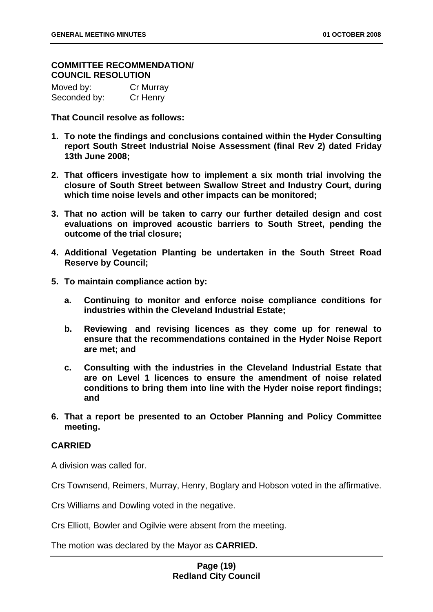#### **COMMITTEE RECOMMENDATION/ COUNCIL RESOLUTION**

| Moved by:    | Cr Murray |
|--------------|-----------|
| Seconded by: | Cr Henry  |

**That Council resolve as follows:** 

- **1. To note the findings and conclusions contained within the Hyder Consulting report South Street Industrial Noise Assessment (final Rev 2) dated Friday 13th June 2008;**
- **2. That officers investigate how to implement a six month trial involving the closure of South Street between Swallow Street and Industry Court, during which time noise levels and other impacts can be monitored;**
- **3. That no action will be taken to carry our further detailed design and cost evaluations on improved acoustic barriers to South Street, pending the outcome of the trial closure;**
- **4. Additional Vegetation Planting be undertaken in the South Street Road Reserve by Council;**
- **5. To maintain compliance action by:** 
	- **a. Continuing to monitor and enforce noise compliance conditions for industries within the Cleveland Industrial Estate;**
	- **b. Reviewing and revising licences as they come up for renewal to ensure that the recommendations contained in the Hyder Noise Report are met; and**
	- **c. Consulting with the industries in the Cleveland Industrial Estate that are on Level 1 licences to ensure the amendment of noise related conditions to bring them into line with the Hyder noise report findings; and**
- **6. That a report be presented to an October Planning and Policy Committee meeting.**

#### **CARRIED**

A division was called for.

Crs Townsend, Reimers, Murray, Henry, Boglary and Hobson voted in the affirmative.

Crs Williams and Dowling voted in the negative.

Crs Elliott, Bowler and Ogilvie were absent from the meeting.

The motion was declared by the Mayor as **CARRIED.**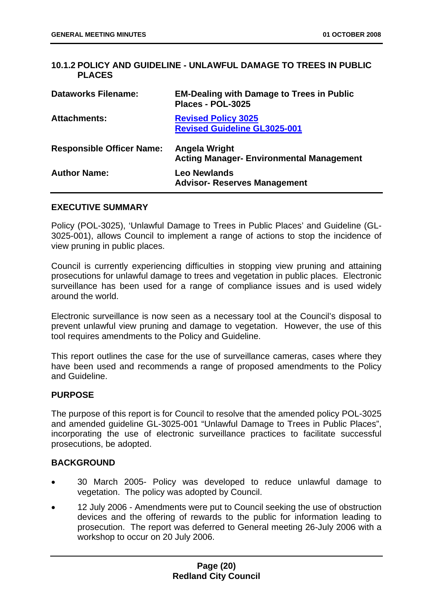#### <span id="page-23-0"></span>**10.1.2 POLICY AND GUIDELINE - UNLAWFUL DAMAGE TO TREES IN PUBLIC PLACES**

| <b>Dataworks Filename:</b>       | <b>EM-Dealing with Damage to Trees in Public</b><br>Places - POL-3025 |
|----------------------------------|-----------------------------------------------------------------------|
| <b>Attachments:</b>              | <b>Revised Policy 3025</b><br><b>Revised Guideline GL3025-001</b>     |
| <b>Responsible Officer Name:</b> | Angela Wright<br><b>Acting Manager- Environmental Management</b>      |
| <b>Author Name:</b>              | <b>Leo Newlands</b><br><b>Advisor- Reserves Management</b>            |

#### **EXECUTIVE SUMMARY**

Policy (POL-3025), 'Unlawful Damage to Trees in Public Places' and Guideline (GL-3025-001), allows Council to implement a range of actions to stop the incidence of view pruning in public places.

Council is currently experiencing difficulties in stopping view pruning and attaining prosecutions for unlawful damage to trees and vegetation in public places. Electronic surveillance has been used for a range of compliance issues and is used widely around the world.

Electronic surveillance is now seen as a necessary tool at the Council's disposal to prevent unlawful view pruning and damage to vegetation. However, the use of this tool requires amendments to the Policy and Guideline.

This report outlines the case for the use of surveillance cameras, cases where they have been used and recommends a range of proposed amendments to the Policy and Guideline.

#### **PURPOSE**

The purpose of this report is for Council to resolve that the amended policy POL-3025 and amended guideline GL-3025-001 "Unlawful Damage to Trees in Public Places", incorporating the use of electronic surveillance practices to facilitate successful prosecutions, be adopted.

#### **BACKGROUND**

- 30 March 2005- Policy was developed to reduce unlawful damage to vegetation. The policy was adopted by Council.
- 12 July 2006 Amendments were put to Council seeking the use of obstruction devices and the offering of rewards to the public for information leading to prosecution. The report was deferred to General meeting 26-July 2006 with a workshop to occur on 20 July 2006.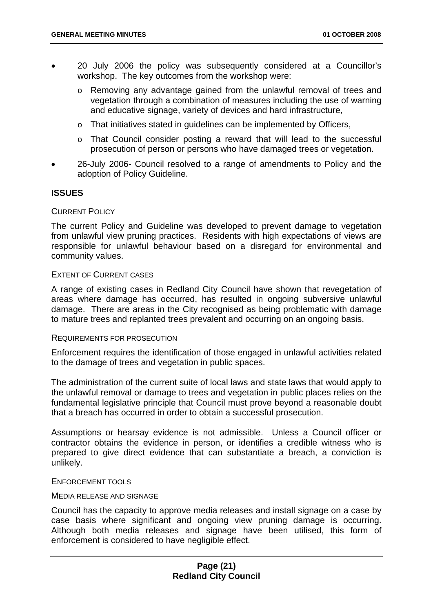- 20 July 2006 the policy was subsequently considered at a Councillor's workshop. The key outcomes from the workshop were:
	- o Removing any advantage gained from the unlawful removal of trees and vegetation through a combination of measures including the use of warning and educative signage, variety of devices and hard infrastructure,
	- o That initiatives stated in guidelines can be implemented by Officers,
	- o That Council consider posting a reward that will lead to the successful prosecution of person or persons who have damaged trees or vegetation.
- 26-July 2006- Council resolved to a range of amendments to Policy and the adoption of Policy Guideline.

#### **ISSUES**

#### CURRENT POLICY

The current Policy and Guideline was developed to prevent damage to vegetation from unlawful view pruning practices. Residents with high expectations of views are responsible for unlawful behaviour based on a disregard for environmental and community values.

#### EXTENT OF CURRENT CASES

A range of existing cases in Redland City Council have shown that revegetation of areas where damage has occurred, has resulted in ongoing subversive unlawful damage. There are areas in the City recognised as being problematic with damage to mature trees and replanted trees prevalent and occurring on an ongoing basis.

#### REQUIREMENTS FOR PROSECUTION

Enforcement requires the identification of those engaged in unlawful activities related to the damage of trees and vegetation in public spaces.

The administration of the current suite of local laws and state laws that would apply to the unlawful removal or damage to trees and vegetation in public places relies on the fundamental legislative principle that Council must prove beyond a reasonable doubt that a breach has occurred in order to obtain a successful prosecution.

Assumptions or hearsay evidence is not admissible. Unless a Council officer or contractor obtains the evidence in person, or identifies a credible witness who is prepared to give direct evidence that can substantiate a breach, a conviction is unlikely.

#### ENFORCEMENT TOOLS

#### MEDIA RELEASE AND SIGNAGE

Council has the capacity to approve media releases and install signage on a case by case basis where significant and ongoing view pruning damage is occurring. Although both media releases and signage have been utilised, this form of enforcement is considered to have negligible effect.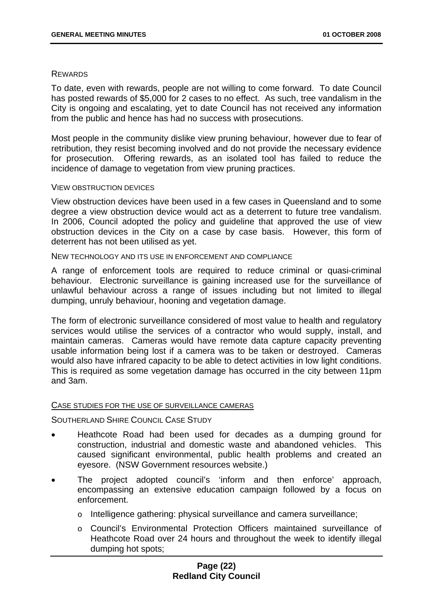#### **REWARDS**

To date, even with rewards, people are not willing to come forward. To date Council has posted rewards of \$5,000 for 2 cases to no effect. As such, tree vandalism in the City is ongoing and escalating, yet to date Council has not received any information from the public and hence has had no success with prosecutions.

Most people in the community dislike view pruning behaviour, however due to fear of retribution, they resist becoming involved and do not provide the necessary evidence for prosecution. Offering rewards, as an isolated tool has failed to reduce the incidence of damage to vegetation from view pruning practices.

#### VIEW OBSTRUCTION DEVICES

View obstruction devices have been used in a few cases in Queensland and to some degree a view obstruction device would act as a deterrent to future tree vandalism. In 2006, Council adopted the policy and guideline that approved the use of view obstruction devices in the City on a case by case basis. However, this form of deterrent has not been utilised as yet.

NEW TECHNOLOGY AND ITS USE IN ENFORCEMENT AND COMPLIANCE

A range of enforcement tools are required to reduce criminal or quasi-criminal behaviour. Electronic surveillance is gaining increased use for the surveillance of unlawful behaviour across a range of issues including but not limited to illegal dumping, unruly behaviour, hooning and vegetation damage.

The form of electronic surveillance considered of most value to health and regulatory services would utilise the services of a contractor who would supply, install, and maintain cameras. Cameras would have remote data capture capacity preventing usable information being lost if a camera was to be taken or destroyed. Cameras would also have infrared capacity to be able to detect activities in low light conditions. This is required as some vegetation damage has occurred in the city between 11pm and 3am.

#### CASE STUDIES FOR THE USE OF SURVEILLANCE CAMERAS

SOUTHERLAND SHIRE COUNCIL CASE STUDY

- Heathcote Road had been used for decades as a dumping ground for construction, industrial and domestic waste and abandoned vehicles. This caused significant environmental, public health problems and created an eyesore. (NSW Government resources website.)
- The project adopted council's 'inform and then enforce' approach, encompassing an extensive education campaign followed by a focus on enforcement.
	- o Intelligence gathering: physical surveillance and camera surveillance;
	- o Council's Environmental Protection Officers maintained surveillance of Heathcote Road over 24 hours and throughout the week to identify illegal dumping hot spots;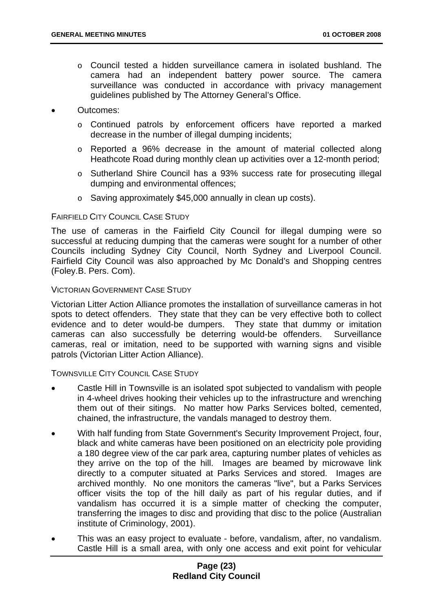- o Council tested a hidden surveillance camera in isolated bushland. The camera had an independent battery power source. The camera surveillance was conducted in accordance with privacy management guidelines published by The Attorney General's Office.
- Outcomes:
	- o Continued patrols by enforcement officers have reported a marked decrease in the number of illegal dumping incidents;
	- o Reported a 96% decrease in the amount of material collected along Heathcote Road during monthly clean up activities over a 12-month period;
	- o Sutherland Shire Council has a 93% success rate for prosecuting illegal dumping and environmental offences;
	- o Saving approximately \$45,000 annually in clean up costs).

#### FAIRFIELD CITY COUNCIL CASE STUDY

The use of cameras in the Fairfield City Council for illegal dumping were so successful at reducing dumping that the cameras were sought for a number of other Councils including Sydney City Council, North Sydney and Liverpool Council. Fairfield City Council was also approached by Mc Donald's and Shopping centres (Foley.B. Pers. Com).

#### VICTORIAN GOVERNMENT CASE STUDY

Victorian Litter Action Alliance promotes the installation of surveillance cameras in hot spots to detect offenders. They state that they can be very effective both to collect evidence and to deter would-be dumpers. They state that dummy or imitation cameras can also successfully be deterring would-be offenders. Surveillance cameras, real or imitation, need to be supported with warning signs and visible patrols (Victorian Litter Action Alliance).

TOWNSVILLE CITY COUNCIL CASE STUDY

- Castle Hill in Townsville is an isolated spot subjected to vandalism with people in 4-wheel drives hooking their vehicles up to the infrastructure and wrenching them out of their sitings. No matter how Parks Services bolted, cemented, chained, the infrastructure, the vandals managed to destroy them.
- With half funding from State Government's Security Improvement Project, four, black and white cameras have been positioned on an electricity pole providing a 180 degree view of the car park area, capturing number plates of vehicles as they arrive on the top of the hill. Images are beamed by microwave link directly to a computer situated at Parks Services and stored. Images are archived monthly. No one monitors the cameras "live", but a Parks Services officer visits the top of the hill daily as part of his regular duties, and if vandalism has occurred it is a simple matter of checking the computer, transferring the images to disc and providing that disc to the police (Australian institute of Criminology, 2001).
- This was an easy project to evaluate before, vandalism, after, no vandalism. Castle Hill is a small area, with only one access and exit point for vehicular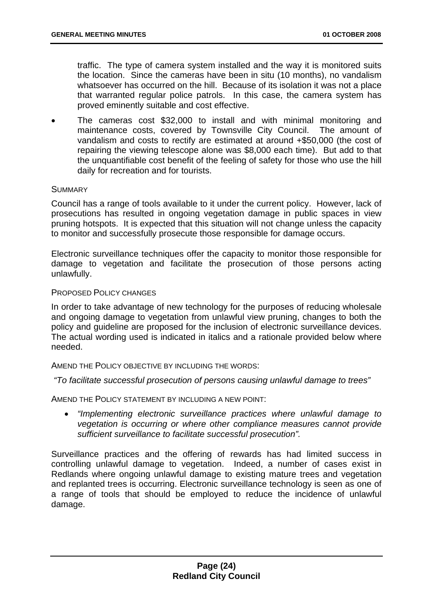traffic. The type of camera system installed and the way it is monitored suits the location. Since the cameras have been in situ (10 months), no vandalism whatsoever has occurred on the hill. Because of its isolation it was not a place that warranted regular police patrols. In this case, the camera system has proved eminently suitable and cost effective.

• The cameras cost \$32,000 to install and with minimal monitoring and maintenance costs, covered by Townsville City Council. The amount of vandalism and costs to rectify are estimated at around +\$50,000 (the cost of repairing the viewing telescope alone was \$8,000 each time). But add to that the unquantifiable cost benefit of the feeling of safety for those who use the hill daily for recreation and for tourists.

#### **SUMMARY**

Council has a range of tools available to it under the current policy. However, lack of prosecutions has resulted in ongoing vegetation damage in public spaces in view pruning hotspots. It is expected that this situation will not change unless the capacity to monitor and successfully prosecute those responsible for damage occurs.

Electronic surveillance techniques offer the capacity to monitor those responsible for damage to vegetation and facilitate the prosecution of those persons acting unlawfully.

#### PROPOSED POLICY CHANGES

In order to take advantage of new technology for the purposes of reducing wholesale and ongoing damage to vegetation from unlawful view pruning, changes to both the policy and guideline are proposed for the inclusion of electronic surveillance devices. The actual wording used is indicated in italics and a rationale provided below where needed.

AMEND THE POLICY OBJECTIVE BY INCLUDING THE WORDS:

 *"To facilitate successful prosecution of persons causing unlawful damage to trees"* 

AMEND THE POLICY STATEMENT BY INCLUDING A NEW POINT:

• *"Implementing electronic surveillance practices where unlawful damage to vegetation is occurring or where other compliance measures cannot provide sufficient surveillance to facilitate successful prosecution".* 

Surveillance practices and the offering of rewards has had limited success in controlling unlawful damage to vegetation. Indeed, a number of cases exist in Redlands where ongoing unlawful damage to existing mature trees and vegetation and replanted trees is occurring. Electronic surveillance technology is seen as one of a range of tools that should be employed to reduce the incidence of unlawful damage.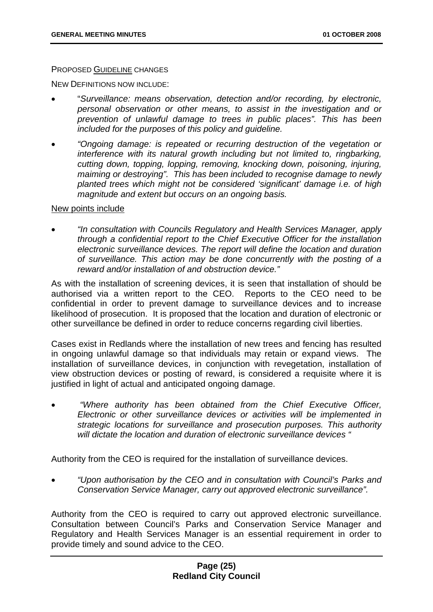#### PROPOSED GUIDELINE CHANGES

NEW DEFINITIONS NOW INCLUDE:

- "*Surveillance: means observation, detection and/or recording, by electronic, personal observation or other means, to assist in the investigation and or prevention of unlawful damage to trees in public places". This has been included for the purposes of this policy and guideline.*
- *"Ongoing damage: is repeated or recurring destruction of the vegetation or interference with its natural growth including but not limited to, ringbarking, cutting down, topping, lopping, removing, knocking down, poisoning, injuring, maiming or destroying". This has been included to recognise damage to newly planted trees which might not be considered 'significant' damage i.e. of high magnitude and extent but occurs on an ongoing basis.*

#### New points include

• *"In consultation with Councils Regulatory and Health Services Manager, apply through a confidential report to the Chief Executive Officer for the installation electronic surveillance devices. The report will define the location and duration of surveillance. This action may be done concurrently with the posting of a reward and/or installation of and obstruction device."* 

As with the installation of screening devices, it is seen that installation of should be authorised via a written report to the CEO. Reports to the CEO need to be confidential in order to prevent damage to surveillance devices and to increase likelihood of prosecution. It is proposed that the location and duration of electronic or other surveillance be defined in order to reduce concerns regarding civil liberties.

Cases exist in Redlands where the installation of new trees and fencing has resulted in ongoing unlawful damage so that individuals may retain or expand views. The installation of surveillance devices, in conjunction with revegetation, installation of view obstruction devices or posting of reward, is considered a requisite where it is justified in light of actual and anticipated ongoing damage.

• *"Where authority has been obtained from the Chief Executive Officer, Electronic or other surveillance devices or activities will be implemented in strategic locations for surveillance and prosecution purposes. This authority will dictate the location and duration of electronic surveillance devices "* 

Authority from the CEO is required for the installation of surveillance devices.

• *"Upon authorisation by the CEO and in consultation with Council's Parks and Conservation Service Manager, carry out approved electronic surveillance".* 

Authority from the CEO is required to carry out approved electronic surveillance. Consultation between Council's Parks and Conservation Service Manager and Regulatory and Health Services Manager is an essential requirement in order to provide timely and sound advice to the CEO.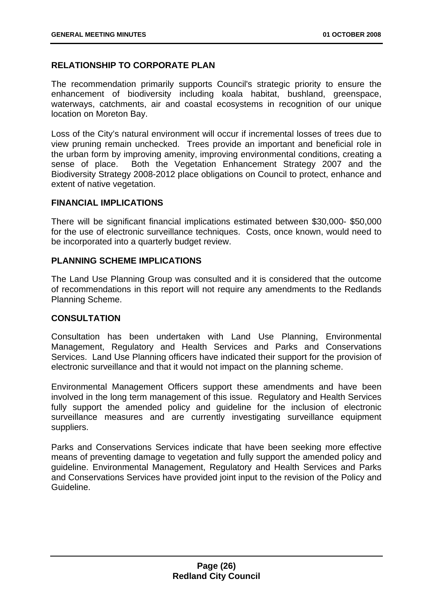#### **RELATIONSHIP TO CORPORATE PLAN**

The recommendation primarily supports Council's strategic priority to ensure the enhancement of biodiversity including koala habitat, bushland, greenspace, waterways, catchments, air and coastal ecosystems in recognition of our unique location on Moreton Bay.

Loss of the City's natural environment will occur if incremental losses of trees due to view pruning remain unchecked. Trees provide an important and beneficial role in the urban form by improving amenity, improving environmental conditions, creating a sense of place. Both the Vegetation Enhancement Strategy 2007 and the Biodiversity Strategy 2008-2012 place obligations on Council to protect, enhance and extent of native vegetation.

#### **FINANCIAL IMPLICATIONS**

There will be significant financial implications estimated between \$30,000- \$50,000 for the use of electronic surveillance techniques. Costs, once known, would need to be incorporated into a quarterly budget review.

#### **PLANNING SCHEME IMPLICATIONS**

The Land Use Planning Group was consulted and it is considered that the outcome of recommendations in this report will not require any amendments to the Redlands Planning Scheme.

#### **CONSULTATION**

Consultation has been undertaken with Land Use Planning, Environmental Management, Regulatory and Health Services and Parks and Conservations Services. Land Use Planning officers have indicated their support for the provision of electronic surveillance and that it would not impact on the planning scheme.

Environmental Management Officers support these amendments and have been involved in the long term management of this issue. Regulatory and Health Services fully support the amended policy and guideline for the inclusion of electronic surveillance measures and are currently investigating surveillance equipment suppliers.

Parks and Conservations Services indicate that have been seeking more effective means of preventing damage to vegetation and fully support the amended policy and guideline. Environmental Management, Regulatory and Health Services and Parks and Conservations Services have provided joint input to the revision of the Policy and Guideline.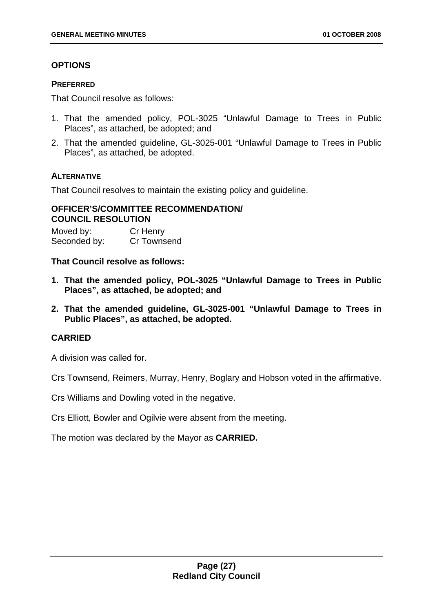#### **OPTIONS**

#### **PREFERRED**

That Council resolve as follows:

- 1. That the amended policy, POL-3025 "Unlawful Damage to Trees in Public Places", as attached, be adopted; and
- 2. That the amended guideline, GL-3025-001 "Unlawful Damage to Trees in Public Places", as attached, be adopted.

#### **ALTERNATIVE**

That Council resolves to maintain the existing policy and guideline.

#### **OFFICER'S/COMMITTEE RECOMMENDATION/ COUNCIL RESOLUTION**

Moved by: Cr Henry Seconded by: Cr Townsend

**That Council resolve as follows:** 

- **1. That the amended policy, POL-3025 "Unlawful Damage to Trees in Public Places", as attached, be adopted; and**
- **2. That the amended guideline, GL-3025-001 "Unlawful Damage to Trees in Public Places", as attached, be adopted.**

#### **CARRIED**

A division was called for.

Crs Townsend, Reimers, Murray, Henry, Boglary and Hobson voted in the affirmative.

Crs Williams and Dowling voted in the negative.

Crs Elliott, Bowler and Ogilvie were absent from the meeting.

The motion was declared by the Mayor as **CARRIED.**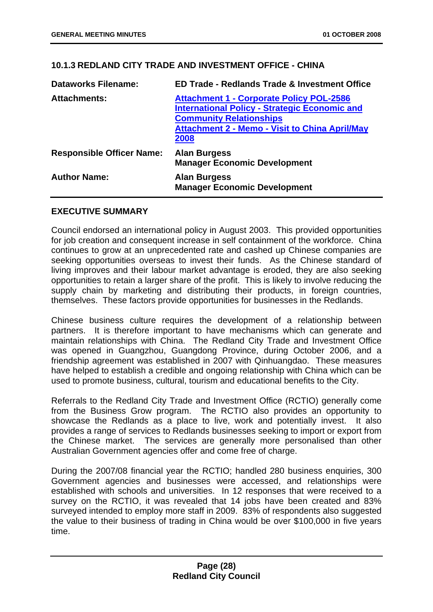#### <span id="page-31-0"></span>**10.1.3 REDLAND CITY TRADE AND INVESTMENT OFFICE - CHINA**

| <b>Dataworks Filename:</b>       | <b>ED Trade - Redlands Trade &amp; Investment Office</b>                                                                                                                                                   |
|----------------------------------|------------------------------------------------------------------------------------------------------------------------------------------------------------------------------------------------------------|
| <b>Attachments:</b>              | <b>Attachment 1 - Corporate Policy POL-2586</b><br><b>International Policy - Strategic Economic and</b><br><b>Community Relationships</b><br><b>Attachment 2 - Memo - Visit to China April/May</b><br>2008 |
| <b>Responsible Officer Name:</b> | <b>Alan Burgess</b><br><b>Manager Economic Development</b>                                                                                                                                                 |
| <b>Author Name:</b>              | <b>Alan Burgess</b><br><b>Manager Economic Development</b>                                                                                                                                                 |

#### **EXECUTIVE SUMMARY**

Council endorsed an international policy in August 2003. This provided opportunities for job creation and consequent increase in self containment of the workforce. China continues to grow at an unprecedented rate and cashed up Chinese companies are seeking opportunities overseas to invest their funds. As the Chinese standard of living improves and their labour market advantage is eroded, they are also seeking opportunities to retain a larger share of the profit. This is likely to involve reducing the supply chain by marketing and distributing their products, in foreign countries, themselves. These factors provide opportunities for businesses in the Redlands.

Chinese business culture requires the development of a relationship between partners. It is therefore important to have mechanisms which can generate and maintain relationships with China. The Redland City Trade and Investment Office was opened in Guangzhou, Guangdong Province, during October 2006, and a friendship agreement was established in 2007 with Qinhuangdao. These measures have helped to establish a credible and ongoing relationship with China which can be used to promote business, cultural, tourism and educational benefits to the City.

Referrals to the Redland City Trade and Investment Office (RCTIO) generally come from the Business Grow program. The RCTIO also provides an opportunity to showcase the Redlands as a place to live, work and potentially invest. It also provides a range of services to Redlands businesses seeking to import or export from the Chinese market. The services are generally more personalised than other Australian Government agencies offer and come free of charge.

During the 2007/08 financial year the RCTIO; handled 280 business enquiries, 300 Government agencies and businesses were accessed, and relationships were established with schools and universities. In 12 responses that were received to a survey on the RCTIO, it was revealed that 14 jobs have been created and 83% surveyed intended to employ more staff in 2009. 83% of respondents also suggested the value to their business of trading in China would be over \$100,000 in five years time.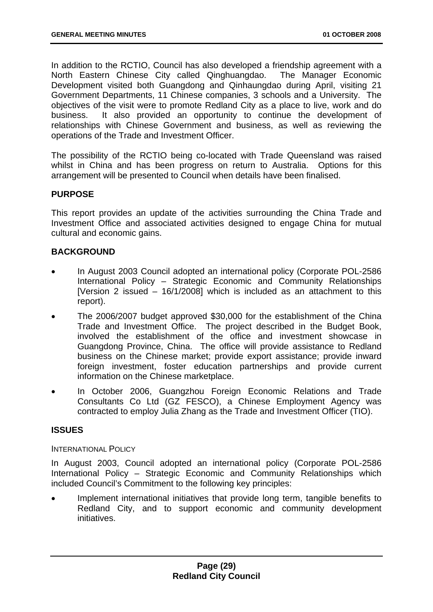In addition to the RCTIO, Council has also developed a friendship agreement with a North Eastern Chinese City called Qinghuangdao. The Manager Economic Development visited both Guangdong and Qinhaungdao during April, visiting 21 Government Departments, 11 Chinese companies, 3 schools and a University. The objectives of the visit were to promote Redland City as a place to live, work and do business. It also provided an opportunity to continue the development of relationships with Chinese Government and business, as well as reviewing the operations of the Trade and Investment Officer.

The possibility of the RCTIO being co-located with Trade Queensland was raised whilst in China and has been progress on return to Australia. Options for this arrangement will be presented to Council when details have been finalised.

#### **PURPOSE**

This report provides an update of the activities surrounding the China Trade and Investment Office and associated activities designed to engage China for mutual cultural and economic gains.

#### **BACKGROUND**

- In August 2003 Council adopted an international policy (Corporate POL-2586 International Policy – Strategic Economic and Community Relationships [Version 2 issued –  $16/1/20081$  which is included as an attachment to this report).
- The 2006/2007 budget approved \$30,000 for the establishment of the China Trade and Investment Office. The project described in the Budget Book, involved the establishment of the office and investment showcase in Guangdong Province, China. The office will provide assistance to Redland business on the Chinese market; provide export assistance; provide inward foreign investment, foster education partnerships and provide current information on the Chinese marketplace.
- In October 2006, Guangzhou Foreign Economic Relations and Trade Consultants Co Ltd (GZ FESCO), a Chinese Employment Agency was contracted to employ Julia Zhang as the Trade and Investment Officer (TIO).

#### **ISSUES**

#### INTERNATIONAL POLICY

In August 2003, Council adopted an international policy (Corporate POL-2586 International Policy – Strategic Economic and Community Relationships which included Council's Commitment to the following key principles:

Implement international initiatives that provide long term, tangible benefits to Redland City, and to support economic and community development initiatives.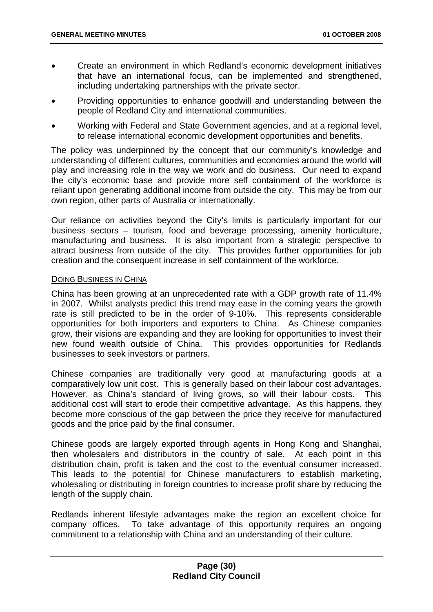- Create an environment in which Redland's economic development initiatives that have an international focus, can be implemented and strengthened, including undertaking partnerships with the private sector.
- Providing opportunities to enhance goodwill and understanding between the people of Redland City and international communities.
- Working with Federal and State Government agencies, and at a regional level, to release international economic development opportunities and benefits.

The policy was underpinned by the concept that our community's knowledge and understanding of different cultures, communities and economies around the world will play and increasing role in the way we work and do business. Our need to expand the city's economic base and provide more self containment of the workforce is reliant upon generating additional income from outside the city. This may be from our own region, other parts of Australia or internationally.

Our reliance on activities beyond the City's limits is particularly important for our business sectors – tourism, food and beverage processing, amenity horticulture, manufacturing and business. It is also important from a strategic perspective to attract business from outside of the city. This provides further opportunities for job creation and the consequent increase in self containment of the workforce.

#### DOING BUSINESS IN CHINA

China has been growing at an unprecedented rate with a GDP growth rate of 11.4% in 2007. Whilst analysts predict this trend may ease in the coming years the growth rate is still predicted to be in the order of 9-10%. This represents considerable opportunities for both importers and exporters to China. As Chinese companies grow, their visions are expanding and they are looking for opportunities to invest their new found wealth outside of China. This provides opportunities for Redlands businesses to seek investors or partners.

Chinese companies are traditionally very good at manufacturing goods at a comparatively low unit cost. This is generally based on their labour cost advantages. However, as China's standard of living grows, so will their labour costs. This additional cost will start to erode their competitive advantage. As this happens, they become more conscious of the gap between the price they receive for manufactured goods and the price paid by the final consumer.

Chinese goods are largely exported through agents in Hong Kong and Shanghai, then wholesalers and distributors in the country of sale. At each point in this distribution chain, profit is taken and the cost to the eventual consumer increased. This leads to the potential for Chinese manufacturers to establish marketing, wholesaling or distributing in foreign countries to increase profit share by reducing the length of the supply chain.

Redlands inherent lifestyle advantages make the region an excellent choice for company offices. To take advantage of this opportunity requires an ongoing commitment to a relationship with China and an understanding of their culture.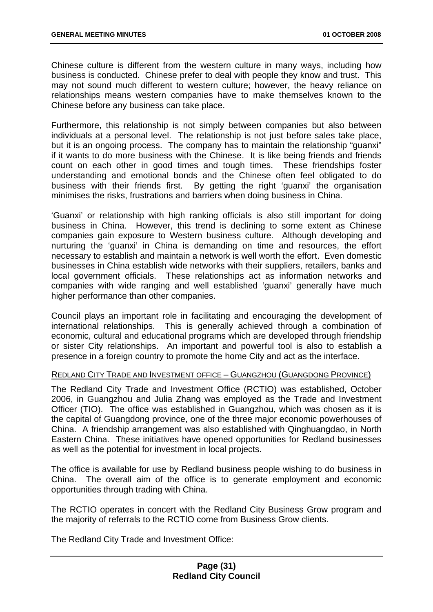Chinese culture is different from the western culture in many ways, including how business is conducted. Chinese prefer to deal with people they know and trust. This may not sound much different to western culture; however, the heavy reliance on relationships means western companies have to make themselves known to the Chinese before any business can take place.

Furthermore, this relationship is not simply between companies but also between individuals at a personal level. The relationship is not just before sales take place, but it is an ongoing process. The company has to maintain the relationship "guanxi" if it wants to do more business with the Chinese. It is like being friends and friends count on each other in good times and tough times. These friendships foster understanding and emotional bonds and the Chinese often feel obligated to do business with their friends first. By getting the right 'guanxi' the organisation minimises the risks, frustrations and barriers when doing business in China.

'Guanxi' or relationship with high ranking officials is also still important for doing business in China. However, this trend is declining to some extent as Chinese companies gain exposure to Western business culture. Although developing and nurturing the 'guanxi' in China is demanding on time and resources, the effort necessary to establish and maintain a network is well worth the effort. Even domestic businesses in China establish wide networks with their suppliers, retailers, banks and local government officials. These relationships act as information networks and companies with wide ranging and well established 'guanxi' generally have much higher performance than other companies.

Council plays an important role in facilitating and encouraging the development of international relationships. This is generally achieved through a combination of economic, cultural and educational programs which are developed through friendship or sister City relationships. An important and powerful tool is also to establish a presence in a foreign country to promote the home City and act as the interface.

#### REDLAND CITY TRADE AND INVESTMENT OFFICE – GUANGZHOU (GUANGDONG PROVINCE)

The Redland City Trade and Investment Office (RCTIO) was established, October 2006, in Guangzhou and Julia Zhang was employed as the Trade and Investment Officer (TIO). The office was established in Guangzhou, which was chosen as it is the capital of Guangdong province, one of the three major economic powerhouses of China. A friendship arrangement was also established with Qinghuangdao, in North Eastern China. These initiatives have opened opportunities for Redland businesses as well as the potential for investment in local projects.

The office is available for use by Redland business people wishing to do business in China. The overall aim of the office is to generate employment and economic opportunities through trading with China.

The RCTIO operates in concert with the Redland City Business Grow program and the majority of referrals to the RCTIO come from Business Grow clients.

The Redland City Trade and Investment Office: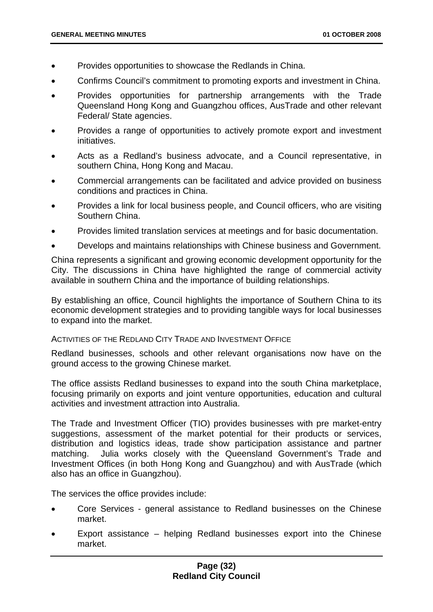- Provides opportunities to showcase the Redlands in China.
- Confirms Council's commitment to promoting exports and investment in China.
- Provides opportunities for partnership arrangements with the Trade Queensland Hong Kong and Guangzhou offices, AusTrade and other relevant Federal/ State agencies.
- Provides a range of opportunities to actively promote export and investment initiatives.
- Acts as a Redland's business advocate, and a Council representative, in southern China, Hong Kong and Macau.
- Commercial arrangements can be facilitated and advice provided on business conditions and practices in China.
- Provides a link for local business people, and Council officers, who are visiting Southern China.
- Provides limited translation services at meetings and for basic documentation.
- Develops and maintains relationships with Chinese business and Government.

China represents a significant and growing economic development opportunity for the City. The discussions in China have highlighted the range of commercial activity available in southern China and the importance of building relationships.

By establishing an office, Council highlights the importance of Southern China to its economic development strategies and to providing tangible ways for local businesses to expand into the market.

#### ACTIVITIES OF THE REDLAND CITY TRADE AND INVESTMENT OFFICE

Redland businesses, schools and other relevant organisations now have on the ground access to the growing Chinese market.

The office assists Redland businesses to expand into the south China marketplace, focusing primarily on exports and joint venture opportunities, education and cultural activities and investment attraction into Australia.

The Trade and Investment Officer (TIO) provides businesses with pre market-entry suggestions, assessment of the market potential for their products or services, distribution and logistics ideas, trade show participation assistance and partner matching. Julia works closely with the Queensland Government's Trade and Investment Offices (in both Hong Kong and Guangzhou) and with AusTrade (which also has an office in Guangzhou).

The services the office provides include:

- Core Services general assistance to Redland businesses on the Chinese market.
- Export assistance helping Redland businesses export into the Chinese market.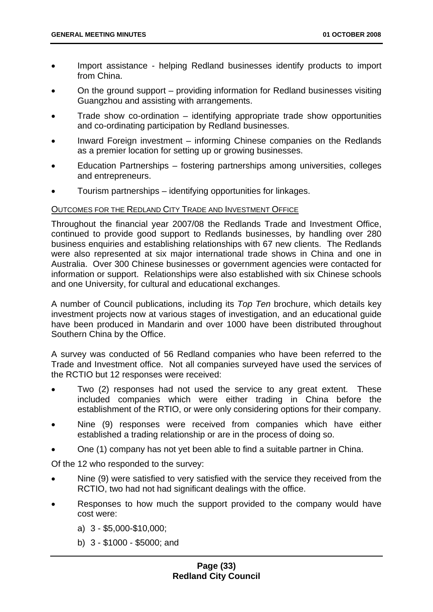- Import assistance helping Redland businesses identify products to import from China.
- On the ground support providing information for Redland businesses visiting Guangzhou and assisting with arrangements.
- Trade show co-ordination  $-$  identifying appropriate trade show opportunities and co-ordinating participation by Redland businesses.
- Inward Foreign investment informing Chinese companies on the Redlands as a premier location for setting up or growing businesses.
- Education Partnerships fostering partnerships among universities, colleges and entrepreneurs.
- Tourism partnerships identifying opportunities for linkages.

## OUTCOMES FOR THE REDLAND CITY TRADE AND INVESTMENT OFFICE

Throughout the financial year 2007/08 the Redlands Trade and Investment Office, continued to provide good support to Redlands businesses, by handling over 280 business enquiries and establishing relationships with 67 new clients. The Redlands were also represented at six major international trade shows in China and one in Australia. Over 300 Chinese businesses or government agencies were contacted for information or support. Relationships were also established with six Chinese schools and one University, for cultural and educational exchanges.

A number of Council publications, including its *Top Ten* brochure, which details key investment projects now at various stages of investigation, and an educational guide have been produced in Mandarin and over 1000 have been distributed throughout Southern China by the Office.

A survey was conducted of 56 Redland companies who have been referred to the Trade and Investment office. Not all companies surveyed have used the services of the RCTIO but 12 responses were received:

- Two (2) responses had not used the service to any great extent. These included companies which were either trading in China before the establishment of the RTIO, or were only considering options for their company.
- Nine (9) responses were received from companies which have either established a trading relationship or are in the process of doing so.
- One (1) company has not yet been able to find a suitable partner in China.

Of the 12 who responded to the survey:

- Nine (9) were satisfied to very satisfied with the service they received from the RCTIO, two had not had significant dealings with the office.
- Responses to how much the support provided to the company would have cost were:
	- a) 3 \$5,000-\$10,000;
	- b) 3 \$1000 \$5000; and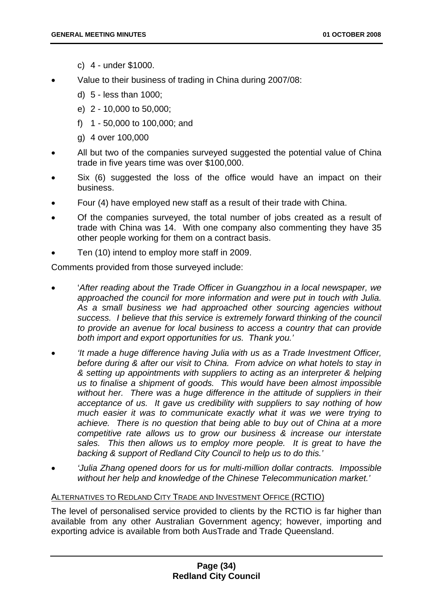- c) 4 under \$1000.
- Value to their business of trading in China during 2007/08:
	- d) 5 less than 1000;
	- e) 2 10,000 to 50,000;
	- f) 1 50,000 to 100,000; and
	- g) 4 over 100,000
- All but two of the companies surveyed suggested the potential value of China trade in five years time was over \$100,000.
- Six (6) suggested the loss of the office would have an impact on their business.
- Four (4) have employed new staff as a result of their trade with China.
- Of the companies surveyed, the total number of jobs created as a result of trade with China was 14. With one company also commenting they have 35 other people working for them on a contract basis.
- Ten (10) intend to employ more staff in 2009.

Comments provided from those surveyed include:

- '*After reading about the Trade Officer in Guangzhou in a local newspaper, we approached the council for more information and were put in touch with Julia. As a small business we had approached other sourcing agencies without success. I believe that this service is extremely forward thinking of the council to provide an avenue for local business to access a country that can provide both import and export opportunities for us. Thank you.'*
- *'It made a huge difference having Julia with us as a Trade Investment Officer, before during & after our visit to China. From advice on what hotels to stay in & setting up appointments with suppliers to acting as an interpreter & helping us to finalise a shipment of goods. This would have been almost impossible*  without her. There was a huge difference in the attitude of suppliers in their *acceptance of us. It gave us credibility with suppliers to say nothing of how much easier it was to communicate exactly what it was we were trying to achieve. There is no question that being able to buy out of China at a more competitive rate allows us to grow our business & increase our interstate*  sales. This then allows us to employ more people. It is great to have the *backing & support of Redland City Council to help us to do this.'*
- *'Julia Zhang opened doors for us for multi-million dollar contracts. Impossible without her help and knowledge of the Chinese Telecommunication market.'*

# ALTERNATIVES TO REDLAND CITY TRADE AND INVESTMENT OFFICE (RCTIO)

The level of personalised service provided to clients by the RCTIO is far higher than available from any other Australian Government agency; however, importing and exporting advice is available from both AusTrade and Trade Queensland.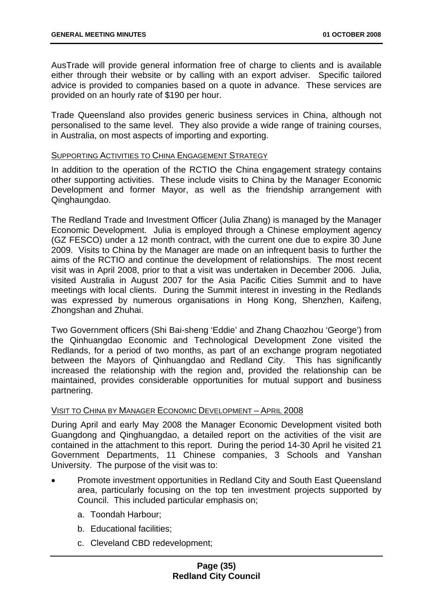AusTrade will provide general information free of charge to clients and is available either through their website or by calling with an export adviser. Specific tailored advice is provided to companies based on a quote in advance. These services are provided on an hourly rate of \$190 per hour.

Trade Queensland also provides generic business services in China, although not personalised to the same level. They also provide a wide range of training courses, in Australia, on most aspects of importing and exporting.

# SUPPORTING ACTIVITIES TO CHINA ENGAGEMENT STRATEGY

In addition to the operation of the RCTIO the China engagement strategy contains other supporting activities. These include visits to China by the Manager Economic Development and former Mayor, as well as the friendship arrangement with Qinghaungdao.

The Redland Trade and Investment Officer (Julia Zhang) is managed by the Manager Economic Development. Julia is employed through a Chinese employment agency (GZ FESCO) under a 12 month contract, with the current one due to expire 30 June 2009. Visits to China by the Manager are made on an infrequent basis to further the aims of the RCTIO and continue the development of relationships. The most recent visit was in April 2008, prior to that a visit was undertaken in December 2006. Julia, visited Australia in August 2007 for the Asia Pacific Cities Summit and to have meetings with local clients. During the Summit interest in investing in the Redlands was expressed by numerous organisations in Hong Kong, Shenzhen, Kaifeng, Zhongshan and Zhuhai.

Two Government officers (Shi Bai-sheng 'Eddie' and Zhang Chaozhou 'George') from the Qinhuangdao Economic and Technological Development Zone visited the Redlands, for a period of two months, as part of an exchange program negotiated between the Mayors of Qinhuangdao and Redland City. This has significantly increased the relationship with the region and, provided the relationship can be maintained, provides considerable opportunities for mutual support and business partnering.

#### VISIT TO CHINA BY MANAGER ECONOMIC DEVELOPMENT – APRIL 2008

During April and early May 2008 the Manager Economic Development visited both Guangdong and Qinghuangdao, a detailed report on the activities of the visit are contained in the attachment to this report. During the period 14-30 April he visited 21 Government Departments, 11 Chinese companies, 3 Schools and Yanshan University. The purpose of the visit was to:

- Promote investment opportunities in Redland City and South East Queensland area, particularly focusing on the top ten investment projects supported by Council. This included particular emphasis on;
	- a. Toondah Harbour;
	- b. Educational facilities;
	- c. Cleveland CBD redevelopment;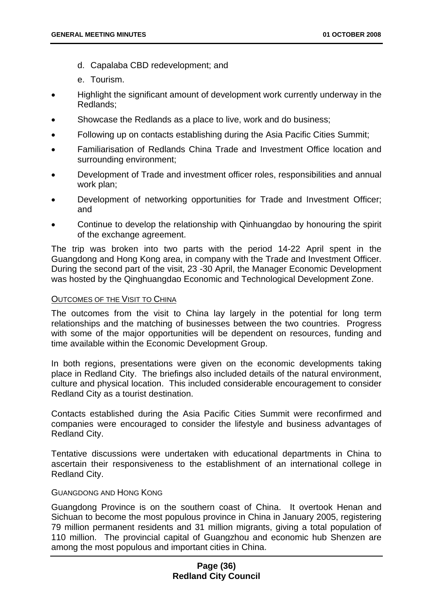- d. Capalaba CBD redevelopment; and
- e. Tourism.
- Highlight the significant amount of development work currently underway in the Redlands;
- Showcase the Redlands as a place to live, work and do business;
- Following up on contacts establishing during the Asia Pacific Cities Summit;
- Familiarisation of Redlands China Trade and Investment Office location and surrounding environment;
- Development of Trade and investment officer roles, responsibilities and annual work plan;
- Development of networking opportunities for Trade and Investment Officer; and
- Continue to develop the relationship with Qinhuangdao by honouring the spirit of the exchange agreement.

The trip was broken into two parts with the period 14-22 April spent in the Guangdong and Hong Kong area, in company with the Trade and Investment Officer. During the second part of the visit, 23 -30 April, the Manager Economic Development was hosted by the Qinghuangdao Economic and Technological Development Zone.

#### OUTCOMES OF THE VISIT TO CHINA

The outcomes from the visit to China lay largely in the potential for long term relationships and the matching of businesses between the two countries. Progress with some of the major opportunities will be dependent on resources, funding and time available within the Economic Development Group.

In both regions, presentations were given on the economic developments taking place in Redland City. The briefings also included details of the natural environment, culture and physical location. This included considerable encouragement to consider Redland City as a tourist destination.

Contacts established during the Asia Pacific Cities Summit were reconfirmed and companies were encouraged to consider the lifestyle and business advantages of Redland City.

Tentative discussions were undertaken with educational departments in China to ascertain their responsiveness to the establishment of an international college in Redland City.

#### GUANGDONG AND HONG KONG

Guangdong Province is on the southern coast of China. It overtook Henan and Sichuan to become the most populous province in China in January 2005, registering 79 million permanent residents and 31 million migrants, giving a total population of 110 million. The provincial capital of Guangzhou and economic hub Shenzen are among the most populous and important cities in China.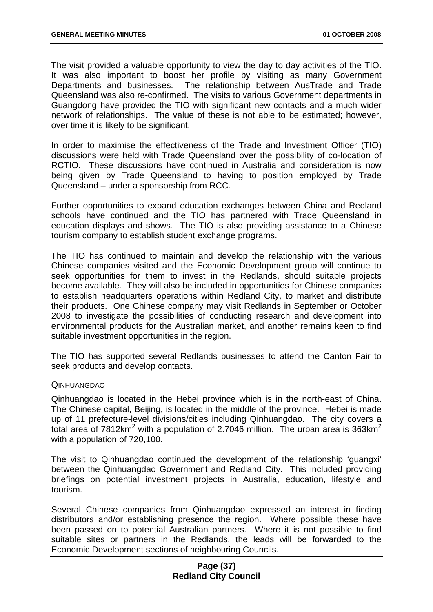The visit provided a valuable opportunity to view the day to day activities of the TIO. It was also important to boost her profile by visiting as many Government Departments and businesses. The relationship between AusTrade and Trade Queensland was also re-confirmed. The visits to various Government departments in Guangdong have provided the TIO with significant new contacts and a much wider network of relationships. The value of these is not able to be estimated; however, over time it is likely to be significant.

In order to maximise the effectiveness of the Trade and Investment Officer (TIO) discussions were held with Trade Queensland over the possibility of co-location of RCTIO. These discussions have continued in Australia and consideration is now being given by Trade Queensland to having to position employed by Trade Queensland – under a sponsorship from RCC.

Further opportunities to expand education exchanges between China and Redland schools have continued and the TIO has partnered with Trade Queensland in education displays and shows. The TIO is also providing assistance to a Chinese tourism company to establish student exchange programs.

The TIO has continued to maintain and develop the relationship with the various Chinese companies visited and the Economic Development group will continue to seek opportunities for them to invest in the Redlands, should suitable projects become available. They will also be included in opportunities for Chinese companies to establish headquarters operations within Redland City, to market and distribute their products. One Chinese company may visit Redlands in September or October 2008 to investigate the possibilities of conducting research and development into environmental products for the Australian market, and another remains keen to find suitable investment opportunities in the region.

The TIO has supported several Redlands businesses to attend the Canton Fair to seek products and develop contacts.

#### **QINHUANGDAO**

Qinhuangdao is located in the Hebei province which is in the north-east of China. The Chinese capital, Beijing, is located in the middle of the province. Hebei is made up of 11 prefecture-level divisions/cities including Qinhuangdao. The city covers a total area of 7812km<sup>2</sup> with a population of 2.7046 million. The urban area is 363km<sup>2</sup> with a population of 720,100.

The visit to Qinhuangdao continued the development of the relationship 'guangxi' between the Qinhuangdao Government and Redland City. This included providing briefings on potential investment projects in Australia, education, lifestyle and tourism.

Several Chinese companies from Qinhuangdao expressed an interest in finding distributors and/or establishing presence the region. Where possible these have been passed on to potential Australian partners. Where it is not possible to find suitable sites or partners in the Redlands, the leads will be forwarded to the Economic Development sections of neighbouring Councils.

### **Page (37) Redland City Council**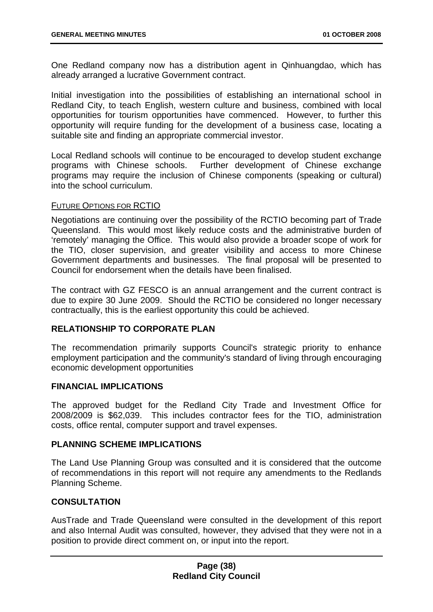One Redland company now has a distribution agent in Qinhuangdao, which has already arranged a lucrative Government contract.

Initial investigation into the possibilities of establishing an international school in Redland City, to teach English, western culture and business, combined with local opportunities for tourism opportunities have commenced. However, to further this opportunity will require funding for the development of a business case, locating a suitable site and finding an appropriate commercial investor.

Local Redland schools will continue to be encouraged to develop student exchange programs with Chinese schools. Further development of Chinese exchange programs may require the inclusion of Chinese components (speaking or cultural) into the school curriculum.

#### FUTURE OPTIONS FOR RCTIO

Negotiations are continuing over the possibility of the RCTIO becoming part of Trade Queensland. This would most likely reduce costs and the administrative burden of 'remotely' managing the Office. This would also provide a broader scope of work for the TIO, closer supervision, and greater visibility and access to more Chinese Government departments and businesses. The final proposal will be presented to Council for endorsement when the details have been finalised.

The contract with GZ FESCO is an annual arrangement and the current contract is due to expire 30 June 2009. Should the RCTIO be considered no longer necessary contractually, this is the earliest opportunity this could be achieved.

#### **RELATIONSHIP TO CORPORATE PLAN**

The recommendation primarily supports Council's strategic priority to enhance employment participation and the community's standard of living through encouraging economic development opportunities

#### **FINANCIAL IMPLICATIONS**

The approved budget for the Redland City Trade and Investment Office for 2008/2009 is \$62,039. This includes contractor fees for the TIO, administration costs, office rental, computer support and travel expenses.

# **PLANNING SCHEME IMPLICATIONS**

The Land Use Planning Group was consulted and it is considered that the outcome of recommendations in this report will not require any amendments to the Redlands Planning Scheme.

# **CONSULTATION**

AusTrade and Trade Queensland were consulted in the development of this report and also Internal Audit was consulted, however, they advised that they were not in a position to provide direct comment on, or input into the report.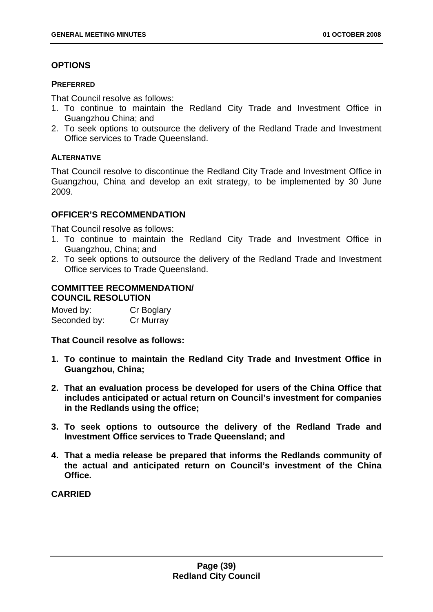# **OPTIONS**

### **PREFERRED**

That Council resolve as follows:

- 1. To continue to maintain the Redland City Trade and Investment Office in Guangzhou China; and
- 2. To seek options to outsource the delivery of the Redland Trade and Investment Office services to Trade Queensland.

## **ALTERNATIVE**

That Council resolve to discontinue the Redland City Trade and Investment Office in Guangzhou, China and develop an exit strategy, to be implemented by 30 June 2009.

# **OFFICER'S RECOMMENDATION**

That Council resolve as follows:

- 1. To continue to maintain the Redland City Trade and Investment Office in Guangzhou, China; and
- 2. To seek options to outsource the delivery of the Redland Trade and Investment Office services to Trade Queensland.

## **COMMITTEE RECOMMENDATION/ COUNCIL RESOLUTION**

Moved by: Cr Boglary Seconded by: Cr Murray

**That Council resolve as follows:** 

- **1. To continue to maintain the Redland City Trade and Investment Office in Guangzhou, China;**
- **2. That an evaluation process be developed for users of the China Office that includes anticipated or actual return on Council's investment for companies in the Redlands using the office;**
- **3. To seek options to outsource the delivery of the Redland Trade and Investment Office services to Trade Queensland; and**
- **4. That a media release be prepared that informs the Redlands community of the actual and anticipated return on Council's investment of the China Office.**

**CARRIED**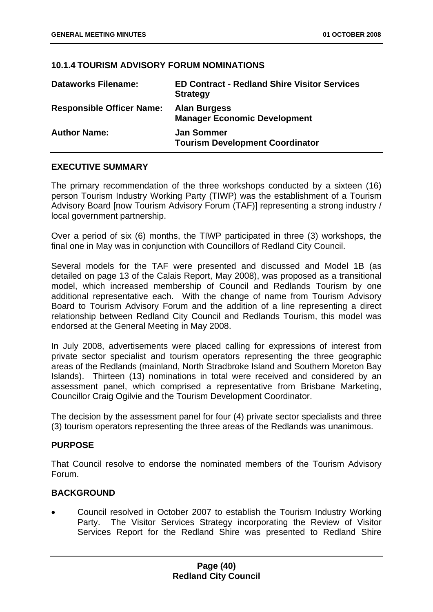## **10.1.4 TOURISM ADVISORY FORUM NOMINATIONS**

| <b>Dataworks Filename:</b>       | <b>ED Contract - Redland Shire Visitor Services</b><br><b>Strategy</b> |
|----------------------------------|------------------------------------------------------------------------|
| <b>Responsible Officer Name:</b> | <b>Alan Burgess</b><br><b>Manager Economic Development</b>             |
| <b>Author Name:</b>              | <b>Jan Sommer</b><br><b>Tourism Development Coordinator</b>            |

# **EXECUTIVE SUMMARY**

The primary recommendation of the three workshops conducted by a sixteen (16) person Tourism Industry Working Party (TIWP) was the establishment of a Tourism Advisory Board [now Tourism Advisory Forum (TAF)] representing a strong industry / local government partnership.

Over a period of six (6) months, the TIWP participated in three (3) workshops, the final one in May was in conjunction with Councillors of Redland City Council.

Several models for the TAF were presented and discussed and Model 1B (as detailed on page 13 of the Calais Report, May 2008), was proposed as a transitional model, which increased membership of Council and Redlands Tourism by one additional representative each. With the change of name from Tourism Advisory Board to Tourism Advisory Forum and the addition of a line representing a direct relationship between Redland City Council and Redlands Tourism, this model was endorsed at the General Meeting in May 2008.

In July 2008, advertisements were placed calling for expressions of interest from private sector specialist and tourism operators representing the three geographic areas of the Redlands (mainland, North Stradbroke Island and Southern Moreton Bay Islands). Thirteen (13) nominations in total were received and considered by an assessment panel, which comprised a representative from Brisbane Marketing, Councillor Craig Ogilvie and the Tourism Development Coordinator.

The decision by the assessment panel for four (4) private sector specialists and three (3) tourism operators representing the three areas of the Redlands was unanimous.

# **PURPOSE**

That Council resolve to endorse the nominated members of the Tourism Advisory Forum.

# **BACKGROUND**

• Council resolved in October 2007 to establish the Tourism Industry Working Party. The Visitor Services Strategy incorporating the Review of Visitor Services Report for the Redland Shire was presented to Redland Shire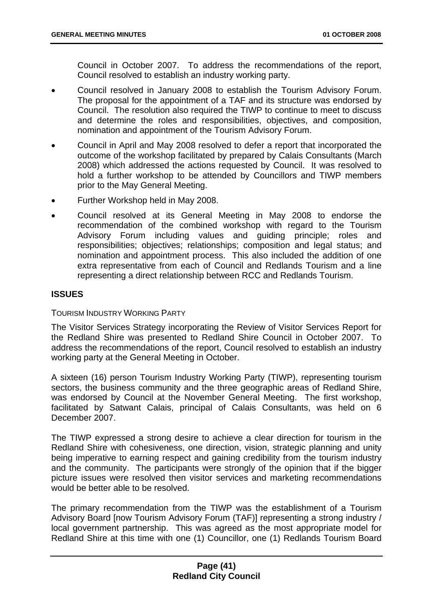Council in October 2007. To address the recommendations of the report, Council resolved to establish an industry working party.

- Council resolved in January 2008 to establish the Tourism Advisory Forum. The proposal for the appointment of a TAF and its structure was endorsed by Council. The resolution also required the TIWP to continue to meet to discuss and determine the roles and responsibilities, objectives, and composition, nomination and appointment of the Tourism Advisory Forum.
- Council in April and May 2008 resolved to defer a report that incorporated the outcome of the workshop facilitated by prepared by Calais Consultants (March 2008) which addressed the actions requested by Council. It was resolved to hold a further workshop to be attended by Councillors and TIWP members prior to the May General Meeting.
- Further Workshop held in May 2008.
- Council resolved at its General Meeting in May 2008 to endorse the recommendation of the combined workshop with regard to the Tourism Advisory Forum including values and guiding principle; roles and responsibilities; objectives; relationships; composition and legal status; and nomination and appointment process. This also included the addition of one extra representative from each of Council and Redlands Tourism and a line representing a direct relationship between RCC and Redlands Tourism.

# **ISSUES**

#### TOURISM INDUSTRY WORKING PARTY

The Visitor Services Strategy incorporating the Review of Visitor Services Report for the Redland Shire was presented to Redland Shire Council in October 2007. To address the recommendations of the report, Council resolved to establish an industry working party at the General Meeting in October.

A sixteen (16) person Tourism Industry Working Party (TIWP), representing tourism sectors, the business community and the three geographic areas of Redland Shire, was endorsed by Council at the November General Meeting. The first workshop, facilitated by Satwant Calais, principal of Calais Consultants, was held on 6 December 2007.

The TIWP expressed a strong desire to achieve a clear direction for tourism in the Redland Shire with cohesiveness, one direction, vision, strategic planning and unity being imperative to earning respect and gaining credibility from the tourism industry and the community. The participants were strongly of the opinion that if the bigger picture issues were resolved then visitor services and marketing recommendations would be better able to be resolved.

The primary recommendation from the TIWP was the establishment of a Tourism Advisory Board [now Tourism Advisory Forum (TAF)] representing a strong industry / local government partnership. This was agreed as the most appropriate model for Redland Shire at this time with one (1) Councillor, one (1) Redlands Tourism Board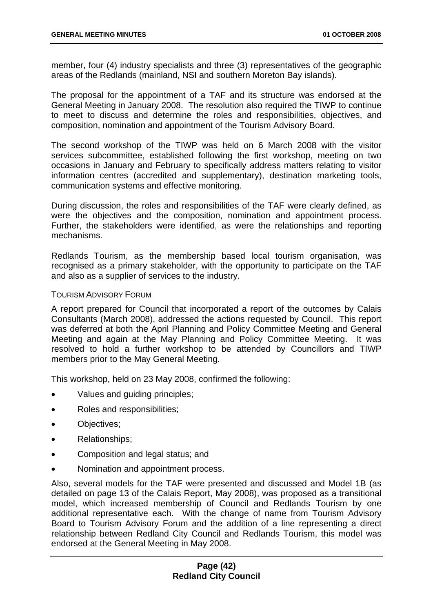member, four (4) industry specialists and three (3) representatives of the geographic areas of the Redlands (mainland, NSI and southern Moreton Bay islands).

The proposal for the appointment of a TAF and its structure was endorsed at the General Meeting in January 2008. The resolution also required the TIWP to continue to meet to discuss and determine the roles and responsibilities, objectives, and composition, nomination and appointment of the Tourism Advisory Board.

The second workshop of the TIWP was held on 6 March 2008 with the visitor services subcommittee, established following the first workshop, meeting on two occasions in January and February to specifically address matters relating to visitor information centres (accredited and supplementary), destination marketing tools, communication systems and effective monitoring.

During discussion, the roles and responsibilities of the TAF were clearly defined, as were the objectives and the composition, nomination and appointment process. Further, the stakeholders were identified, as were the relationships and reporting mechanisms.

Redlands Tourism, as the membership based local tourism organisation, was recognised as a primary stakeholder, with the opportunity to participate on the TAF and also as a supplier of services to the industry.

### TOURISM ADVISORY FORUM

A report prepared for Council that incorporated a report of the outcomes by Calais Consultants (March 2008), addressed the actions requested by Council. This report was deferred at both the April Planning and Policy Committee Meeting and General Meeting and again at the May Planning and Policy Committee Meeting. It was resolved to hold a further workshop to be attended by Councillors and TIWP members prior to the May General Meeting.

This workshop, held on 23 May 2008, confirmed the following:

- Values and guiding principles;
- Roles and responsibilities;
- Objectives;
- Relationships;
- Composition and legal status; and
- Nomination and appointment process.

Also, several models for the TAF were presented and discussed and Model 1B (as detailed on page 13 of the Calais Report, May 2008), was proposed as a transitional model, which increased membership of Council and Redlands Tourism by one additional representative each. With the change of name from Tourism Advisory Board to Tourism Advisory Forum and the addition of a line representing a direct relationship between Redland City Council and Redlands Tourism, this model was endorsed at the General Meeting in May 2008.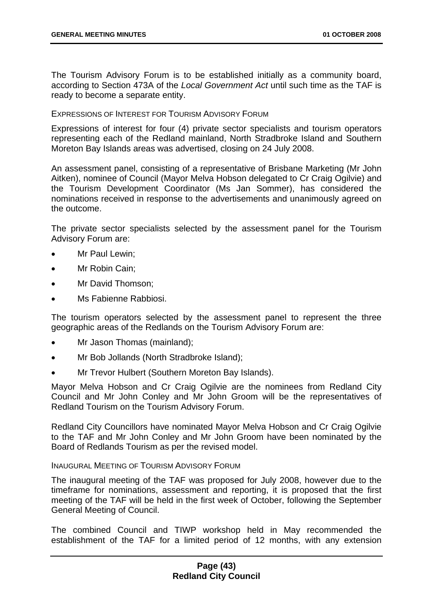The Tourism Advisory Forum is to be established initially as a community board, according to Section 473A of the *Local Government Act* until such time as the TAF is ready to become a separate entity.

#### EXPRESSIONS OF INTEREST FOR TOURISM ADVISORY FORUM

Expressions of interest for four (4) private sector specialists and tourism operators representing each of the Redland mainland, North Stradbroke Island and Southern Moreton Bay Islands areas was advertised, closing on 24 July 2008.

An assessment panel, consisting of a representative of Brisbane Marketing (Mr John Aitken), nominee of Council (Mayor Melva Hobson delegated to Cr Craig Ogilvie) and the Tourism Development Coordinator (Ms Jan Sommer), has considered the nominations received in response to the advertisements and unanimously agreed on the outcome.

The private sector specialists selected by the assessment panel for the Tourism Advisory Forum are:

- Mr Paul Lewin;
- Mr Robin Cain;
- Mr David Thomson:
- Ms Fabienne Rabbiosi.

The tourism operators selected by the assessment panel to represent the three geographic areas of the Redlands on the Tourism Advisory Forum are:

- Mr Jason Thomas (mainland);
- Mr Bob Jollands (North Stradbroke Island):
- Mr Trevor Hulbert (Southern Moreton Bay Islands).

Mayor Melva Hobson and Cr Craig Ogilvie are the nominees from Redland City Council and Mr John Conley and Mr John Groom will be the representatives of Redland Tourism on the Tourism Advisory Forum.

Redland City Councillors have nominated Mayor Melva Hobson and Cr Craig Ogilvie to the TAF and Mr John Conley and Mr John Groom have been nominated by the Board of Redlands Tourism as per the revised model.

#### INAUGURAL MEETING OF TOURISM ADVISORY FORUM

The inaugural meeting of the TAF was proposed for July 2008, however due to the timeframe for nominations, assessment and reporting, it is proposed that the first meeting of the TAF will be held in the first week of October, following the September General Meeting of Council.

The combined Council and TIWP workshop held in May recommended the establishment of the TAF for a limited period of 12 months, with any extension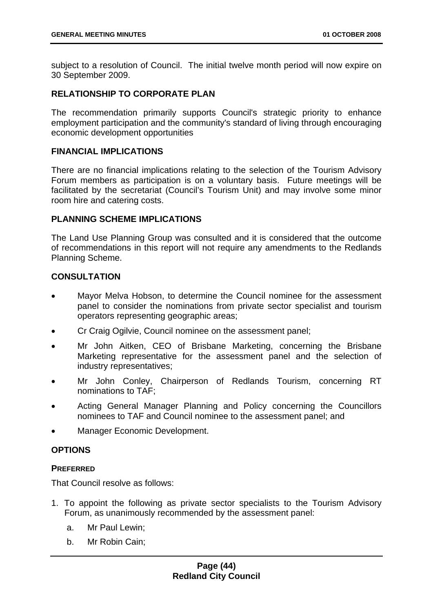subject to a resolution of Council. The initial twelve month period will now expire on 30 September 2009.

# **RELATIONSHIP TO CORPORATE PLAN**

The recommendation primarily supports Council's strategic priority to enhance employment participation and the community's standard of living through encouraging economic development opportunities

#### **FINANCIAL IMPLICATIONS**

There are no financial implications relating to the selection of the Tourism Advisory Forum members as participation is on a voluntary basis. Future meetings will be facilitated by the secretariat (Council's Tourism Unit) and may involve some minor room hire and catering costs.

# **PLANNING SCHEME IMPLICATIONS**

The Land Use Planning Group was consulted and it is considered that the outcome of recommendations in this report will not require any amendments to the Redlands Planning Scheme.

## **CONSULTATION**

- Mayor Melva Hobson, to determine the Council nominee for the assessment panel to consider the nominations from private sector specialist and tourism operators representing geographic areas;
- Cr Craig Ogilvie, Council nominee on the assessment panel;
- Mr John Aitken, CEO of Brisbane Marketing, concerning the Brisbane Marketing representative for the assessment panel and the selection of industry representatives;
- Mr John Conley, Chairperson of Redlands Tourism, concerning RT nominations to TAF;
- Acting General Manager Planning and Policy concerning the Councillors nominees to TAF and Council nominee to the assessment panel; and
- Manager Economic Development.

# **OPTIONS**

#### **PREFERRED**

That Council resolve as follows:

- 1. To appoint the following as private sector specialists to the Tourism Advisory Forum, as unanimously recommended by the assessment panel:
	- a. Mr Paul Lewin;
	- b. Mr Robin Cain;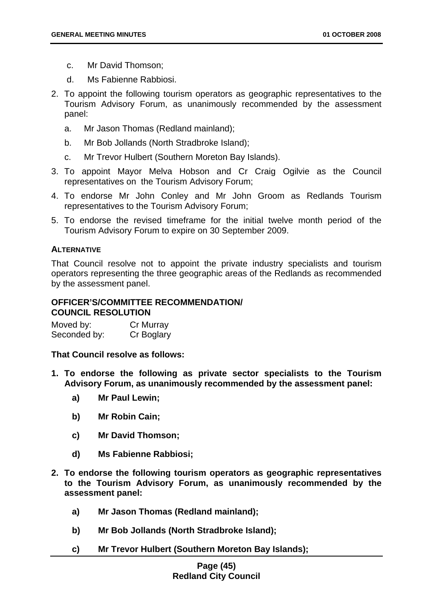- c. Mr David Thomson;
- d. Ms Fabienne Rabbiosi.
- 2. To appoint the following tourism operators as geographic representatives to the Tourism Advisory Forum, as unanimously recommended by the assessment panel:
	- a. Mr Jason Thomas (Redland mainland);
	- b. Mr Bob Jollands (North Stradbroke Island);
	- c. Mr Trevor Hulbert (Southern Moreton Bay Islands).
- 3. To appoint Mayor Melva Hobson and Cr Craig Ogilvie as the Council representatives on the Tourism Advisory Forum;
- 4. To endorse Mr John Conley and Mr John Groom as Redlands Tourism representatives to the Tourism Advisory Forum;
- 5. To endorse the revised timeframe for the initial twelve month period of the Tourism Advisory Forum to expire on 30 September 2009.

## **ALTERNATIVE**

That Council resolve not to appoint the private industry specialists and tourism operators representing the three geographic areas of the Redlands as recommended by the assessment panel.

# **OFFICER'S/COMMITTEE RECOMMENDATION/ COUNCIL RESOLUTION**

Moved by: Cr Murray Seconded by: Cr Boglary

**That Council resolve as follows:** 

- **1. To endorse the following as private sector specialists to the Tourism Advisory Forum, as unanimously recommended by the assessment panel:** 
	- **a) Mr Paul Lewin;**
	- **b) Mr Robin Cain;**
	- **c) Mr David Thomson;**
	- **d) Ms Fabienne Rabbiosi;**
- **2. To endorse the following tourism operators as geographic representatives to the Tourism Advisory Forum, as unanimously recommended by the assessment panel:** 
	- **a) Mr Jason Thomas (Redland mainland);**
	- **b) Mr Bob Jollands (North Stradbroke Island);**
	- **c) Mr Trevor Hulbert (Southern Moreton Bay Islands);**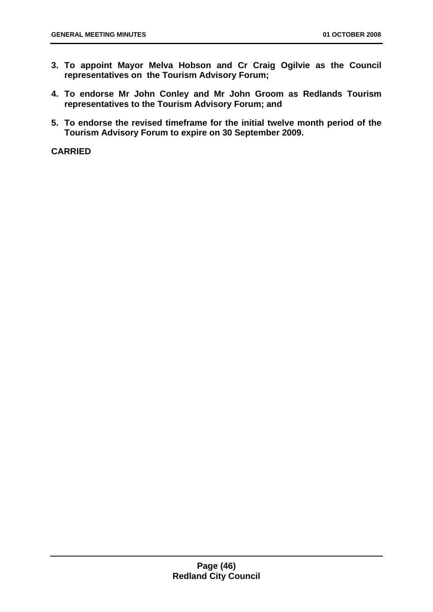- **3. To appoint Mayor Melva Hobson and Cr Craig Ogilvie as the Council representatives on the Tourism Advisory Forum;**
- **4. To endorse Mr John Conley and Mr John Groom as Redlands Tourism representatives to the Tourism Advisory Forum; and**
- **5. To endorse the revised timeframe for the initial twelve month period of the Tourism Advisory Forum to expire on 30 September 2009.**

**CARRIED**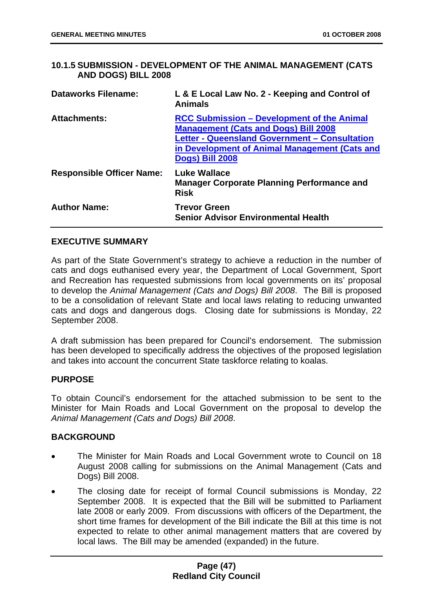## **10.1.5 SUBMISSION - DEVELOPMENT OF THE ANIMAL MANAGEMENT (CATS AND DOGS) BILL 2008**

| <b>Dataworks Filename:</b>       | L & E Local Law No. 2 - Keeping and Control of<br><b>Animals</b>                                                                                                                                                      |
|----------------------------------|-----------------------------------------------------------------------------------------------------------------------------------------------------------------------------------------------------------------------|
| <b>Attachments:</b>              | <b>RCC Submission – Development of the Animal</b><br><b>Management (Cats and Dogs) Bill 2008</b><br>Letter - Queensland Government - Consultation<br>in Development of Animal Management (Cats and<br>Dogs) Bill 2008 |
| <b>Responsible Officer Name:</b> | <b>Luke Wallace</b><br><b>Manager Corporate Planning Performance and</b><br><b>Risk</b>                                                                                                                               |
| <b>Author Name:</b>              | <b>Trevor Green</b><br><b>Senior Advisor Environmental Health</b>                                                                                                                                                     |

## **EXECUTIVE SUMMARY**

As part of the State Government's strategy to achieve a reduction in the number of cats and dogs euthanised every year, the Department of Local Government, Sport and Recreation has requested submissions from local governments on its' proposal to develop the *Animal Management (Cats and Dogs) Bill 2008*. The Bill is proposed to be a consolidation of relevant State and local laws relating to reducing unwanted cats and dogs and dangerous dogs. Closing date for submissions is Monday, 22 September 2008.

A draft submission has been prepared for Council's endorsement. The submission has been developed to specifically address the objectives of the proposed legislation and takes into account the concurrent State taskforce relating to koalas.

#### **PURPOSE**

To obtain Council's endorsement for the attached submission to be sent to the Minister for Main Roads and Local Government on the proposal to develop the *Animal Management (Cats and Dogs) Bill 2008*.

# **BACKGROUND**

- The Minister for Main Roads and Local Government wrote to Council on 18 August 2008 calling for submissions on the Animal Management (Cats and Dogs) Bill 2008.
- The closing date for receipt of formal Council submissions is Monday, 22 September 2008. It is expected that the Bill will be submitted to Parliament late 2008 or early 2009. From discussions with officers of the Department, the short time frames for development of the Bill indicate the Bill at this time is not expected to relate to other animal management matters that are covered by local laws. The Bill may be amended (expanded) in the future.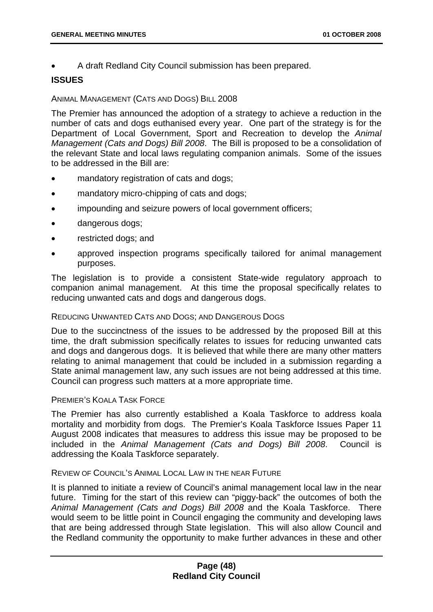• A draft Redland City Council submission has been prepared.

# **ISSUES**

### ANIMAL MANAGEMENT (CATS AND DOGS) BILL 2008

The Premier has announced the adoption of a strategy to achieve a reduction in the number of cats and dogs euthanised every year. One part of the strategy is for the Department of Local Government, Sport and Recreation to develop the *Animal Management (Cats and Dogs) Bill 2008*. The Bill is proposed to be a consolidation of the relevant State and local laws regulating companion animals. Some of the issues to be addressed in the Bill are:

- mandatory registration of cats and dogs;
- mandatory micro-chipping of cats and dogs;
- impounding and seizure powers of local government officers;
- dangerous dogs;
- restricted dogs; and
- approved inspection programs specifically tailored for animal management purposes.

The legislation is to provide a consistent State-wide regulatory approach to companion animal management. At this time the proposal specifically relates to reducing unwanted cats and dogs and dangerous dogs.

#### REDUCING UNWANTED CATS AND DOGS; AND DANGEROUS DOGS

Due to the succinctness of the issues to be addressed by the proposed Bill at this time, the draft submission specifically relates to issues for reducing unwanted cats and dogs and dangerous dogs. It is believed that while there are many other matters relating to animal management that could be included in a submission regarding a State animal management law, any such issues are not being addressed at this time. Council can progress such matters at a more appropriate time.

#### PREMIER'S KOALA TASK FORCE

The Premier has also currently established a Koala Taskforce to address koala mortality and morbidity from dogs. The Premier's Koala Taskforce Issues Paper 11 August 2008 indicates that measures to address this issue may be proposed to be included in the *Animal Management (Cats and Dogs) Bill 2008*. Council is addressing the Koala Taskforce separately.

### REVIEW OF COUNCIL'S ANIMAL LOCAL LAW IN THE NEAR FUTURE

It is planned to initiate a review of Council's animal management local law in the near future. Timing for the start of this review can "piggy-back" the outcomes of both the *Animal Management (Cats and Dogs) Bill 2008* and the Koala Taskforce. There would seem to be little point in Council engaging the community and developing laws that are being addressed through State legislation. This will also allow Council and the Redland community the opportunity to make further advances in these and other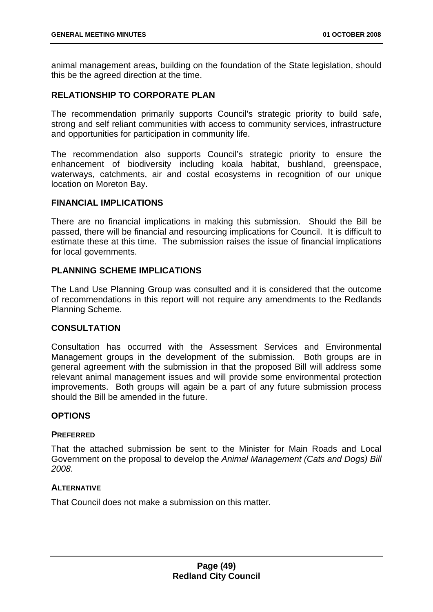animal management areas, building on the foundation of the State legislation, should this be the agreed direction at the time.

## **RELATIONSHIP TO CORPORATE PLAN**

The recommendation primarily supports Council's strategic priority to build safe, strong and self reliant communities with access to community services, infrastructure and opportunities for participation in community life.

The recommendation also supports Council's strategic priority to ensure the enhancement of biodiversity including koala habitat, bushland, greenspace, waterways, catchments, air and costal ecosystems in recognition of our unique location on Moreton Bay.

## **FINANCIAL IMPLICATIONS**

There are no financial implications in making this submission. Should the Bill be passed, there will be financial and resourcing implications for Council. It is difficult to estimate these at this time. The submission raises the issue of financial implications for local governments.

## **PLANNING SCHEME IMPLICATIONS**

The Land Use Planning Group was consulted and it is considered that the outcome of recommendations in this report will not require any amendments to the Redlands Planning Scheme.

# **CONSULTATION**

Consultation has occurred with the Assessment Services and Environmental Management groups in the development of the submission. Both groups are in general agreement with the submission in that the proposed Bill will address some relevant animal management issues and will provide some environmental protection improvements. Both groups will again be a part of any future submission process should the Bill be amended in the future.

#### **OPTIONS**

#### **PREFERRED**

That the attached submission be sent to the Minister for Main Roads and Local Government on the proposal to develop the *Animal Management (Cats and Dogs) Bill 2008*.

#### **ALTERNATIVE**

That Council does not make a submission on this matter.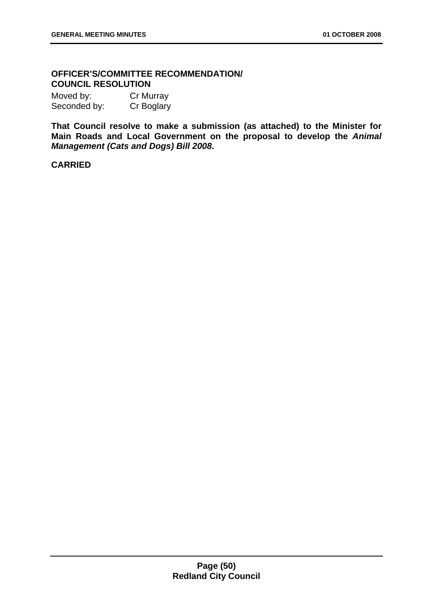# **OFFICER'S/COMMITTEE RECOMMENDATION/ COUNCIL RESOLUTION**

Moved by: Cr Murray Seconded by: Cr Boglary

**That Council resolve to make a submission (as attached) to the Minister for Main Roads and Local Government on the proposal to develop the** *Animal Management (Cats and Dogs) Bill 2008***.** 

# **CARRIED**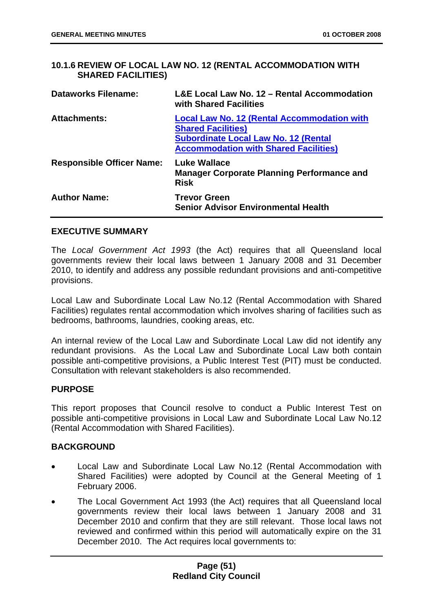# **10.1.6 REVIEW OF LOCAL LAW NO. 12 (RENTAL ACCOMMODATION WITH SHARED FACILITIES)**

| <b>Dataworks Filename:</b>       | L&E Local Law No. 12 – Rental Accommodation<br>with Shared Facilities                                                                                                          |
|----------------------------------|--------------------------------------------------------------------------------------------------------------------------------------------------------------------------------|
| <b>Attachments:</b>              | <b>Local Law No. 12 (Rental Accommodation with</b><br><b>Shared Facilities)</b><br><b>Subordinate Local Law No. 12 (Rental</b><br><b>Accommodation with Shared Facilities)</b> |
| <b>Responsible Officer Name:</b> | <b>Luke Wallace</b><br><b>Manager Corporate Planning Performance and</b><br><b>Risk</b>                                                                                        |
| <b>Author Name:</b>              | <b>Trevor Green</b><br><b>Senior Advisor Environmental Health</b>                                                                                                              |

## **EXECUTIVE SUMMARY**

The *Local Government Act 1993* (the Act) requires that all Queensland local governments review their local laws between 1 January 2008 and 31 December 2010, to identify and address any possible redundant provisions and anti-competitive provisions.

Local Law and Subordinate Local Law No.12 (Rental Accommodation with Shared Facilities) regulates rental accommodation which involves sharing of facilities such as bedrooms, bathrooms, laundries, cooking areas, etc.

An internal review of the Local Law and Subordinate Local Law did not identify any redundant provisions. As the Local Law and Subordinate Local Law both contain possible anti-competitive provisions, a Public Interest Test (PIT) must be conducted. Consultation with relevant stakeholders is also recommended.

#### **PURPOSE**

This report proposes that Council resolve to conduct a Public Interest Test on possible anti-competitive provisions in Local Law and Subordinate Local Law No.12 (Rental Accommodation with Shared Facilities).

#### **BACKGROUND**

- Local Law and Subordinate Local Law No.12 (Rental Accommodation with Shared Facilities) were adopted by Council at the General Meeting of 1 February 2006.
- The Local Government Act 1993 (the Act) requires that all Queensland local governments review their local laws between 1 January 2008 and 31 December 2010 and confirm that they are still relevant. Those local laws not reviewed and confirmed within this period will automatically expire on the 31 December 2010. The Act requires local governments to: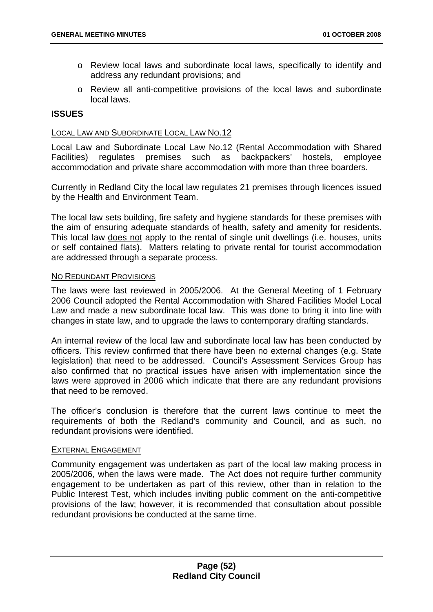- o Review local laws and subordinate local laws, specifically to identify and address any redundant provisions; and
- o Review all anti-competitive provisions of the local laws and subordinate local laws.

### **ISSUES**

#### LOCAL LAW AND SUBORDINATE LOCAL LAW NO.12

Local Law and Subordinate Local Law No.12 (Rental Accommodation with Shared Facilities) regulates premises such as backpackers' hostels, employee accommodation and private share accommodation with more than three boarders.

Currently in Redland City the local law regulates 21 premises through licences issued by the Health and Environment Team.

The local law sets building, fire safety and hygiene standards for these premises with the aim of ensuring adequate standards of health, safety and amenity for residents. This local law does not apply to the rental of single unit dwellings (i.e. houses, units or self contained flats). Matters relating to private rental for tourist accommodation are addressed through a separate process.

#### NO REDUNDANT PROVISIONS

The laws were last reviewed in 2005/2006. At the General Meeting of 1 February 2006 Council adopted the Rental Accommodation with Shared Facilities Model Local Law and made a new subordinate local law. This was done to bring it into line with changes in state law, and to upgrade the laws to contemporary drafting standards.

An internal review of the local law and subordinate local law has been conducted by officers. This review confirmed that there have been no external changes (e.g. State legislation) that need to be addressed. Council's Assessment Services Group has also confirmed that no practical issues have arisen with implementation since the laws were approved in 2006 which indicate that there are any redundant provisions that need to be removed.

The officer's conclusion is therefore that the current laws continue to meet the requirements of both the Redland's community and Council, and as such, no redundant provisions were identified.

#### EXTERNAL ENGAGEMENT

Community engagement was undertaken as part of the local law making process in 2005/2006, when the laws were made. The Act does not require further community engagement to be undertaken as part of this review, other than in relation to the Public Interest Test, which includes inviting public comment on the anti-competitive provisions of the law; however, it is recommended that consultation about possible redundant provisions be conducted at the same time.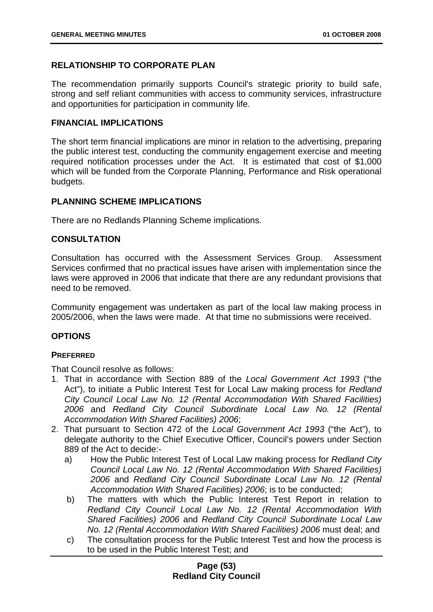# **RELATIONSHIP TO CORPORATE PLAN**

The recommendation primarily supports Council's strategic priority to build safe, strong and self reliant communities with access to community services, infrastructure and opportunities for participation in community life.

### **FINANCIAL IMPLICATIONS**

The short term financial implications are minor in relation to the advertising, preparing the public interest test, conducting the community engagement exercise and meeting required notification processes under the Act. It is estimated that cost of \$1,000 which will be funded from the Corporate Planning, Performance and Risk operational budgets.

## **PLANNING SCHEME IMPLICATIONS**

There are no Redlands Planning Scheme implications.

# **CONSULTATION**

Consultation has occurred with the Assessment Services Group. Assessment Services confirmed that no practical issues have arisen with implementation since the laws were approved in 2006 that indicate that there are any redundant provisions that need to be removed.

Community engagement was undertaken as part of the local law making process in 2005/2006, when the laws were made. At that time no submissions were received.

# **OPTIONS**

#### **PREFERRED**

That Council resolve as follows:

- 1. That in accordance with Section 889 of the *Local Government Act 1993* ("the Act"), to initiate a Public Interest Test for Local Law making process for *Redland City Council Local Law No. 12 (Rental Accommodation With Shared Facilities) 2006* and *Redland City Council Subordinate Local Law No. 12 (Rental Accommodation With Shared Facilities) 2006*;
- 2. That pursuant to Section 472 of the *Local Government Act 1993* ("the Act"), to delegate authority to the Chief Executive Officer, Council's powers under Section 889 of the Act to decide:
	- a) How the Public Interest Test of Local Law making process for *Redland City Council Local Law No. 12 (Rental Accommodation With Shared Facilities) 2006* and *Redland City Council Subordinate Local Law No. 12 (Rental Accommodation With Shared Facilities) 2006*; is to be conducted;
	- b) The matters with which the Public Interest Test Report in relation to *Redland City Council Local Law No. 12 (Rental Accommodation With Shared Facilities) 2006* and *Redland City Council Subordinate Local Law No. 12 (Rental Accommodation With Shared Facilities) 2006* must deal; and
	- c) The consultation process for the Public Interest Test and how the process is to be used in the Public Interest Test; and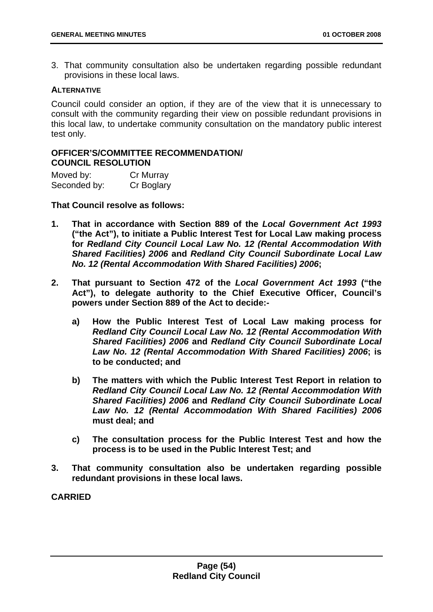3. That community consultation also be undertaken regarding possible redundant provisions in these local laws.

#### **ALTERNATIVE**

Council could consider an option, if they are of the view that it is unnecessary to consult with the community regarding their view on possible redundant provisions in this local law, to undertake community consultation on the mandatory public interest test only.

## **OFFICER'S/COMMITTEE RECOMMENDATION/ COUNCIL RESOLUTION**

| Moved by:    | Cr Murray  |
|--------------|------------|
| Seconded by: | Cr Boglary |

**That Council resolve as follows:** 

- **1. That in accordance with Section 889 of the** *Local Government Act 1993* **("the Act"), to initiate a Public Interest Test for Local Law making process for** *Redland City Council Local Law No. 12 (Rental Accommodation With Shared Facilities) 2006* **and** *Redland City Council Subordinate Local Law No. 12 (Rental Accommodation With Shared Facilities) 2006***;**
- **2. That pursuant to Section 472 of the** *Local Government Act 1993* **("the Act"), to delegate authority to the Chief Executive Officer, Council's powers under Section 889 of the Act to decide:** 
	- **a) How the Public Interest Test of Local Law making process for**  *Redland City Council Local Law No. 12 (Rental Accommodation With Shared Facilities) 2006* **and** *Redland City Council Subordinate Local Law No. 12 (Rental Accommodation With Shared Facilities) 2006***; is to be conducted; and**
	- **b) The matters with which the Public Interest Test Report in relation to**  *Redland City Council Local Law No. 12 (Rental Accommodation With Shared Facilities) 2006* **and** *Redland City Council Subordinate Local Law No. 12 (Rental Accommodation With Shared Facilities) 2006*  **must deal; and**
	- **c) The consultation process for the Public Interest Test and how the process is to be used in the Public Interest Test; and**
- **3. That community consultation also be undertaken regarding possible redundant provisions in these local laws.**

**CARRIED**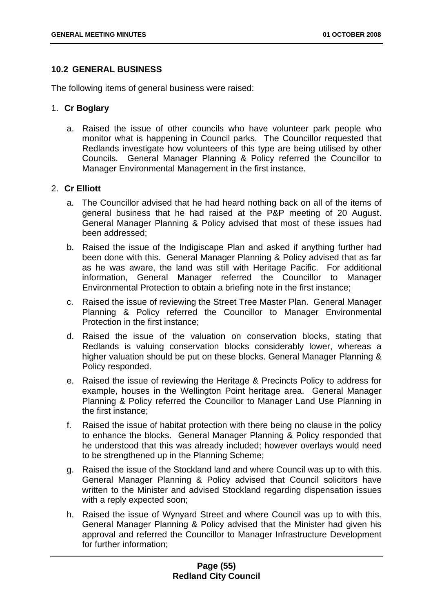## **10.2 GENERAL BUSINESS**

The following items of general business were raised:

### 1. **Cr Boglary**

a. Raised the issue of other councils who have volunteer park people who monitor what is happening in Council parks. The Councillor requested that Redlands investigate how volunteers of this type are being utilised by other Councils. General Manager Planning & Policy referred the Councillor to Manager Environmental Management in the first instance.

## 2. **Cr Elliott**

- a. The Councillor advised that he had heard nothing back on all of the items of general business that he had raised at the P&P meeting of 20 August. General Manager Planning & Policy advised that most of these issues had been addressed;
- b. Raised the issue of the Indigiscape Plan and asked if anything further had been done with this. General Manager Planning & Policy advised that as far as he was aware, the land was still with Heritage Pacific. For additional information, General Manager referred the Councillor to Manager Environmental Protection to obtain a briefing note in the first instance;
- c. Raised the issue of reviewing the Street Tree Master Plan. General Manager Planning & Policy referred the Councillor to Manager Environmental Protection in the first instance;
- d. Raised the issue of the valuation on conservation blocks, stating that Redlands is valuing conservation blocks considerably lower, whereas a higher valuation should be put on these blocks. General Manager Planning & Policy responded.
- e. Raised the issue of reviewing the Heritage & Precincts Policy to address for example, houses in the Wellington Point heritage area. General Manager Planning & Policy referred the Councillor to Manager Land Use Planning in the first instance;
- f. Raised the issue of habitat protection with there being no clause in the policy to enhance the blocks. General Manager Planning & Policy responded that he understood that this was already included; however overlays would need to be strengthened up in the Planning Scheme;
- g. Raised the issue of the Stockland land and where Council was up to with this. General Manager Planning & Policy advised that Council solicitors have written to the Minister and advised Stockland regarding dispensation issues with a reply expected soon;
- h. Raised the issue of Wynyard Street and where Council was up to with this. General Manager Planning & Policy advised that the Minister had given his approval and referred the Councillor to Manager Infrastructure Development for further information;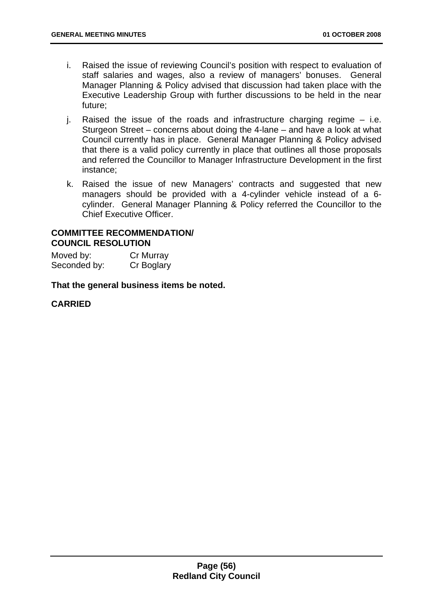- i. Raised the issue of reviewing Council's position with respect to evaluation of staff salaries and wages, also a review of managers' bonuses. General Manager Planning & Policy advised that discussion had taken place with the Executive Leadership Group with further discussions to be held in the near future;
- j. Raised the issue of the roads and infrastructure charging regime i.e. Sturgeon Street – concerns about doing the 4-lane – and have a look at what Council currently has in place. General Manager Planning & Policy advised that there is a valid policy currently in place that outlines all those proposals and referred the Councillor to Manager Infrastructure Development in the first instance;
- k. Raised the issue of new Managers' contracts and suggested that new managers should be provided with a 4-cylinder vehicle instead of a 6 cylinder. General Manager Planning & Policy referred the Councillor to the Chief Executive Officer.

### **COMMITTEE RECOMMENDATION/ COUNCIL RESOLUTION**

Moved by: Cr Murray Seconded by: Cr Boglary

**That the general business items be noted.** 

# **CARRIED**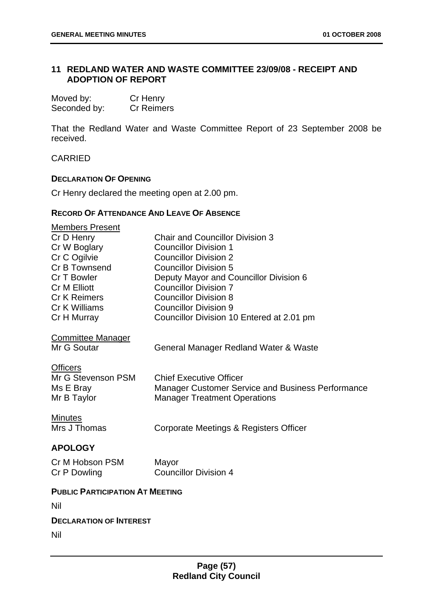# **11 REDLAND WATER AND WASTE COMMITTEE 23/09/08 - RECEIPT AND ADOPTION OF REPORT**

| Moved by:    | Cr Henry          |
|--------------|-------------------|
| Seconded by: | <b>Cr Reimers</b> |

That the Redland Water and Waste Committee Report of 23 September 2008 be received.

CARRIED

#### **DECLARATION OF OPENING**

Cr Henry declared the meeting open at 2.00 pm.

## **RECORD OF ATTENDANCE AND LEAVE OF ABSENCE**

| <b>Members Present</b><br>Cr D Henry<br>Cr W Boglary<br>Cr C Ogilvie<br>Cr B Townsend<br>Cr T Bowler<br><b>Cr M Elliott</b><br><b>Cr K Reimers</b><br>Cr K Williams<br>Cr H Murray | <b>Chair and Councillor Division 3</b><br><b>Councillor Division 1</b><br><b>Councillor Division 2</b><br><b>Councillor Division 5</b><br>Deputy Mayor and Councillor Division 6<br><b>Councillor Division 7</b><br><b>Councillor Division 8</b><br><b>Councillor Division 9</b><br>Councillor Division 10 Entered at 2.01 pm |
|------------------------------------------------------------------------------------------------------------------------------------------------------------------------------------|-------------------------------------------------------------------------------------------------------------------------------------------------------------------------------------------------------------------------------------------------------------------------------------------------------------------------------|
| <b>Committee Manager</b><br>Mr G Soutar                                                                                                                                            | General Manager Redland Water & Waste                                                                                                                                                                                                                                                                                         |
| <b>Officers</b><br>Mr G Stevenson PSM<br>Ms E Bray<br>Mr B Taylor                                                                                                                  | <b>Chief Executive Officer</b><br><b>Manager Customer Service and Business Performance</b><br><b>Manager Treatment Operations</b>                                                                                                                                                                                             |
| <b>Minutes</b><br>Mrs J Thomas                                                                                                                                                     | Corporate Meetings & Registers Officer                                                                                                                                                                                                                                                                                        |
| <b>APOLOGY</b><br>Cr M Hobson PSM<br>Cr P Dowling                                                                                                                                  | Mayor<br><b>Councillor Division 4</b>                                                                                                                                                                                                                                                                                         |
| <b>PUBLIC PARTICIPATION AT MEETING</b><br>Nil                                                                                                                                      |                                                                                                                                                                                                                                                                                                                               |
| <b>DECLARATION OF INTEREST</b><br>Nil                                                                                                                                              |                                                                                                                                                                                                                                                                                                                               |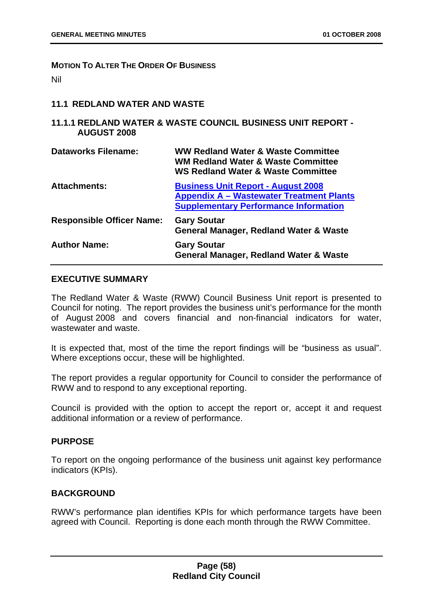#### **MOTION TO ALTER THE ORDER OF BUSINESS**

Nil

## **11.1 REDLAND WATER AND WASTE**

#### **11.1.1 REDLAND WATER & WASTE COUNCIL BUSINESS UNIT REPORT - AUGUST 2008**

| <b>Dataworks Filename:</b>       | <b>WW Redland Water &amp; Waste Committee</b><br><b>WM Redland Water &amp; Waste Committee</b><br><b>WS Redland Water &amp; Waste Committee</b> |
|----------------------------------|-------------------------------------------------------------------------------------------------------------------------------------------------|
| <b>Attachments:</b>              | <b>Business Unit Report - August 2008</b><br><b>Appendix A – Wastewater Treatment Plants</b><br><b>Supplementary Performance Information</b>    |
| <b>Responsible Officer Name:</b> | <b>Gary Soutar</b><br><b>General Manager, Redland Water &amp; Waste</b>                                                                         |
| <b>Author Name:</b>              | <b>Gary Soutar</b><br><b>General Manager, Redland Water &amp; Waste</b>                                                                         |

#### **EXECUTIVE SUMMARY**

The Redland Water & Waste (RWW) Council Business Unit report is presented to Council for noting. The report provides the business unit's performance for the month of August 2008 and covers financial and non-financial indicators for water, wastewater and waste.

It is expected that, most of the time the report findings will be "business as usual". Where exceptions occur, these will be highlighted.

The report provides a regular opportunity for Council to consider the performance of RWW and to respond to any exceptional reporting.

Council is provided with the option to accept the report or, accept it and request additional information or a review of performance.

#### **PURPOSE**

To report on the ongoing performance of the business unit against key performance indicators (KPIs).

# **BACKGROUND**

RWW's performance plan identifies KPIs for which performance targets have been agreed with Council. Reporting is done each month through the RWW Committee.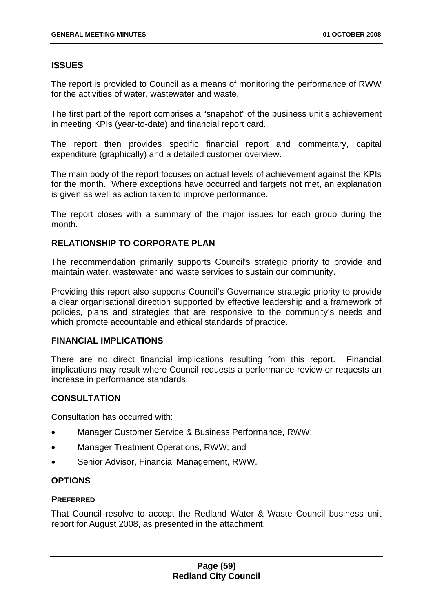# **ISSUES**

The report is provided to Council as a means of monitoring the performance of RWW for the activities of water, wastewater and waste.

The first part of the report comprises a "snapshot" of the business unit's achievement in meeting KPIs (year-to-date) and financial report card.

The report then provides specific financial report and commentary, capital expenditure (graphically) and a detailed customer overview.

The main body of the report focuses on actual levels of achievement against the KPIs for the month. Where exceptions have occurred and targets not met, an explanation is given as well as action taken to improve performance.

The report closes with a summary of the major issues for each group during the month.

# **RELATIONSHIP TO CORPORATE PLAN**

The recommendation primarily supports Council's strategic priority to provide and maintain water, wastewater and waste services to sustain our community.

Providing this report also supports Council's Governance strategic priority to provide a clear organisational direction supported by effective leadership and a framework of policies, plans and strategies that are responsive to the community's needs and which promote accountable and ethical standards of practice.

#### **FINANCIAL IMPLICATIONS**

There are no direct financial implications resulting from this report. Financial implications may result where Council requests a performance review or requests an increase in performance standards.

# **CONSULTATION**

Consultation has occurred with:

- Manager Customer Service & Business Performance, RWW;
- Manager Treatment Operations, RWW; and
- Senior Advisor, Financial Management, RWW.

# **OPTIONS**

#### **PREFERRED**

That Council resolve to accept the Redland Water & Waste Council business unit report for August 2008, as presented in the attachment.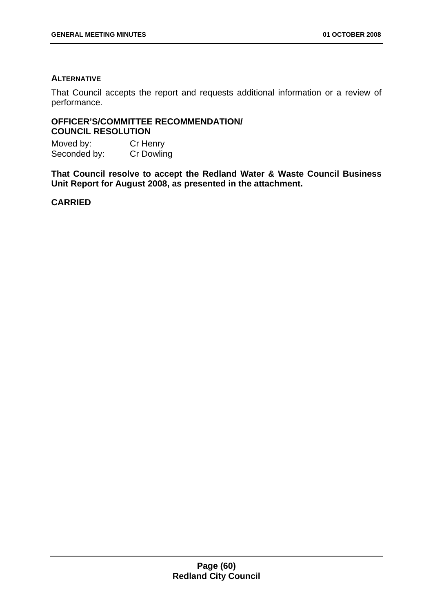# **ALTERNATIVE**

That Council accepts the report and requests additional information or a review of performance.

# **OFFICER'S/COMMITTEE RECOMMENDATION/ COUNCIL RESOLUTION**

Moved by: Cr Henry Seconded by: Cr Dowling

**That Council resolve to accept the Redland Water & Waste Council Business Unit Report for August 2008, as presented in the attachment.** 

**CARRIED**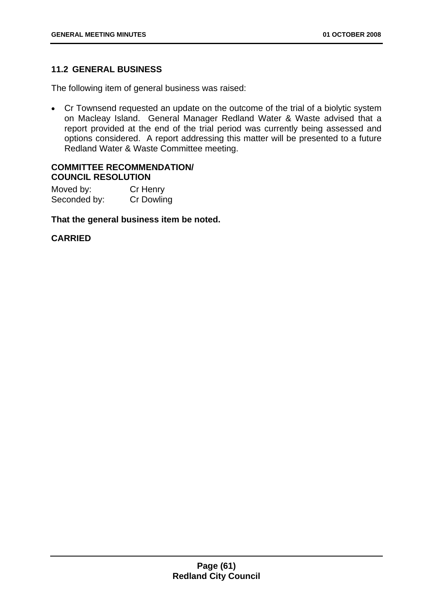# **11.2 GENERAL BUSINESS**

The following item of general business was raised:

• Cr Townsend requested an update on the outcome of the trial of a biolytic system on Macleay Island. General Manager Redland Water & Waste advised that a report provided at the end of the trial period was currently being assessed and options considered. A report addressing this matter will be presented to a future Redland Water & Waste Committee meeting.

## **COMMITTEE RECOMMENDATION/ COUNCIL RESOLUTION**

Moved by: Cr Henry Seconded by: Cr Dowling

## **That the general business item be noted.**

# **CARRIED**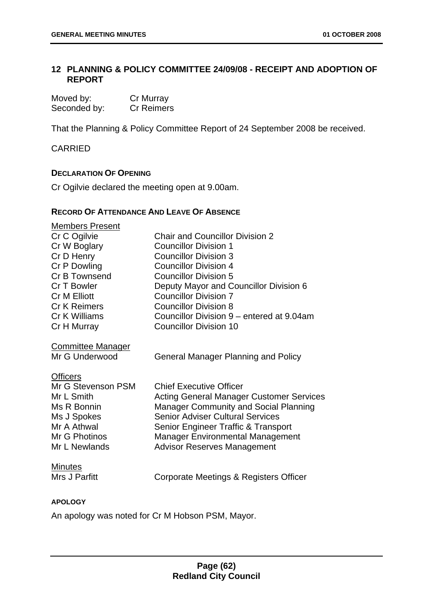# **12 PLANNING & POLICY COMMITTEE 24/09/08 - RECEIPT AND ADOPTION OF REPORT**

| Moved by:    | Cr Murray         |
|--------------|-------------------|
| Seconded by: | <b>Cr Reimers</b> |

That the Planning & Policy Committee Report of 24 September 2008 be received.

CARRIED

## **DECLARATION OF OPENING**

Cr Ogilvie declared the meeting open at 9.00am.

## **RECORD OF ATTENDANCE AND LEAVE OF ABSENCE**

| <b>Members Present</b>   |                                                 |
|--------------------------|-------------------------------------------------|
| Cr C Ogilvie             | <b>Chair and Councillor Division 2</b>          |
| Cr W Boglary             | <b>Councillor Division 1</b>                    |
| Cr D Henry               | <b>Councillor Division 3</b>                    |
| Cr P Dowling             | <b>Councillor Division 4</b>                    |
| Cr B Townsend            | <b>Councillor Division 5</b>                    |
| Cr T Bowler              | Deputy Mayor and Councillor Division 6          |
| <b>Cr M Elliott</b>      | <b>Councillor Division 7</b>                    |
| <b>Cr K Reimers</b>      | <b>Councillor Division 8</b>                    |
| Cr K Williams            | Councillor Division 9 – entered at 9.04am       |
| Cr H Murray              | <b>Councillor Division 10</b>                   |
| <b>Committee Manager</b> |                                                 |
| Mr G Underwood           | <b>General Manager Planning and Policy</b>      |
| <b>Officers</b>          |                                                 |
| Mr G Stevenson PSM       | <b>Chief Executive Officer</b>                  |
| Mr L Smith               | <b>Acting General Manager Customer Services</b> |
| Ms R Bonnin              | <b>Manager Community and Social Planning</b>    |
| Ms J Spokes              | <b>Senior Adviser Cultural Services</b>         |
| Mr A Athwal              | Senior Engineer Traffic & Transport             |
| Mr G Photinos            | <b>Manager Environmental Management</b>         |
| Mr L Newlands            | <b>Advisor Reserves Management</b>              |
| <b>Minutes</b>           |                                                 |
| Mrs J Parfitt            | Corporate Meetings & Registers Officer          |
|                          |                                                 |

#### **APOLOGY**

An apology was noted for Cr M Hobson PSM, Mayor.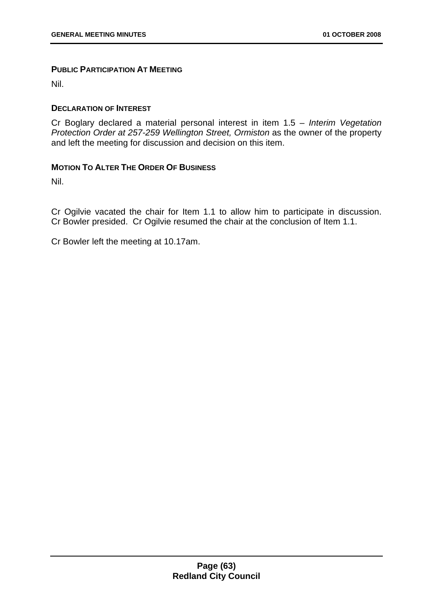### **PUBLIC PARTICIPATION AT MEETING**

Nil.

## **DECLARATION OF INTEREST**

Cr Boglary declared a material personal interest in item 1.5 – *Interim Vegetation Protection Order at 257-259 Wellington Street, Ormiston* as the owner of the property and left the meeting for discussion and decision on this item.

## **MOTION TO ALTER THE ORDER OF BUSINESS**

Nil.

Cr Ogilvie vacated the chair for Item 1.1 to allow him to participate in discussion. Cr Bowler presided. Cr Ogilvie resumed the chair at the conclusion of Item 1.1.

Cr Bowler left the meeting at 10.17am.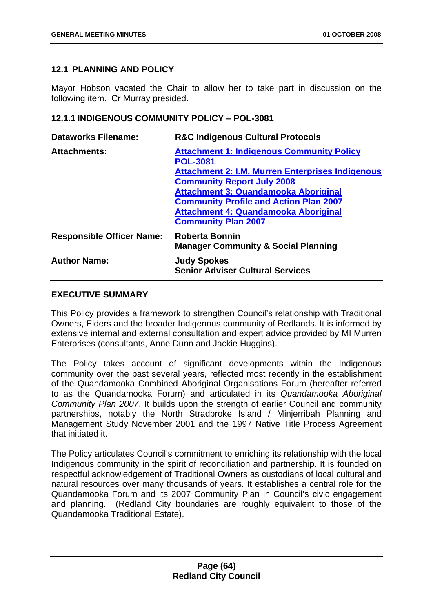# **12.1 PLANNING AND POLICY**

Mayor Hobson vacated the Chair to allow her to take part in discussion on the following item. Cr Murray presided.

# **12.1.1 INDIGENOUS COMMUNITY POLICY – POL-3081**

| <b>R&amp;C Indigenous Cultural Protocols</b>                                                                                                                                                                                                                                                                                       |
|------------------------------------------------------------------------------------------------------------------------------------------------------------------------------------------------------------------------------------------------------------------------------------------------------------------------------------|
| <b>Attachment 1: Indigenous Community Policy</b><br><b>POL-3081</b><br>Attachment 2: I.M. Murren Enterprises Indigenous<br><b>Community Report July 2008</b><br><b>Attachment 3: Quandamooka Aboriginal</b><br><b>Community Profile and Action Plan 2007</b><br>Attachment 4: Quandamooka Aboriginal<br><b>Community Plan 2007</b> |
| <b>Roberta Bonnin</b><br><b>Manager Community &amp; Social Planning</b>                                                                                                                                                                                                                                                            |
| <b>Judy Spokes</b><br><b>Senior Adviser Cultural Services</b>                                                                                                                                                                                                                                                                      |
|                                                                                                                                                                                                                                                                                                                                    |

# **EXECUTIVE SUMMARY**

This Policy provides a framework to strengthen Council's relationship with Traditional Owners, Elders and the broader Indigenous community of Redlands. It is informed by extensive internal and external consultation and expert advice provided by MI Murren Enterprises (consultants, Anne Dunn and Jackie Huggins).

The Policy takes account of significant developments within the Indigenous community over the past several years, reflected most recently in the establishment of the Quandamooka Combined Aboriginal Organisations Forum (hereafter referred to as the Quandamooka Forum) and articulated in its *Quandamooka Aboriginal Community Plan 2007*. It builds upon the strength of earlier Council and community partnerships, notably the North Stradbroke Island / Minjerribah Planning and Management Study November 2001 and the 1997 Native Title Process Agreement that initiated it.

The Policy articulates Council's commitment to enriching its relationship with the local Indigenous community in the spirit of reconciliation and partnership. It is founded on respectful acknowledgement of Traditional Owners as custodians of local cultural and natural resources over many thousands of years. It establishes a central role for the Quandamooka Forum and its 2007 Community Plan in Council's civic engagement and planning. (Redland City boundaries are roughly equivalent to those of the Quandamooka Traditional Estate).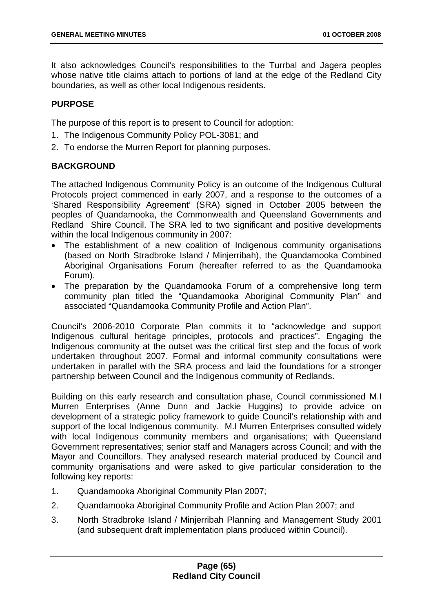It also acknowledges Council's responsibilities to the Turrbal and Jagera peoples whose native title claims attach to portions of land at the edge of the Redland City boundaries, as well as other local Indigenous residents.

# **PURPOSE**

The purpose of this report is to present to Council for adoption:

- 1. The Indigenous Community Policy POL-3081; and
- 2. To endorse the Murren Report for planning purposes.

# **BACKGROUND**

The attached Indigenous Community Policy is an outcome of the Indigenous Cultural Protocols project commenced in early 2007, and a response to the outcomes of a 'Shared Responsibility Agreement' (SRA) signed in October 2005 between the peoples of Quandamooka, the Commonwealth and Queensland Governments and Redland Shire Council. The SRA led to two significant and positive developments within the local Indigenous community in 2007:

- The establishment of a new coalition of Indigenous community organisations (based on North Stradbroke Island / Minjerribah), the Quandamooka Combined Aboriginal Organisations Forum (hereafter referred to as the Quandamooka Forum).
- The preparation by the Quandamooka Forum of a comprehensive long term community plan titled the "Quandamooka Aboriginal Community Plan" and associated "Quandamooka Community Profile and Action Plan".

Council's 2006-2010 Corporate Plan commits it to "acknowledge and support Indigenous cultural heritage principles, protocols and practices". Engaging the Indigenous community at the outset was the critical first step and the focus of work undertaken throughout 2007. Formal and informal community consultations were undertaken in parallel with the SRA process and laid the foundations for a stronger partnership between Council and the Indigenous community of Redlands.

Building on this early research and consultation phase, Council commissioned M.I Murren Enterprises (Anne Dunn and Jackie Huggins) to provide advice on development of a strategic policy framework to guide Council's relationship with and support of the local Indigenous community. M.I Murren Enterprises consulted widely with local Indigenous community members and organisations; with Queensland Government representatives; senior staff and Managers across Council; and with the Mayor and Councillors. They analysed research material produced by Council and community organisations and were asked to give particular consideration to the following key reports:

- 1. Quandamooka Aboriginal Community Plan 2007;
- 2. Quandamooka Aboriginal Community Profile and Action Plan 2007; and
- 3. North Stradbroke Island / Minjerribah Planning and Management Study 2001 (and subsequent draft implementation plans produced within Council).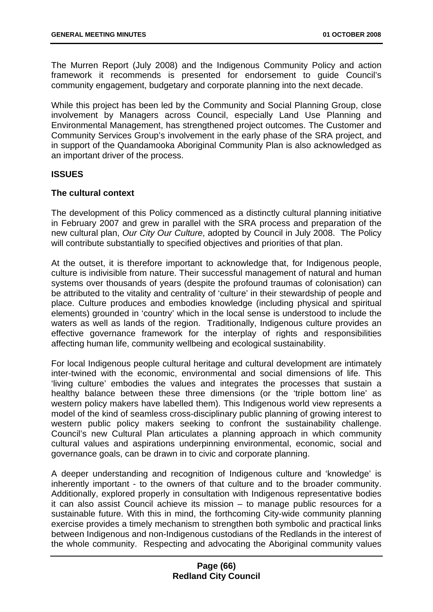The Murren Report (July 2008) and the Indigenous Community Policy and action framework it recommends is presented for endorsement to guide Council's community engagement, budgetary and corporate planning into the next decade.

While this project has been led by the Community and Social Planning Group, close involvement by Managers across Council, especially Land Use Planning and Environmental Management, has strengthened project outcomes. The Customer and Community Services Group's involvement in the early phase of the SRA project, and in support of the Quandamooka Aboriginal Community Plan is also acknowledged as an important driver of the process.

## **ISSUES**

## **The cultural context**

The development of this Policy commenced as a distinctly cultural planning initiative in February 2007 and grew in parallel with the SRA process and preparation of the new cultural plan, *Our City Our Culture*, adopted by Council in July 2008. The Policy will contribute substantially to specified objectives and priorities of that plan.

At the outset, it is therefore important to acknowledge that, for Indigenous people, culture is indivisible from nature. Their successful management of natural and human systems over thousands of years (despite the profound traumas of colonisation) can be attributed to the vitality and centrality of 'culture' in their stewardship of people and place. Culture produces and embodies knowledge (including physical and spiritual elements) grounded in 'country' which in the local sense is understood to include the waters as well as lands of the region. Traditionally, Indigenous culture provides an effective governance framework for the interplay of rights and responsibilities affecting human life, community wellbeing and ecological sustainability.

For local Indigenous people cultural heritage and cultural development are intimately inter-twined with the economic, environmental and social dimensions of life. This 'living culture' embodies the values and integrates the processes that sustain a healthy balance between these three dimensions (or the 'triple bottom line' as western policy makers have labelled them). This Indigenous world view represents a model of the kind of seamless cross-disciplinary public planning of growing interest to western public policy makers seeking to confront the sustainability challenge. Council's new Cultural Plan articulates a planning approach in which community cultural values and aspirations underpinning environmental, economic, social and governance goals, can be drawn in to civic and corporate planning.

A deeper understanding and recognition of Indigenous culture and 'knowledge' is inherently important - to the owners of that culture and to the broader community. Additionally, explored properly in consultation with Indigenous representative bodies it can also assist Council achieve its mission – to manage public resources for a sustainable future. With this in mind, the forthcoming City-wide community planning exercise provides a timely mechanism to strengthen both symbolic and practical links between Indigenous and non-Indigenous custodians of the Redlands in the interest of the whole community. Respecting and advocating the Aboriginal community values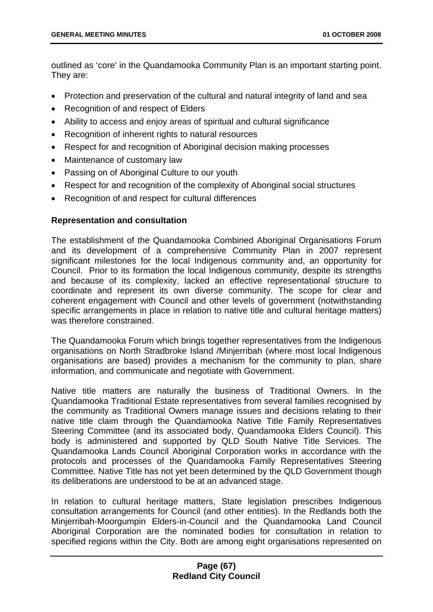outlined as 'core' in the Quandamooka Community Plan is an important starting point. They are:

- Protection and preservation of the cultural and natural integrity of land and sea
- Recognition of and respect of Elders
- Ability to access and enjoy areas of spiritual and cultural significance
- Recognition of inherent rights to natural resources
- Respect for and recognition of Aboriginal decision making processes
- Maintenance of customary law
- Passing on of Aboriginal Culture to our youth
- Respect for and recognition of the complexity of Aboriginal social structures
- Recognition of and respect for cultural differences

## **Representation and consultation**

The establishment of the Quandamooka Combined Aboriginal Organisations Forum and its development of a comprehensive Community Plan in 2007 represent significant milestones for the local Indigenous community and, an opportunity for Council. Prior to its formation the local Indigenous community, despite its strengths and because of its complexity, lacked an effective representational structure to coordinate and represent its own diverse community. The scope for clear and coherent engagement with Council and other levels of government (notwithstanding specific arrangements in place in relation to native title and cultural heritage matters) was therefore constrained.

The Quandamooka Forum which brings together representatives from the Indigenous organisations on North Stradbroke Island /Minjerribah (where most local Indigenous organisations are based) provides a mechanism for the community to plan, share information, and communicate and negotiate with Government.

Native title matters are naturally the business of Traditional Owners. In the Quandamooka Traditional Estate representatives from several families recognised by the community as Traditional Owners manage issues and decisions relating to their native title claim through the Quandamooka Native Title Family Representatives Steering Committee (and its associated body, Quandamooka Elders Council). This body is administered and supported by QLD South Native Title Services. The Quandamooka Lands Council Aboriginal Corporation works in accordance with the protocols and processes of the Quandamooka Family Representatives Steering Committee. Native Title has not yet been determined by the QLD Government though its deliberations are understood to be at an advanced stage.

In relation to cultural heritage matters, State legislation prescribes Indigenous consultation arrangements for Council (and other entities). In the Redlands both the Minjerribah-Moorgumpin Elders-in-Council and the Quandamooka Land Council Aboriginal Corporation are the nominated bodies for consultation in relation to specified regions within the City. Both are among eight organisations represented on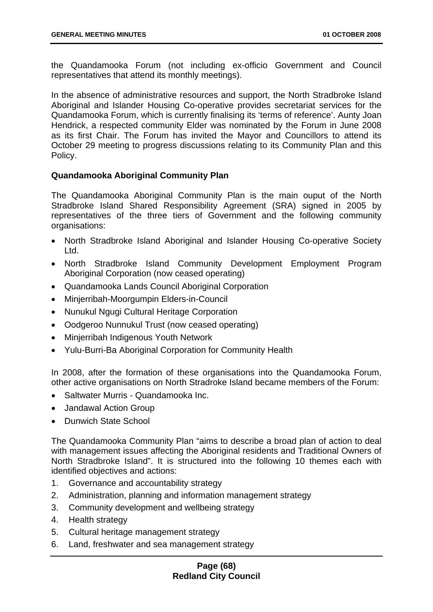the Quandamooka Forum (not including ex-officio Government and Council representatives that attend its monthly meetings).

In the absence of administrative resources and support, the North Stradbroke Island Aboriginal and Islander Housing Co-operative provides secretariat services for the Quandamooka Forum, which is currently finalising its 'terms of reference'. Aunty Joan Hendrick, a respected community Elder was nominated by the Forum in June 2008 as its first Chair. The Forum has invited the Mayor and Councillors to attend its October 29 meeting to progress discussions relating to its Community Plan and this Policy.

## **Quandamooka Aboriginal Community Plan**

The Quandamooka Aboriginal Community Plan is the main ouput of the North Stradbroke Island Shared Responsibility Agreement (SRA) signed in 2005 by representatives of the three tiers of Government and the following community organisations:

- North Stradbroke Island Aboriginal and Islander Housing Co-operative Society Ltd.
- North Stradbroke Island Community Development Employment Program Aboriginal Corporation (now ceased operating)
- Quandamooka Lands Council Aboriginal Corporation
- Minjerribah-Moorgumpin Elders-in-Council
- Nunukul Ngugi Cultural Heritage Corporation
- Oodgeroo Nunnukul Trust (now ceased operating)
- Minjerribah Indigenous Youth Network
- Yulu-Burri-Ba Aboriginal Corporation for Community Health

In 2008, after the formation of these organisations into the Quandamooka Forum, other active organisations on North Stradroke Island became members of the Forum:

- Saltwater Murris Quandamooka Inc.
- Jandawal Action Group
- Dunwich State School

The Quandamooka Community Plan "aims to describe a broad plan of action to deal with management issues affecting the Aboriginal residents and Traditional Owners of North Stradbroke Island". It is structured into the following 10 themes each with identified objectives and actions:

- 1. Governance and accountability strategy
- 2. Administration, planning and information management strategy
- 3. Community development and wellbeing strategy
- 4. Health strategy
- 5. Cultural heritage management strategy
- 6. Land, freshwater and sea management strategy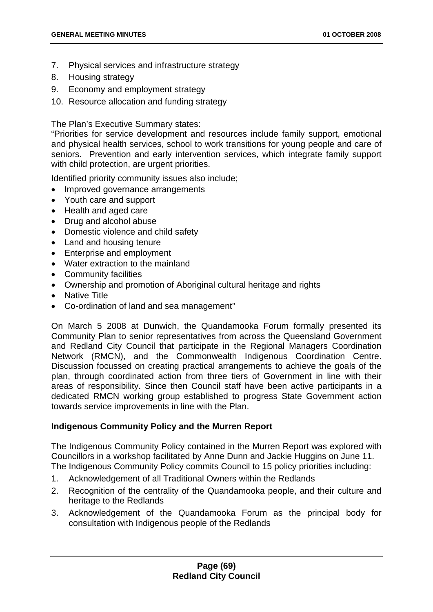- 7. Physical services and infrastructure strategy
- 8. Housing strategy
- 9. Economy and employment strategy
- 10. Resource allocation and funding strategy

The Plan's Executive Summary states:

"Priorities for service development and resources include family support, emotional and physical health services, school to work transitions for young people and care of seniors. Prevention and early intervention services, which integrate family support with child protection, are urgent priorities.

Identified priority community issues also include;

- Improved governance arrangements
- Youth care and support
- Health and aged care
- Drug and alcohol abuse
- Domestic violence and child safety
- Land and housing tenure
- Enterprise and employment
- Water extraction to the mainland
- Community facilities
- Ownership and promotion of Aboriginal cultural heritage and rights
- Native Title
- Co-ordination of land and sea management"

On March 5 2008 at Dunwich, the Quandamooka Forum formally presented its Community Plan to senior representatives from across the Queensland Government and Redland City Council that participate in the Regional Managers Coordination Network (RMCN), and the Commonwealth Indigenous Coordination Centre. Discussion focussed on creating practical arrangements to achieve the goals of the plan, through coordinated action from three tiers of Government in line with their areas of responsibility. Since then Council staff have been active participants in a dedicated RMCN working group established to progress State Government action towards service improvements in line with the Plan.

## **Indigenous Community Policy and the Murren Report**

The Indigenous Community Policy contained in the Murren Report was explored with Councillors in a workshop facilitated by Anne Dunn and Jackie Huggins on June 11. The Indigenous Community Policy commits Council to 15 policy priorities including:

- 1. Acknowledgement of all Traditional Owners within the Redlands
- 2. Recognition of the centrality of the Quandamooka people, and their culture and heritage to the Redlands
- 3. Acknowledgement of the Quandamooka Forum as the principal body for consultation with Indigenous people of the Redlands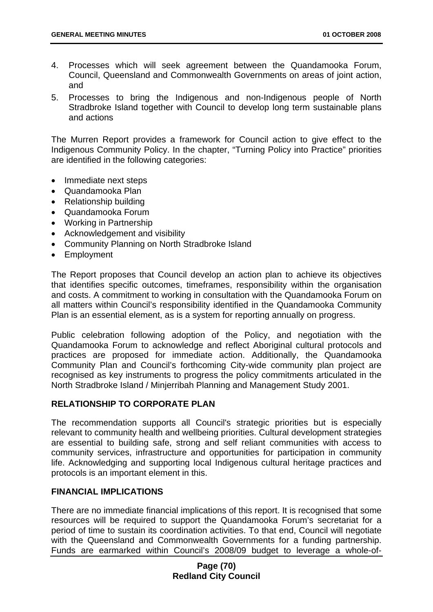- 4. Processes which will seek agreement between the Quandamooka Forum, Council, Queensland and Commonwealth Governments on areas of joint action, and
- 5. Processes to bring the Indigenous and non-Indigenous people of North Stradbroke Island together with Council to develop long term sustainable plans and actions

The Murren Report provides a framework for Council action to give effect to the Indigenous Community Policy. In the chapter, "Turning Policy into Practice" priorities are identified in the following categories:

- Immediate next steps
- Quandamooka Plan
- Relationship building
- Quandamooka Forum
- Working in Partnership
- Acknowledgement and visibility
- Community Planning on North Stradbroke Island
- Employment

The Report proposes that Council develop an action plan to achieve its objectives that identifies specific outcomes, timeframes, responsibility within the organisation and costs. A commitment to working in consultation with the Quandamooka Forum on all matters within Council's responsibility identified in the Quandamooka Community Plan is an essential element, as is a system for reporting annually on progress.

Public celebration following adoption of the Policy, and negotiation with the Quandamooka Forum to acknowledge and reflect Aboriginal cultural protocols and practices are proposed for immediate action. Additionally, the Quandamooka Community Plan and Council's forthcoming City-wide community plan project are recognised as key instruments to progress the policy commitments articulated in the North Stradbroke Island / Minjerribah Planning and Management Study 2001.

## **RELATIONSHIP TO CORPORATE PLAN**

The recommendation supports all Council's strategic priorities but is especially relevant to community health and wellbeing priorities. Cultural development strategies are essential to building safe, strong and self reliant communities with access to community services, infrastructure and opportunities for participation in community life. Acknowledging and supporting local Indigenous cultural heritage practices and protocols is an important element in this.

## **FINANCIAL IMPLICATIONS**

There are no immediate financial implications of this report. It is recognised that some resources will be required to support the Quandamooka Forum's secretariat for a period of time to sustain its coordination activities. To that end, Council will negotiate with the Queensland and Commonwealth Governments for a funding partnership. Funds are earmarked within Council's 2008/09 budget to leverage a whole-of-

## **Page (70) Redland City Council**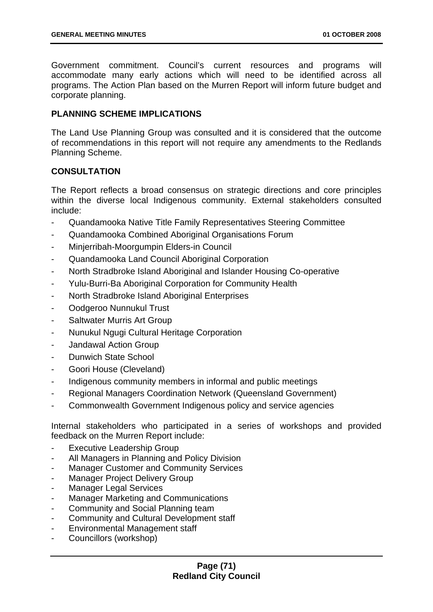Government commitment. Council's current resources and programs will accommodate many early actions which will need to be identified across all programs. The Action Plan based on the Murren Report will inform future budget and corporate planning.

## **PLANNING SCHEME IMPLICATIONS**

The Land Use Planning Group was consulted and it is considered that the outcome of recommendations in this report will not require any amendments to the Redlands Planning Scheme.

# **CONSULTATION**

The Report reflects a broad consensus on strategic directions and core principles within the diverse local Indigenous community. External stakeholders consulted include:

- Quandamooka Native Title Family Representatives Steering Committee
- Quandamooka Combined Aboriginal Organisations Forum
- Minjerribah-Moorgumpin Elders-in Council
- Quandamooka Land Council Aboriginal Corporation
- North Stradbroke Island Aboriginal and Islander Housing Co-operative
- Yulu-Burri-Ba Aboriginal Corporation for Community Health
- North Stradbroke Island Aboriginal Enterprises
- Oodgeroo Nunnukul Trust
- Saltwater Murris Art Group
- Nunukul Ngugi Cultural Heritage Corporation
- Jandawal Action Group
- Dunwich State School
- Goori House (Cleveland)
- Indigenous community members in informal and public meetings
- Regional Managers Coordination Network (Queensland Government)
- Commonwealth Government Indigenous policy and service agencies

Internal stakeholders who participated in a series of workshops and provided feedback on the Murren Report include:

- Executive Leadership Group
- All Managers in Planning and Policy Division
- Manager Customer and Community Services
- Manager Project Delivery Group
- Manager Legal Services
- Manager Marketing and Communications
- Community and Social Planning team
- Community and Cultural Development staff
- Environmental Management staff
- Councillors (workshop)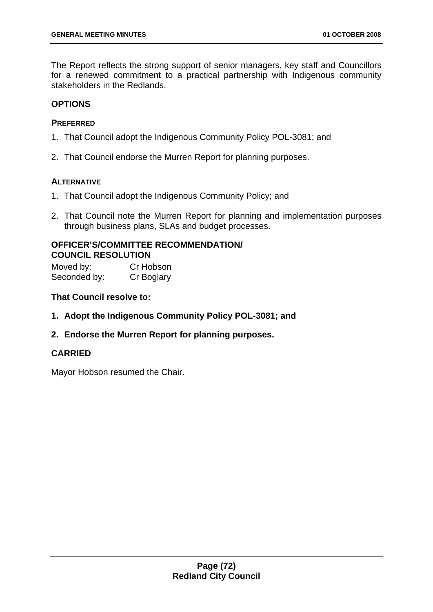The Report reflects the strong support of senior managers, key staff and Councillors for a renewed commitment to a practical partnership with Indigenous community stakeholders in the Redlands.

## **OPTIONS**

## **PREFERRED**

- 1. That Council adopt the Indigenous Community Policy POL-3081; and
- 2. That Council endorse the Murren Report for planning purposes.

## **ALTERNATIVE**

- 1. That Council adopt the Indigenous Community Policy; and
- 2. That Council note the Murren Report for planning and implementation purposes through business plans, SLAs and budget processes.

## **OFFICER'S/COMMITTEE RECOMMENDATION/ COUNCIL RESOLUTION**

Moved by: Cr Hobson Seconded by: Cr Boglary

## **That Council resolve to:**

- **1. Adopt the Indigenous Community Policy POL-3081; and**
- **2. Endorse the Murren Report for planning purposes.**

## **CARRIED**

Mayor Hobson resumed the Chair.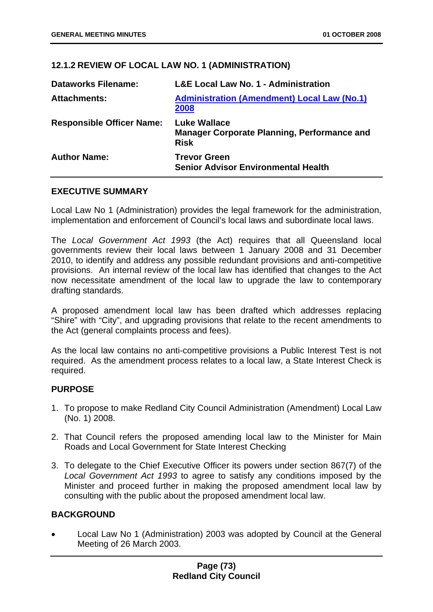## **12.1.2 REVIEW OF LOCAL LAW NO. 1 (ADMINISTRATION)**

| <b>Dataworks Filename:</b>       | <b>L&amp;E Local Law No. 1 - Administration</b>                                          |
|----------------------------------|------------------------------------------------------------------------------------------|
| <b>Attachments:</b>              | <b>Administration (Amendment) Local Law (No.1)</b><br>2008                               |
| <b>Responsible Officer Name:</b> | <b>Luke Wallace</b><br><b>Manager Corporate Planning, Performance and</b><br><b>Risk</b> |
| <b>Author Name:</b>              | <b>Trevor Green</b><br><b>Senior Advisor Environmental Health</b>                        |

## **EXECUTIVE SUMMARY**

Local Law No 1 (Administration) provides the legal framework for the administration, implementation and enforcement of Council's local laws and subordinate local laws.

The *Local Government Act 1993* (the Act) requires that all Queensland local governments review their local laws between 1 January 2008 and 31 December 2010, to identify and address any possible redundant provisions and anti-competitive provisions. An internal review of the local law has identified that changes to the Act now necessitate amendment of the local law to upgrade the law to contemporary drafting standards.

A proposed amendment local law has been drafted which addresses replacing "Shire" with "City", and upgrading provisions that relate to the recent amendments to the Act (general complaints process and fees).

As the local law contains no anti-competitive provisions a Public Interest Test is not required. As the amendment process relates to a local law, a State Interest Check is required.

## **PURPOSE**

- 1. To propose to make Redland City Council Administration (Amendment) Local Law (No. 1) 2008.
- 2. That Council refers the proposed amending local law to the Minister for Main Roads and Local Government for State Interest Checking
- 3. To delegate to the Chief Executive Officer its powers under section 867(7) of the *Local Government Act 1993* to agree to satisfy any conditions imposed by the Minister and proceed further in making the proposed amendment local law by consulting with the public about the proposed amendment local law.

## **BACKGROUND**

• Local Law No 1 (Administration) 2003 was adopted by Council at the General Meeting of 26 March 2003.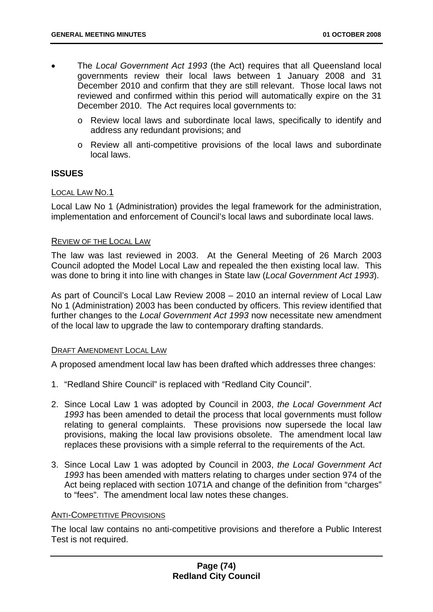- The *Local Government Act 1993* (the Act) requires that all Queensland local governments review their local laws between 1 January 2008 and 31 December 2010 and confirm that they are still relevant. Those local laws not reviewed and confirmed within this period will automatically expire on the 31 December 2010. The Act requires local governments to:
	- o Review local laws and subordinate local laws, specifically to identify and address any redundant provisions; and
	- o Review all anti-competitive provisions of the local laws and subordinate local laws.

## **ISSUES**

## LOCAL LAW NO.1

Local Law No 1 (Administration) provides the legal framework for the administration, implementation and enforcement of Council's local laws and subordinate local laws.

## REVIEW OF THE LOCAL LAW

The law was last reviewed in 2003. At the General Meeting of 26 March 2003 Council adopted the Model Local Law and repealed the then existing local law. This was done to bring it into line with changes in State law (*Local Government Act 1993*).

As part of Council's Local Law Review 2008 – 2010 an internal review of Local Law No 1 (Administration) 2003 has been conducted by officers. This review identified that further changes to the *Local Government Act 1993* now necessitate new amendment of the local law to upgrade the law to contemporary drafting standards.

## DRAFT AMENDMENT LOCAL LAW

A proposed amendment local law has been drafted which addresses three changes:

- 1. "Redland Shire Council" is replaced with "Redland City Council".
- 2. Since Local Law 1 was adopted by Council in 2003, *the Local Government Act 1993* has been amended to detail the process that local governments must follow relating to general complaints. These provisions now supersede the local law provisions, making the local law provisions obsolete. The amendment local law replaces these provisions with a simple referral to the requirements of the Act.
- 3. Since Local Law 1 was adopted by Council in 2003, *the Local Government Act 1993* has been amended with matters relating to charges under section 974 of the Act being replaced with section 1071A and change of the definition from "charges" to "fees". The amendment local law notes these changes.

## ANTI-COMPETITIVE PROVISIONS

The local law contains no anti-competitive provisions and therefore a Public Interest Test is not required.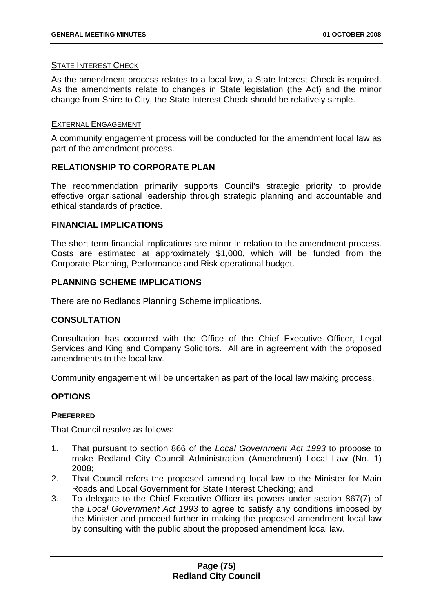## STATE INTEREST CHECK

As the amendment process relates to a local law, a State Interest Check is required. As the amendments relate to changes in State legislation (the Act) and the minor change from Shire to City, the State Interest Check should be relatively simple.

## EXTERNAL ENGAGEMENT

A community engagement process will be conducted for the amendment local law as part of the amendment process.

# **RELATIONSHIP TO CORPORATE PLAN**

The recommendation primarily supports Council's strategic priority to provide effective organisational leadership through strategic planning and accountable and ethical standards of practice.

## **FINANCIAL IMPLICATIONS**

The short term financial implications are minor in relation to the amendment process. Costs are estimated at approximately \$1,000, which will be funded from the Corporate Planning, Performance and Risk operational budget.

## **PLANNING SCHEME IMPLICATIONS**

There are no Redlands Planning Scheme implications.

## **CONSULTATION**

Consultation has occurred with the Office of the Chief Executive Officer, Legal Services and King and Company Solicitors. All are in agreement with the proposed amendments to the local law.

Community engagement will be undertaken as part of the local law making process.

## **OPTIONS**

## **PREFERRED**

That Council resolve as follows:

- 1. That pursuant to section 866 of the *Local Government Act 1993* to propose to make Redland City Council Administration (Amendment) Local Law (No. 1) 2008;
- 2. That Council refers the proposed amending local law to the Minister for Main Roads and Local Government for State Interest Checking; and
- 3. To delegate to the Chief Executive Officer its powers under section 867(7) of the *Local Government Act 1993* to agree to satisfy any conditions imposed by the Minister and proceed further in making the proposed amendment local law by consulting with the public about the proposed amendment local law.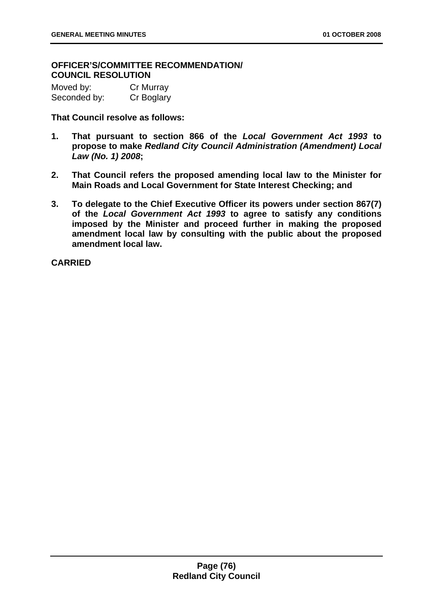## **OFFICER'S/COMMITTEE RECOMMENDATION/ COUNCIL RESOLUTION**

| Moved by:    | Cr Murray  |
|--------------|------------|
| Seconded by: | Cr Boglary |

**That Council resolve as follows:** 

- **1. That pursuant to section 866 of the** *Local Government Act 1993* **to propose to make** *Redland City Council Administration (Amendment) Local Law (No. 1) 2008***;**
- **2. That Council refers the proposed amending local law to the Minister for Main Roads and Local Government for State Interest Checking; and**
- **3. To delegate to the Chief Executive Officer its powers under section 867(7) of the** *Local Government Act 1993* **to agree to satisfy any conditions imposed by the Minister and proceed further in making the proposed amendment local law by consulting with the public about the proposed amendment local law.**

**CARRIED**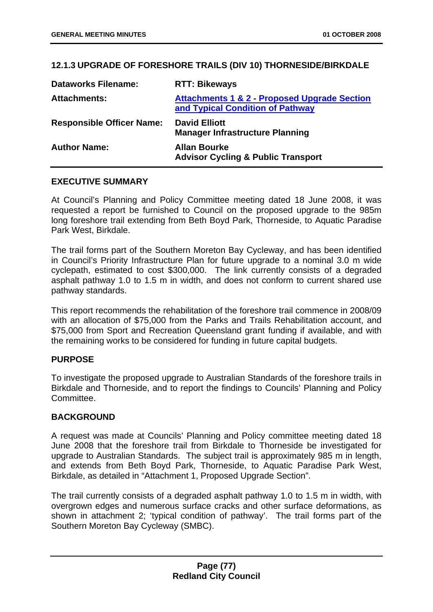## **12.1.3 UPGRADE OF FORESHORE TRAILS (DIV 10) THORNESIDE/BIRKDALE**

| <b>Dataworks Filename:</b>       | <b>RTT: Bikeways</b>                                                                        |
|----------------------------------|---------------------------------------------------------------------------------------------|
| <b>Attachments:</b>              | <b>Attachments 1 &amp; 2 - Proposed Upgrade Section</b><br>and Typical Condition of Pathway |
| <b>Responsible Officer Name:</b> | <b>David Elliott</b><br><b>Manager Infrastructure Planning</b>                              |
| <b>Author Name:</b>              | <b>Allan Bourke</b><br><b>Advisor Cycling &amp; Public Transport</b>                        |

## **EXECUTIVE SUMMARY**

At Council's Planning and Policy Committee meeting dated 18 June 2008, it was requested a report be furnished to Council on the proposed upgrade to the 985m long foreshore trail extending from Beth Boyd Park, Thorneside, to Aquatic Paradise Park West, Birkdale.

The trail forms part of the Southern Moreton Bay Cycleway, and has been identified in Council's Priority Infrastructure Plan for future upgrade to a nominal 3.0 m wide cyclepath, estimated to cost \$300,000. The link currently consists of a degraded asphalt pathway 1.0 to 1.5 m in width, and does not conform to current shared use pathway standards.

This report recommends the rehabilitation of the foreshore trail commence in 2008/09 with an allocation of \$75,000 from the Parks and Trails Rehabilitation account, and \$75,000 from Sport and Recreation Queensland grant funding if available, and with the remaining works to be considered for funding in future capital budgets.

## **PURPOSE**

To investigate the proposed upgrade to Australian Standards of the foreshore trails in Birkdale and Thorneside, and to report the findings to Councils' Planning and Policy Committee.

## **BACKGROUND**

A request was made at Councils' Planning and Policy committee meeting dated 18 June 2008 that the foreshore trail from Birkdale to Thorneside be investigated for upgrade to Australian Standards. The subject trail is approximately 985 m in length, and extends from Beth Boyd Park, Thorneside, to Aquatic Paradise Park West, Birkdale, as detailed in "Attachment 1, Proposed Upgrade Section".

The trail currently consists of a degraded asphalt pathway 1.0 to 1.5 m in width, with overgrown edges and numerous surface cracks and other surface deformations, as shown in attachment 2; 'typical condition of pathway'. The trail forms part of the Southern Moreton Bay Cycleway (SMBC).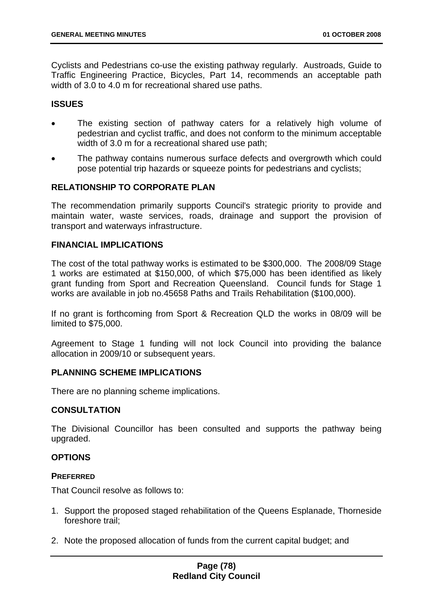Cyclists and Pedestrians co-use the existing pathway regularly. Austroads, Guide to Traffic Engineering Practice, Bicycles, Part 14, recommends an acceptable path width of 3.0 to 4.0 m for recreational shared use paths.

## **ISSUES**

- The existing section of pathway caters for a relatively high volume of pedestrian and cyclist traffic, and does not conform to the minimum acceptable width of 3.0 m for a recreational shared use path;
- The pathway contains numerous surface defects and overgrowth which could pose potential trip hazards or squeeze points for pedestrians and cyclists;

## **RELATIONSHIP TO CORPORATE PLAN**

The recommendation primarily supports Council's strategic priority to provide and maintain water, waste services, roads, drainage and support the provision of transport and waterways infrastructure.

#### **FINANCIAL IMPLICATIONS**

The cost of the total pathway works is estimated to be \$300,000. The 2008/09 Stage 1 works are estimated at \$150,000, of which \$75,000 has been identified as likely grant funding from Sport and Recreation Queensland. Council funds for Stage 1 works are available in job no.45658 Paths and Trails Rehabilitation (\$100,000).

If no grant is forthcoming from Sport & Recreation QLD the works in 08/09 will be limited to \$75,000.

Agreement to Stage 1 funding will not lock Council into providing the balance allocation in 2009/10 or subsequent years.

## **PLANNING SCHEME IMPLICATIONS**

There are no planning scheme implications.

## **CONSULTATION**

The Divisional Councillor has been consulted and supports the pathway being upgraded.

## **OPTIONS**

#### **PREFERRED**

That Council resolve as follows to:

- 1. Support the proposed staged rehabilitation of the Queens Esplanade, Thorneside foreshore trail;
- 2. Note the proposed allocation of funds from the current capital budget; and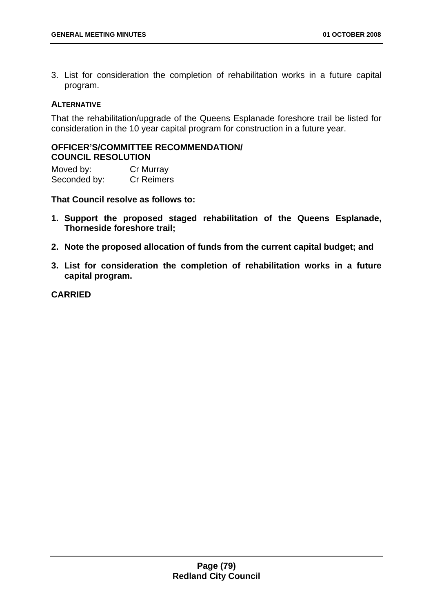3. List for consideration the completion of rehabilitation works in a future capital program.

## **ALTERNATIVE**

That the rehabilitation/upgrade of the Queens Esplanade foreshore trail be listed for consideration in the 10 year capital program for construction in a future year.

## **OFFICER'S/COMMITTEE RECOMMENDATION/ COUNCIL RESOLUTION**

Moved by: Cr Murray Seconded by: Cr Reimers

**That Council resolve as follows to:** 

- **1. Support the proposed staged rehabilitation of the Queens Esplanade, Thorneside foreshore trail;**
- **2. Note the proposed allocation of funds from the current capital budget; and**
- **3. List for consideration the completion of rehabilitation works in a future capital program.**

**CARRIED**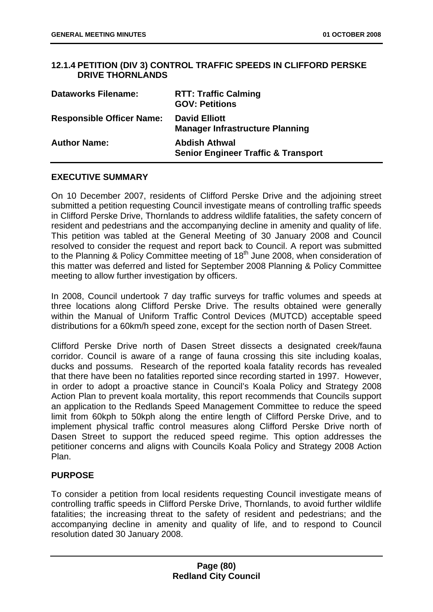## **12.1.4 PETITION (DIV 3) CONTROL TRAFFIC SPEEDS IN CLIFFORD PERSKE DRIVE THORNLANDS**

| <b>Dataworks Filename:</b>       | <b>RTT: Traffic Calming</b><br><b>GOV: Petitions</b>                   |
|----------------------------------|------------------------------------------------------------------------|
| <b>Responsible Officer Name:</b> | <b>David Elliott</b><br><b>Manager Infrastructure Planning</b>         |
| <b>Author Name:</b>              | <b>Abdish Athwal</b><br><b>Senior Engineer Traffic &amp; Transport</b> |

## **EXECUTIVE SUMMARY**

On 10 December 2007, residents of Clifford Perske Drive and the adjoining street submitted a petition requesting Council investigate means of controlling traffic speeds in Clifford Perske Drive, Thornlands to address wildlife fatalities, the safety concern of resident and pedestrians and the accompanying decline in amenity and quality of life. This petition was tabled at the General Meeting of 30 January 2008 and Council resolved to consider the request and report back to Council. A report was submitted to the Planning & Policy Committee meeting of 18<sup>th</sup> June 2008, when consideration of this matter was deferred and listed for September 2008 Planning & Policy Committee meeting to allow further investigation by officers.

In 2008, Council undertook 7 day traffic surveys for traffic volumes and speeds at three locations along Clifford Perske Drive. The results obtained were generally within the Manual of Uniform Traffic Control Devices (MUTCD) acceptable speed distributions for a 60km/h speed zone, except for the section north of Dasen Street.

Clifford Perske Drive north of Dasen Street dissects a designated creek/fauna corridor. Council is aware of a range of fauna crossing this site including koalas, ducks and possums. Research of the reported koala fatality records has revealed that there have been no fatalities reported since recording started in 1997. However, in order to adopt a proactive stance in Council's Koala Policy and Strategy 2008 Action Plan to prevent koala mortality, this report recommends that Councils support an application to the Redlands Speed Management Committee to reduce the speed limit from 60kph to 50kph along the entire length of Clifford Perske Drive, and to implement physical traffic control measures along Clifford Perske Drive north of Dasen Street to support the reduced speed regime. This option addresses the petitioner concerns and aligns with Councils Koala Policy and Strategy 2008 Action Plan.

## **PURPOSE**

To consider a petition from local residents requesting Council investigate means of controlling traffic speeds in Clifford Perske Drive, Thornlands, to avoid further wildlife fatalities; the increasing threat to the safety of resident and pedestrians; and the accompanying decline in amenity and quality of life, and to respond to Council resolution dated 30 January 2008.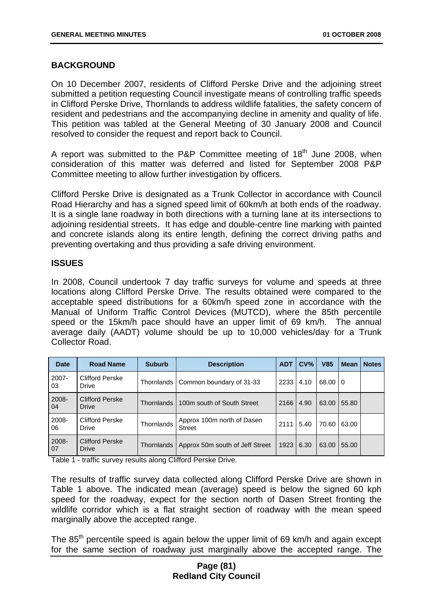## **BACKGROUND**

On 10 December 2007, residents of Clifford Perske Drive and the adjoining street submitted a petition requesting Council investigate means of controlling traffic speeds in Clifford Perske Drive, Thornlands to address wildlife fatalities, the safety concern of resident and pedestrians and the accompanying decline in amenity and quality of life. This petition was tabled at the General Meeting of 30 January 2008 and Council resolved to consider the request and report back to Council.

A report was submitted to the P&P Committee meeting of  $18<sup>th</sup>$  June 2008, when consideration of this matter was deferred and listed for September 2008 P&P Committee meeting to allow further investigation by officers.

Clifford Perske Drive is designated as a Trunk Collector in accordance with Council Road Hierarchy and has a signed speed limit of 60km/h at both ends of the roadway. It is a single lane roadway in both directions with a turning lane at its intersections to adjoining residential streets. It has edge and double-centre line marking with painted and concrete islands along its entire length, defining the correct driving paths and preventing overtaking and thus providing a safe driving environment.

## **ISSUES**

In 2008, Council undertook 7 day traffic surveys for volume and speeds at three locations along Clifford Perske Drive. The results obtained were compared to the acceptable speed distributions for a 60km/h speed zone in accordance with the Manual of Uniform Traffic Control Devices (MUTCD), where the 85th percentile speed or the 15km/h pace should have an upper limit of 69 km/h. The annual average daily (AADT) volume should be up to 10,000 vehicles/day for a Trunk Collector Road.

| <b>Date</b> | <b>Road Name</b>                       | <b>Suburb</b> | <b>Description</b>                   | <b>ADT</b> | CV <sub>6</sub> | <b>V85</b> | <b>Mean</b>    | <b>Notes</b> |
|-------------|----------------------------------------|---------------|--------------------------------------|------------|-----------------|------------|----------------|--------------|
| 2007-<br>03 | Clifford Perske<br>Drive               | Thornlands    | Common boundary of 31-33             | 2233       | 4.10            | 68.00      | $\overline{0}$ |              |
| 2008-<br>04 | <b>Clifford Perske</b><br><b>Drive</b> | Thornlands    | 100m south of South Street           | 2166       | 4.90            | 63.00      | 55.80          |              |
| 2008-<br>06 | <b>Clifford Perske</b><br>Drive        | Thornlands    | Approx 100m north of Dasen<br>Street | 2111       | 5.40            | 70.60      | 63.00          |              |
| 2008-<br>07 | <b>Clifford Perske</b><br><b>Drive</b> | Thornlands    | Approx 50m south of Jeff Street      | 1923       | 6.30            | 63.00      | 55.00          |              |

Table 1 - traffic survey results along Clifford Perske Drive.

The results of traffic survey data collected along Clifford Perske Drive are shown in Table 1 above. The indicated mean (average) speed is below the signed 60 kph speed for the roadway, expect for the section north of Dasen Street fronting the wildlife corridor which is a flat straight section of roadway with the mean speed marginally above the accepted range.

The 85<sup>th</sup> percentile speed is again below the upper limit of 69 km/h and again except for the same section of roadway just marginally above the accepted range. The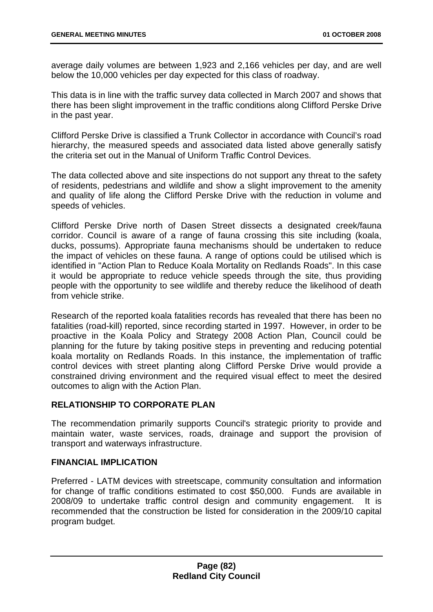average daily volumes are between 1,923 and 2,166 vehicles per day, and are well below the 10,000 vehicles per day expected for this class of roadway.

This data is in line with the traffic survey data collected in March 2007 and shows that there has been slight improvement in the traffic conditions along Clifford Perske Drive in the past year.

Clifford Perske Drive is classified a Trunk Collector in accordance with Council's road hierarchy, the measured speeds and associated data listed above generally satisfy the criteria set out in the Manual of Uniform Traffic Control Devices.

The data collected above and site inspections do not support any threat to the safety of residents, pedestrians and wildlife and show a slight improvement to the amenity and quality of life along the Clifford Perske Drive with the reduction in volume and speeds of vehicles.

Clifford Perske Drive north of Dasen Street dissects a designated creek/fauna corridor. Council is aware of a range of fauna crossing this site including (koala, ducks, possums). Appropriate fauna mechanisms should be undertaken to reduce the impact of vehicles on these fauna. A range of options could be utilised which is identified in "Action Plan to Reduce Koala Mortality on Redlands Roads". In this case it would be appropriate to reduce vehicle speeds through the site, thus providing people with the opportunity to see wildlife and thereby reduce the likelihood of death from vehicle strike.

Research of the reported koala fatalities records has revealed that there has been no fatalities (road-kill) reported, since recording started in 1997. However, in order to be proactive in the Koala Policy and Strategy 2008 Action Plan, Council could be planning for the future by taking positive steps in preventing and reducing potential koala mortality on Redlands Roads. In this instance, the implementation of traffic control devices with street planting along Clifford Perske Drive would provide a constrained driving environment and the required visual effect to meet the desired outcomes to align with the Action Plan.

## **RELATIONSHIP TO CORPORATE PLAN**

The recommendation primarily supports Council's strategic priority to provide and maintain water, waste services, roads, drainage and support the provision of transport and waterways infrastructure.

## **FINANCIAL IMPLICATION**

Preferred - LATM devices with streetscape, community consultation and information for change of traffic conditions estimated to cost \$50,000. Funds are available in 2008/09 to undertake traffic control design and community engagement. It is recommended that the construction be listed for consideration in the 2009/10 capital program budget.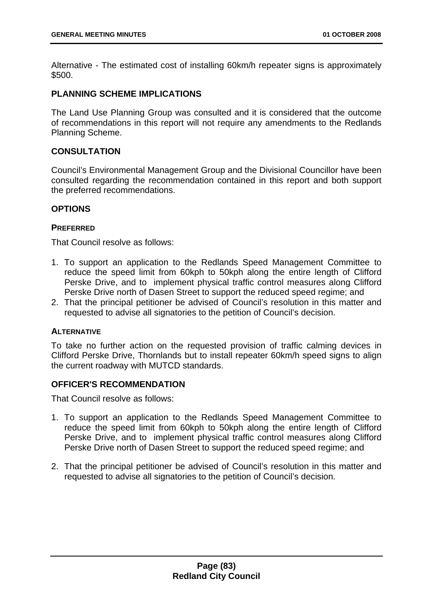Alternative - The estimated cost of installing 60km/h repeater signs is approximately \$500.

## **PLANNING SCHEME IMPLICATIONS**

The Land Use Planning Group was consulted and it is considered that the outcome of recommendations in this report will not require any amendments to the Redlands Planning Scheme.

## **CONSULTATION**

Council's Environmental Management Group and the Divisional Councillor have been consulted regarding the recommendation contained in this report and both support the preferred recommendations.

## **OPTIONS**

## **PREFERRED**

That Council resolve as follows:

- 1. To support an application to the Redlands Speed Management Committee to reduce the speed limit from 60kph to 50kph along the entire length of Clifford Perske Drive, and to implement physical traffic control measures along Clifford Perske Drive north of Dasen Street to support the reduced speed regime; and
- 2. That the principal petitioner be advised of Council's resolution in this matter and requested to advise all signatories to the petition of Council's decision.

## **ALTERNATIVE**

 To take no further action on the requested provision of traffic calming devices in Clifford Perske Drive, Thornlands but to install repeater 60km/h speed signs to align the current roadway with MUTCD standards.

## **OFFICER'S RECOMMENDATION**

That Council resolve as follows:

- 1. To support an application to the Redlands Speed Management Committee to reduce the speed limit from 60kph to 50kph along the entire length of Clifford Perske Drive, and to implement physical traffic control measures along Clifford Perske Drive north of Dasen Street to support the reduced speed regime; and
- 2. That the principal petitioner be advised of Council's resolution in this matter and requested to advise all signatories to the petition of Council's decision.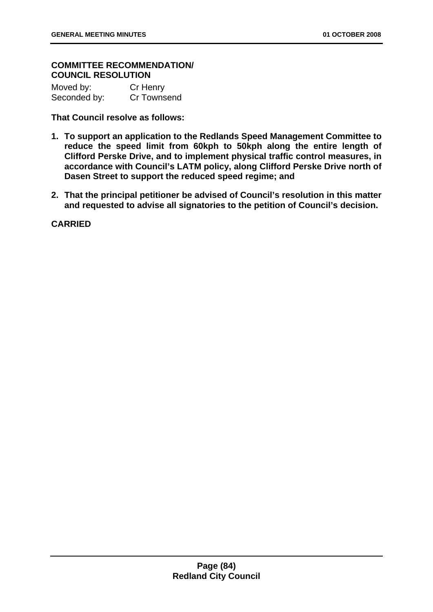## **COMMITTEE RECOMMENDATION/ COUNCIL RESOLUTION**

| Moved by:    | Cr Henry    |
|--------------|-------------|
| Seconded by: | Cr Townsend |

**That Council resolve as follows:** 

- **1. To support an application to the Redlands Speed Management Committee to reduce the speed limit from 60kph to 50kph along the entire length of Clifford Perske Drive, and to implement physical traffic control measures, in accordance with Council's LATM policy, along Clifford Perske Drive north of Dasen Street to support the reduced speed regime; and**
- **2. That the principal petitioner be advised of Council's resolution in this matter and requested to advise all signatories to the petition of Council's decision.**

**CARRIED**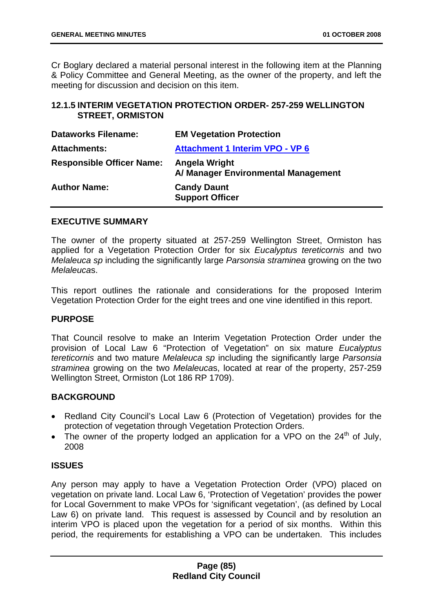Cr Boglary declared a material personal interest in the following item at the Planning & Policy Committee and General Meeting, as the owner of the property, and left the meeting for discussion and decision on this item.

## **12.1.5 INTERIM VEGETATION PROTECTION ORDER- 257-259 WELLINGTON STREET, ORMISTON**

| <b>Dataworks Filename:</b>       | <b>EM Vegetation Protection</b>                      |
|----------------------------------|------------------------------------------------------|
| <b>Attachments:</b>              | <b>Attachment 1 Interim VPO - VP 6</b>               |
| <b>Responsible Officer Name:</b> | Angela Wright<br>A/ Manager Environmental Management |
| <b>Author Name:</b>              | <b>Candy Daunt</b><br><b>Support Officer</b>         |

## **EXECUTIVE SUMMARY**

The owner of the property situated at 257-259 Wellington Street, Ormiston has applied for a Vegetation Protection Order for six *Eucalyptus tereticornis* and two *Melaleuca sp* including the significantly large *Parsonsia straminea* growing on the two *Melaleuca*s.

This report outlines the rationale and considerations for the proposed Interim Vegetation Protection Order for the eight trees and one vine identified in this report.

## **PURPOSE**

That Council resolve to make an Interim Vegetation Protection Order under the provision of Local Law 6 "Protection of Vegetation" on six mature *Eucalyptus tereticornis* and two mature *Melaleuca sp* including the significantly large *Parsonsia straminea* growing on the two *Melaleuca*s, located at rear of the property, 257-259 Wellington Street, Ormiston (Lot 186 RP 1709).

## **BACKGROUND**

- Redland City Council's Local Law 6 (Protection of Vegetation) provides for the protection of vegetation through Vegetation Protection Orders.
- The owner of the property lodged an application for a VPO on the  $24<sup>th</sup>$  of July, 2008

## **ISSUES**

Any person may apply to have a Vegetation Protection Order (VPO) placed on vegetation on private land. Local Law 6, 'Protection of Vegetation' provides the power for Local Government to make VPOs for 'significant vegetation', (as defined by Local Law 6) on private land. This request is assessed by Council and by resolution an interim VPO is placed upon the vegetation for a period of six months. Within this period, the requirements for establishing a VPO can be undertaken. This includes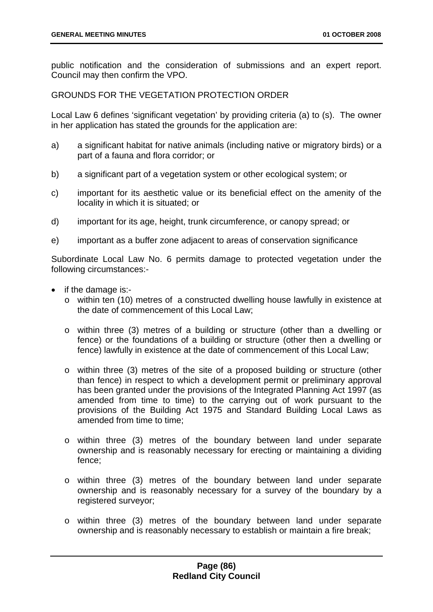public notification and the consideration of submissions and an expert report. Council may then confirm the VPO.

GROUNDS FOR THE VEGETATION PROTECTION ORDER

Local Law 6 defines 'significant vegetation' by providing criteria (a) to (s). The owner in her application has stated the grounds for the application are:

- a) a significant habitat for native animals (including native or migratory birds) or a part of a fauna and flora corridor; or
- b) a significant part of a vegetation system or other ecological system; or
- c) important for its aesthetic value or its beneficial effect on the amenity of the locality in which it is situated; or
- d) important for its age, height, trunk circumference, or canopy spread; or
- e) important as a buffer zone adjacent to areas of conservation significance

Subordinate Local Law No. 6 permits damage to protected vegetation under the following circumstances:-

- if the damage is:
	- o within ten (10) metres of a constructed dwelling house lawfully in existence at the date of commencement of this Local Law;
	- o within three (3) metres of a building or structure (other than a dwelling or fence) or the foundations of a building or structure (other then a dwelling or fence) lawfully in existence at the date of commencement of this Local Law;
	- o within three (3) metres of the site of a proposed building or structure (other than fence) in respect to which a development permit or preliminary approval has been granted under the provisions of the Integrated Planning Act 1997 (as amended from time to time) to the carrying out of work pursuant to the provisions of the Building Act 1975 and Standard Building Local Laws as amended from time to time:
	- o within three (3) metres of the boundary between land under separate ownership and is reasonably necessary for erecting or maintaining a dividing fence;
	- o within three (3) metres of the boundary between land under separate ownership and is reasonably necessary for a survey of the boundary by a registered surveyor;
	- o within three (3) metres of the boundary between land under separate ownership and is reasonably necessary to establish or maintain a fire break;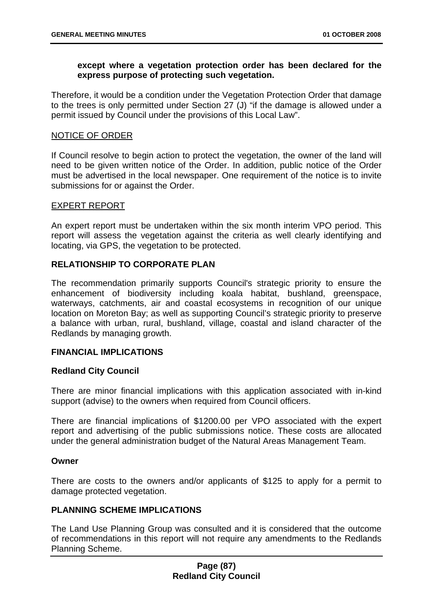## **except where a vegetation protection order has been declared for the express purpose of protecting such vegetation.**

Therefore, it would be a condition under the Vegetation Protection Order that damage to the trees is only permitted under Section 27 (J) "if the damage is allowed under a permit issued by Council under the provisions of this Local Law".

## NOTICE OF ORDER

If Council resolve to begin action to protect the vegetation, the owner of the land will need to be given written notice of the Order. In addition, public notice of the Order must be advertised in the local newspaper. One requirement of the notice is to invite submissions for or against the Order.

## EXPERT REPORT

An expert report must be undertaken within the six month interim VPO period. This report will assess the vegetation against the criteria as well clearly identifying and locating, via GPS, the vegetation to be protected.

## **RELATIONSHIP TO CORPORATE PLAN**

The recommendation primarily supports Council's strategic priority to ensure the enhancement of biodiversity including koala habitat, bushland, greenspace, waterways, catchments, air and coastal ecosystems in recognition of our unique location on Moreton Bay; as well as supporting Council's strategic priority to preserve a balance with urban, rural, bushland, village, coastal and island character of the Redlands by managing growth.

## **FINANCIAL IMPLICATIONS**

## **Redland City Council**

There are minor financial implications with this application associated with in-kind support (advise) to the owners when required from Council officers.

There are financial implications of \$1200.00 per VPO associated with the expert report and advertising of the public submissions notice. These costs are allocated under the general administration budget of the Natural Areas Management Team.

## **Owner**

There are costs to the owners and/or applicants of \$125 to apply for a permit to damage protected vegetation.

# **PLANNING SCHEME IMPLICATIONS**

The Land Use Planning Group was consulted and it is considered that the outcome of recommendations in this report will not require any amendments to the Redlands Planning Scheme.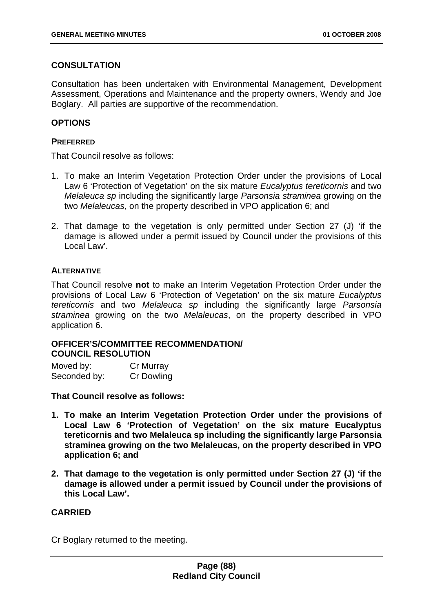## **CONSULTATION**

Consultation has been undertaken with Environmental Management, Development Assessment, Operations and Maintenance and the property owners, Wendy and Joe Boglary. All parties are supportive of the recommendation.

## **OPTIONS**

## **PREFERRED**

That Council resolve as follows:

- 1. To make an Interim Vegetation Protection Order under the provisions of Local Law 6 'Protection of Vegetation' on the six mature *Eucalyptus tereticornis* and two *Melaleuca sp* including the significantly large *Parsonsia straminea* growing on the two *Melaleucas*, on the property described in VPO application 6; and
- 2. That damage to the vegetation is only permitted under Section 27 (J) 'if the damage is allowed under a permit issued by Council under the provisions of this Local Law'.

## **ALTERNATIVE**

That Council resolve **not** to make an Interim Vegetation Protection Order under the provisions of Local Law 6 'Protection of Vegetation' on the six mature *Eucalyptus tereticornis* and two *Melaleuca sp* including the significantly large *Parsonsia straminea* growing on the two *Melaleucas*, on the property described in VPO application 6.

## **OFFICER'S/COMMITTEE RECOMMENDATION/ COUNCIL RESOLUTION**

| Moved by:    | Cr Murray         |
|--------------|-------------------|
| Seconded by: | <b>Cr Dowling</b> |

**That Council resolve as follows:** 

- **1. To make an Interim Vegetation Protection Order under the provisions of Local Law 6 'Protection of Vegetation' on the six mature Eucalyptus tereticornis and two Melaleuca sp including the significantly large Parsonsia straminea growing on the two Melaleucas, on the property described in VPO application 6; and**
- **2. That damage to the vegetation is only permitted under Section 27 (J) 'if the damage is allowed under a permit issued by Council under the provisions of this Local Law'.**

## **CARRIED**

Cr Boglary returned to the meeting.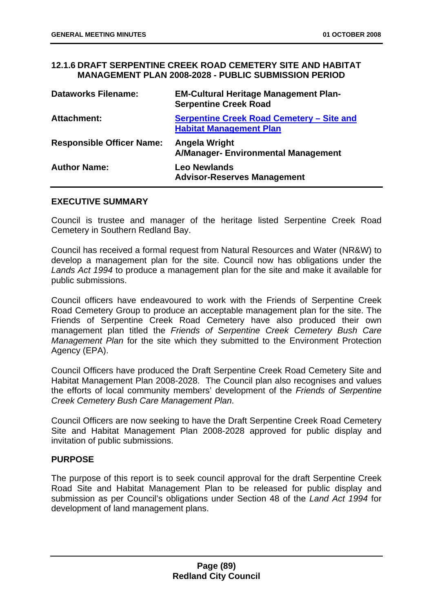## **12.1.6 DRAFT SERPENTINE CREEK ROAD CEMETERY SITE AND HABITAT MANAGEMENT PLAN 2008-2028 - PUBLIC SUBMISSION PERIOD**

| <b>Dataworks Filename:</b>       | <b>EM-Cultural Heritage Management Plan-</b><br><b>Serpentine Creek Road</b> |
|----------------------------------|------------------------------------------------------------------------------|
| <b>Attachment:</b>               | Serpentine Creek Road Cemetery – Site and<br><b>Habitat Management Plan</b>  |
| <b>Responsible Officer Name:</b> | <b>Angela Wright</b><br>A/Manager-Environmental Management                   |
| <b>Author Name:</b>              | <b>Leo Newlands</b><br><b>Advisor-Reserves Management</b>                    |

#### **EXECUTIVE SUMMARY**

Council is trustee and manager of the heritage listed Serpentine Creek Road Cemetery in Southern Redland Bay.

Council has received a formal request from Natural Resources and Water (NR&W) to develop a management plan for the site. Council now has obligations under the *Lands Act 1994* to produce a management plan for the site and make it available for public submissions.

Council officers have endeavoured to work with the Friends of Serpentine Creek Road Cemetery Group to produce an acceptable management plan for the site. The Friends of Serpentine Creek Road Cemetery have also produced their own management plan titled the *Friends of Serpentine Creek Cemetery Bush Care Management Plan* for the site which they submitted to the Environment Protection Agency (EPA).

Council Officers have produced the Draft Serpentine Creek Road Cemetery Site and Habitat Management Plan 2008-2028. The Council plan also recognises and values the efforts of local community members' development of the *Friends of Serpentine Creek Cemetery Bush Care Management Plan*.

Council Officers are now seeking to have the Draft Serpentine Creek Road Cemetery Site and Habitat Management Plan 2008-2028 approved for public display and invitation of public submissions.

## **PURPOSE**

The purpose of this report is to seek council approval for the draft Serpentine Creek Road Site and Habitat Management Plan to be released for public display and submission as per Council's obligations under Section 48 of the *Land Act 1994* for development of land management plans.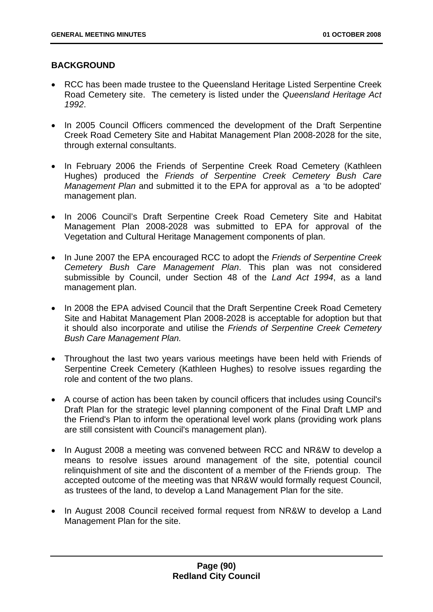# **BACKGROUND**

- RCC has been made trustee to the Queensland Heritage Listed Serpentine Creek Road Cemetery site. The cemetery is listed under the *Queensland Heritage Act 1992*.
- In 2005 Council Officers commenced the development of the Draft Serpentine Creek Road Cemetery Site and Habitat Management Plan 2008-2028 for the site, through external consultants.
- In February 2006 the Friends of Serpentine Creek Road Cemetery (Kathleen Hughes) produced the *Friends of Serpentine Creek Cemetery Bush Care Management Plan* and submitted it to the EPA for approval as a 'to be adopted' management plan.
- In 2006 Council's Draft Serpentine Creek Road Cemetery Site and Habitat Management Plan 2008-2028 was submitted to EPA for approval of the Vegetation and Cultural Heritage Management components of plan.
- In June 2007 the EPA encouraged RCC to adopt the *Friends of Serpentine Creek Cemetery Bush Care Management Plan*. This plan was not considered submissible by Council, under Section 48 of the *Land Act 1994*, as a land management plan.
- In 2008 the EPA advised Council that the Draft Serpentine Creek Road Cemetery Site and Habitat Management Plan 2008-2028 is acceptable for adoption but that it should also incorporate and utilise the *Friends of Serpentine Creek Cemetery Bush Care Management Plan.*
- Throughout the last two years various meetings have been held with Friends of Serpentine Creek Cemetery (Kathleen Hughes) to resolve issues regarding the role and content of the two plans.
- A course of action has been taken by council officers that includes using Council's Draft Plan for the strategic level planning component of the Final Draft LMP and the Friend's Plan to inform the operational level work plans (providing work plans are still consistent with Council's management plan).
- In August 2008 a meeting was convened between RCC and NR&W to develop a means to resolve issues around management of the site, potential council relinquishment of site and the discontent of a member of the Friends group. The accepted outcome of the meeting was that NR&W would formally request Council, as trustees of the land, to develop a Land Management Plan for the site.
- In August 2008 Council received formal request from NR&W to develop a Land Management Plan for the site.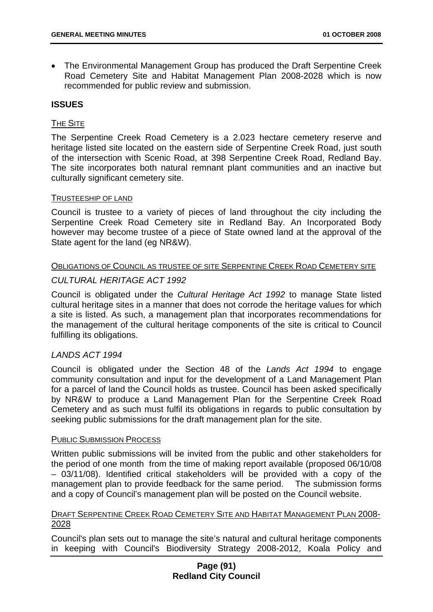• The Environmental Management Group has produced the Draft Serpentine Creek Road Cemetery Site and Habitat Management Plan 2008-2028 which is now recommended for public review and submission.

# **ISSUES**

## THE SITE

The Serpentine Creek Road Cemetery is a 2.023 hectare cemetery reserve and heritage listed site located on the eastern side of Serpentine Creek Road, just south of the intersection with Scenic Road, at 398 Serpentine Creek Road, Redland Bay. The site incorporates both natural remnant plant communities and an inactive but culturally significant cemetery site.

#### TRUSTEESHIP OF LAND

Council is trustee to a variety of pieces of land throughout the city including the Serpentine Creek Road Cemetery site in Redland Bay. An Incorporated Body however may become trustee of a piece of State owned land at the approval of the State agent for the land (eg NR&W).

## OBLIGATIONS OF COUNCIL AS TRUSTEE OF SITE SERPENTINE CREEK ROAD CEMETERY SITE

## *CULTURAL HERITAGE ACT 1992*

Council is obligated under the *Cultural Heritage Act 1992* to manage State listed cultural heritage sites in a manner that does not corrode the heritage values for which a site is listed. As such, a management plan that incorporates recommendations for the management of the cultural heritage components of the site is critical to Council fulfilling its obligations.

## *LANDS ACT 1994*

Council is obligated under the Section 48 of the *Lands Act 1994* to engage community consultation and input for the development of a Land Management Plan for a parcel of land the Council holds as trustee. Council has been asked specifically by NR&W to produce a Land Management Plan for the Serpentine Creek Road Cemetery and as such must fulfil its obligations in regards to public consultation by seeking public submissions for the draft management plan for the site.

#### PUBLIC SUBMISSION PROCESS

Written public submissions will be invited from the public and other stakeholders for the period of one month from the time of making report available (proposed 06/10/08 – 03/11/08). Identified critical stakeholders will be provided with a copy of the management plan to provide feedback for the same period. The submission forms and a copy of Council's management plan will be posted on the Council website.

## DRAFT SERPENTINE CREEK ROAD CEMETERY SITE AND HABITAT MANAGEMENT PLAN 2008- 2028

Council's plan sets out to manage the site's natural and cultural heritage components in keeping with Council's Biodiversity Strategy 2008-2012, Koala Policy and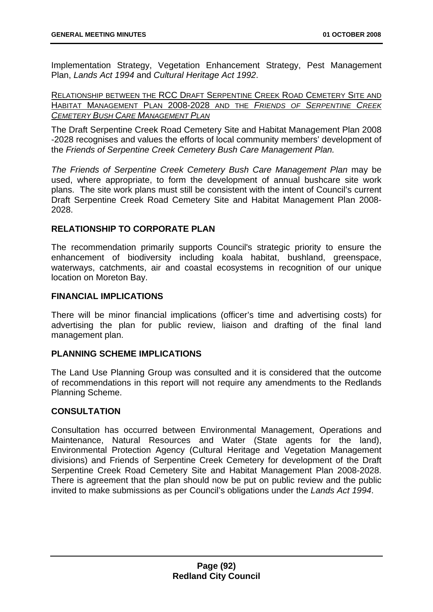Implementation Strategy, Vegetation Enhancement Strategy, Pest Management Plan, *Lands Act 1994* and *Cultural Heritage Act 1992*.

RELATIONSHIP BETWEEN THE RCC DRAFT SERPENTINE CREEK ROAD CEMETERY SITE AND HABITAT MANAGEMENT PLAN 2008-2028 AND THE *FRIENDS OF SERPENTINE CREEK CEMETERY BUSH CARE MANAGEMENT PLAN*

The Draft Serpentine Creek Road Cemetery Site and Habitat Management Plan 2008 -2028 recognises and values the efforts of local community members' development of the *Friends of Serpentine Creek Cemetery Bush Care Management Plan.* 

*The Friends of Serpentine Creek Cemetery Bush Care Management Plan* may be used, where appropriate, to form the development of annual bushcare site work plans. The site work plans must still be consistent with the intent of Council's current Draft Serpentine Creek Road Cemetery Site and Habitat Management Plan 2008- 2028.

## **RELATIONSHIP TO CORPORATE PLAN**

The recommendation primarily supports Council's strategic priority to ensure the enhancement of biodiversity including koala habitat, bushland, greenspace, waterways, catchments, air and coastal ecosystems in recognition of our unique location on Moreton Bay.

## **FINANCIAL IMPLICATIONS**

There will be minor financial implications (officer's time and advertising costs) for advertising the plan for public review, liaison and drafting of the final land management plan.

## **PLANNING SCHEME IMPLICATIONS**

The Land Use Planning Group was consulted and it is considered that the outcome of recommendations in this report will not require any amendments to the Redlands Planning Scheme.

## **CONSULTATION**

Consultation has occurred between Environmental Management, Operations and Maintenance, Natural Resources and Water (State agents for the land), Environmental Protection Agency (Cultural Heritage and Vegetation Management divisions) and Friends of Serpentine Creek Cemetery for development of the Draft Serpentine Creek Road Cemetery Site and Habitat Management Plan 2008-2028. There is agreement that the plan should now be put on public review and the public invited to make submissions as per Council's obligations under the *Lands Act 1994*.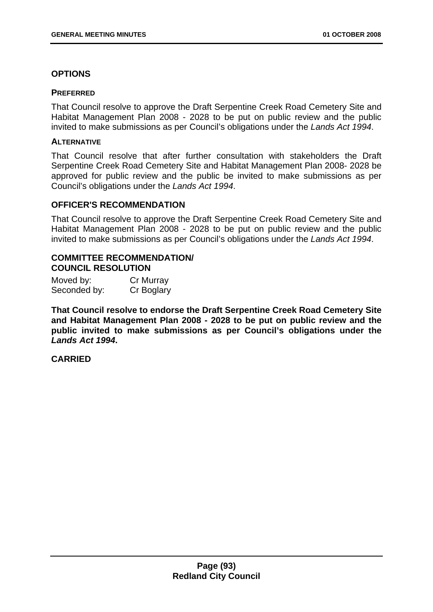## **OPTIONS**

#### **PREFERRED**

That Council resolve to approve the Draft Serpentine Creek Road Cemetery Site and Habitat Management Plan 2008 - 2028 to be put on public review and the public invited to make submissions as per Council's obligations under the *Lands Act 1994*.

#### **ALTERNATIVE**

That Council resolve that after further consultation with stakeholders the Draft Serpentine Creek Road Cemetery Site and Habitat Management Plan 2008- 2028 be approved for public review and the public be invited to make submissions as per Council's obligations under the *Lands Act 1994*.

## **OFFICER'S RECOMMENDATION**

That Council resolve to approve the Draft Serpentine Creek Road Cemetery Site and Habitat Management Plan 2008 - 2028 to be put on public review and the public invited to make submissions as per Council's obligations under the *Lands Act 1994*.

## **COMMITTEE RECOMMENDATION/ COUNCIL RESOLUTION**

| Moved by:    | Cr Murray  |
|--------------|------------|
| Seconded by: | Cr Boglary |

**That Council resolve to endorse the Draft Serpentine Creek Road Cemetery Site and Habitat Management Plan 2008 - 2028 to be put on public review and the public invited to make submissions as per Council's obligations under the** *Lands Act 1994***.** 

## **CARRIED**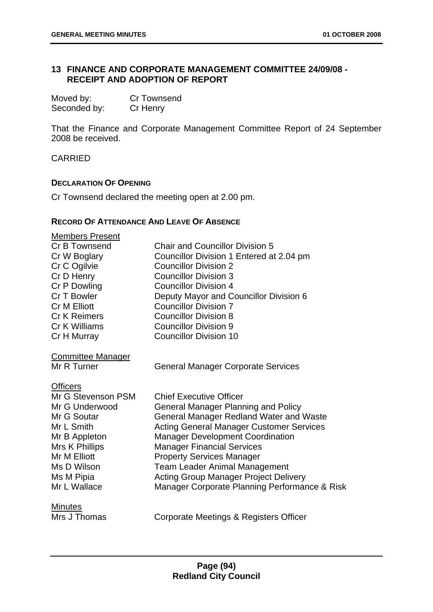## **13 FINANCE AND CORPORATE MANAGEMENT COMMITTEE 24/09/08 - RECEIPT AND ADOPTION OF REPORT**

| Moved by:    | <b>Cr Townsend</b> |
|--------------|--------------------|
| Seconded by: | Cr Henry           |

That the Finance and Corporate Management Committee Report of 24 September 2008 be received.

CARRIED

## **DECLARATION OF OPENING**

Cr Townsend declared the meeting open at 2.00 pm.

## **RECORD OF ATTENDANCE AND LEAVE OF ABSENCE**

| <b>Members Present</b><br>Cr B Townsend<br>Cr W Boglary<br>Cr C Ogilvie<br>Cr D Henry<br>Cr P Dowling<br>Cr T Bowler<br><b>Cr M Elliott</b><br><b>Cr K Reimers</b><br>Cr K Williams<br>Cr H Murray | <b>Chair and Councillor Division 5</b><br>Councillor Division 1 Entered at 2.04 pm<br><b>Councillor Division 2</b><br><b>Councillor Division 3</b><br><b>Councillor Division 4</b><br>Deputy Mayor and Councillor Division 6<br><b>Councillor Division 7</b><br><b>Councillor Division 8</b><br><b>Councillor Division 9</b><br><b>Councillor Division 10</b>                                                                           |
|----------------------------------------------------------------------------------------------------------------------------------------------------------------------------------------------------|-----------------------------------------------------------------------------------------------------------------------------------------------------------------------------------------------------------------------------------------------------------------------------------------------------------------------------------------------------------------------------------------------------------------------------------------|
| <b>Committee Manager</b><br>Mr R Turner                                                                                                                                                            | <b>General Manager Corporate Services</b>                                                                                                                                                                                                                                                                                                                                                                                               |
| <b>Officers</b><br>Mr G Stevenson PSM<br>Mr G Underwood<br>Mr G Soutar<br>Mr L Smith<br>Mr B Appleton<br>Mrs K Phillips<br>Mr M Elliott<br>Ms D Wilson<br>Ms M Pipia<br>Mr L Wallace               | <b>Chief Executive Officer</b><br><b>General Manager Planning and Policy</b><br>General Manager Redland Water and Waste<br><b>Acting General Manager Customer Services</b><br><b>Manager Development Coordination</b><br><b>Manager Financial Services</b><br><b>Property Services Manager</b><br><b>Team Leader Animal Management</b><br><b>Acting Group Manager Project Delivery</b><br>Manager Corporate Planning Performance & Risk |
| <b>Minutes</b><br>Mrs J Thomas                                                                                                                                                                     | Corporate Meetings & Registers Officer                                                                                                                                                                                                                                                                                                                                                                                                  |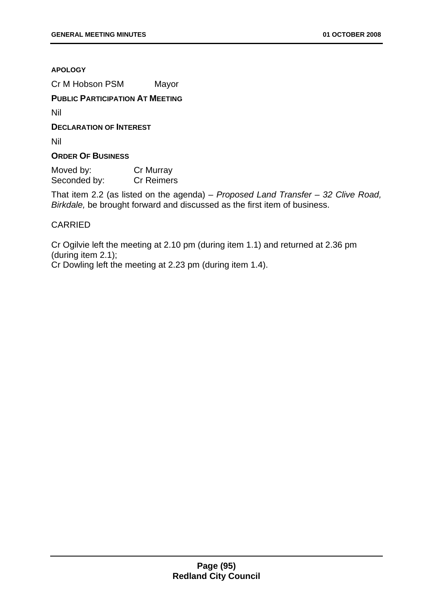**APOLOGY**

Cr M Hobson PSM Mayor

## **PUBLIC PARTICIPATION AT MEETING**

Nil

**DECLARATION OF INTEREST**

Nil

## **ORDER OF BUSINESS**

Moved by: Cr Murray Seconded by: Cr Reimers

That item 2.2 (as listed on the agenda) – *Proposed Land Transfer – 32 Clive Road, Birkdale,* be brought forward and discussed as the first item of business.

## CARRIED

Cr Ogilvie left the meeting at 2.10 pm (during item 1.1) and returned at 2.36 pm (during item 2.1);

Cr Dowling left the meeting at 2.23 pm (during item 1.4).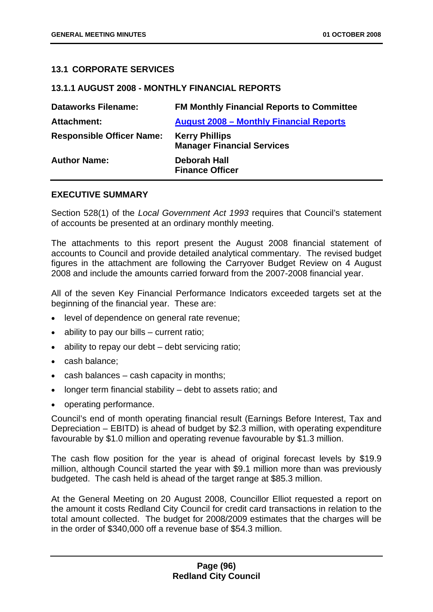## **13.1 CORPORATE SERVICES**

## **13.1.1 AUGUST 2008 - MONTHLY FINANCIAL REPORTS**

| <b>Dataworks Filename:</b>       | <b>FM Monthly Financial Reports to Committee</b>           |
|----------------------------------|------------------------------------------------------------|
| <b>Attachment:</b>               | <b>August 2008 - Monthly Financial Reports</b>             |
| <b>Responsible Officer Name:</b> | <b>Kerry Phillips</b><br><b>Manager Financial Services</b> |
| <b>Author Name:</b>              | Deborah Hall<br><b>Finance Officer</b>                     |

## **EXECUTIVE SUMMARY**

Section 528(1) of the *Local Government Act 1993* requires that Council's statement of accounts be presented at an ordinary monthly meeting.

The attachments to this report present the August 2008 financial statement of accounts to Council and provide detailed analytical commentary. The revised budget figures in the attachment are following the Carryover Budget Review on 4 August 2008 and include the amounts carried forward from the 2007-2008 financial year.

All of the seven Key Financial Performance Indicators exceeded targets set at the beginning of the financial year. These are:

- level of dependence on general rate revenue;
- ability to pay our bills  $-$  current ratio;
- ability to repay our debt debt servicing ratio;
- cash balance;
- cash balances cash capacity in months;
- longer term financial stability debt to assets ratio; and
- operating performance.

Council's end of month operating financial result (Earnings Before Interest, Tax and Depreciation – EBITD) is ahead of budget by \$2.3 million, with operating expenditure favourable by \$1.0 million and operating revenue favourable by \$1.3 million.

The cash flow position for the year is ahead of original forecast levels by \$19.9 million, although Council started the year with \$9.1 million more than was previously budgeted. The cash held is ahead of the target range at \$85.3 million.

At the General Meeting on 20 August 2008, Councillor Elliot requested a report on the amount it costs Redland City Council for credit card transactions in relation to the total amount collected. The budget for 2008/2009 estimates that the charges will be in the order of \$340,000 off a revenue base of \$54.3 million.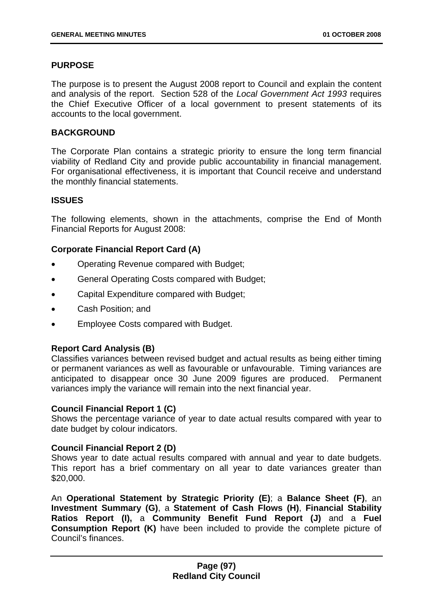## **PURPOSE**

The purpose is to present the August 2008 report to Council and explain the content and analysis of the report. Section 528 of the *Local Government Act 1993* requires the Chief Executive Officer of a local government to present statements of its accounts to the local government.

#### **BACKGROUND**

The Corporate Plan contains a strategic priority to ensure the long term financial viability of Redland City and provide public accountability in financial management. For organisational effectiveness, it is important that Council receive and understand the monthly financial statements.

#### **ISSUES**

The following elements, shown in the attachments, comprise the End of Month Financial Reports for August 2008:

## **Corporate Financial Report Card (A)**

- Operating Revenue compared with Budget;
- General Operating Costs compared with Budget;
- Capital Expenditure compared with Budget;
- Cash Position; and
- Employee Costs compared with Budget.

## **Report Card Analysis (B)**

Classifies variances between revised budget and actual results as being either timing or permanent variances as well as favourable or unfavourable. Timing variances are anticipated to disappear once 30 June 2009 figures are produced. Permanent variances imply the variance will remain into the next financial year.

## **Council Financial Report 1 (C)**

Shows the percentage variance of year to date actual results compared with year to date budget by colour indicators.

## **Council Financial Report 2 (D)**

Shows year to date actual results compared with annual and year to date budgets. This report has a brief commentary on all year to date variances greater than \$20,000.

An **Operational Statement by Strategic Priority (E)**; a **Balance Sheet (F)**, an **Investment Summary (G)**, a **Statement of Cash Flows (H)**, **Financial Stability Ratios Report (I),** a **Community Benefit Fund Report (J)** and a **Fuel Consumption Report (K)** have been included to provide the complete picture of Council's finances.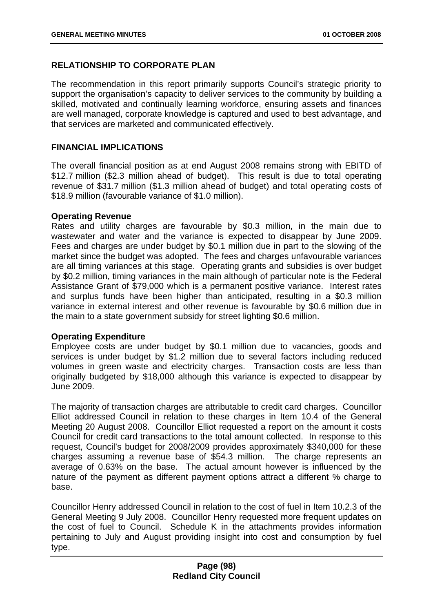# **RELATIONSHIP TO CORPORATE PLAN**

The recommendation in this report primarily supports Council's strategic priority to support the organisation's capacity to deliver services to the community by building a skilled, motivated and continually learning workforce, ensuring assets and finances are well managed, corporate knowledge is captured and used to best advantage, and that services are marketed and communicated effectively.

## **FINANCIAL IMPLICATIONS**

The overall financial position as at end August 2008 remains strong with EBITD of \$12.7 million (\$2.3 million ahead of budget). This result is due to total operating revenue of \$31.7 million (\$1.3 million ahead of budget) and total operating costs of \$18.9 million (favourable variance of \$1.0 million).

## **Operating Revenue**

Rates and utility charges are favourable by \$0.3 million, in the main due to wastewater and water and the variance is expected to disappear by June 2009. Fees and charges are under budget by \$0.1 million due in part to the slowing of the market since the budget was adopted. The fees and charges unfavourable variances are all timing variances at this stage. Operating grants and subsidies is over budget by \$0.2 million, timing variances in the main although of particular note is the Federal Assistance Grant of \$79,000 which is a permanent positive variance. Interest rates and surplus funds have been higher than anticipated, resulting in a \$0.3 million variance in external interest and other revenue is favourable by \$0.6 million due in the main to a state government subsidy for street lighting \$0.6 million.

## **Operating Expenditure**

Employee costs are under budget by \$0.1 million due to vacancies, goods and services is under budget by \$1.2 million due to several factors including reduced volumes in green waste and electricity charges. Transaction costs are less than originally budgeted by \$18,000 although this variance is expected to disappear by June 2009.

The majority of transaction charges are attributable to credit card charges. Councillor Elliot addressed Council in relation to these charges in Item 10.4 of the General Meeting 20 August 2008. Councillor Elliot requested a report on the amount it costs Council for credit card transactions to the total amount collected. In response to this request, Council's budget for 2008/2009 provides approximately \$340,000 for these charges assuming a revenue base of \$54.3 million. The charge represents an average of 0.63% on the base. The actual amount however is influenced by the nature of the payment as different payment options attract a different % charge to base.

Councillor Henry addressed Council in relation to the cost of fuel in Item 10.2.3 of the General Meeting 9 July 2008. Councillor Henry requested more frequent updates on the cost of fuel to Council. Schedule K in the attachments provides information pertaining to July and August providing insight into cost and consumption by fuel type.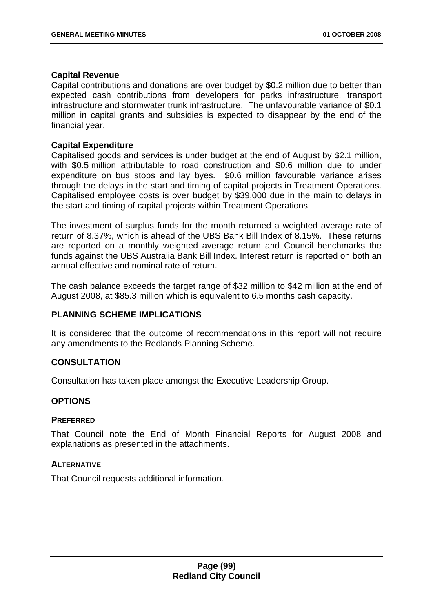## **Capital Revenue**

Capital contributions and donations are over budget by \$0.2 million due to better than expected cash contributions from developers for parks infrastructure, transport infrastructure and stormwater trunk infrastructure. The unfavourable variance of \$0.1 million in capital grants and subsidies is expected to disappear by the end of the financial year.

## **Capital Expenditure**

Capitalised goods and services is under budget at the end of August by \$2.1 million, with \$0.5 million attributable to road construction and \$0.6 million due to under expenditure on bus stops and lay byes. \$0.6 million favourable variance arises through the delays in the start and timing of capital projects in Treatment Operations. Capitalised employee costs is over budget by \$39,000 due in the main to delays in the start and timing of capital projects within Treatment Operations.

The investment of surplus funds for the month returned a weighted average rate of return of 8.37%, which is ahead of the UBS Bank Bill Index of 8.15%. These returns are reported on a monthly weighted average return and Council benchmarks the funds against the UBS Australia Bank Bill Index. Interest return is reported on both an annual effective and nominal rate of return.

The cash balance exceeds the target range of \$32 million to \$42 million at the end of August 2008, at \$85.3 million which is equivalent to 6.5 months cash capacity.

## **PLANNING SCHEME IMPLICATIONS**

It is considered that the outcome of recommendations in this report will not require any amendments to the Redlands Planning Scheme.

## **CONSULTATION**

Consultation has taken place amongst the Executive Leadership Group.

## **OPTIONS**

#### **PREFERRED**

That Council note the End of Month Financial Reports for August 2008 and explanations as presented in the attachments.

## **ALTERNATIVE**

That Council requests additional information.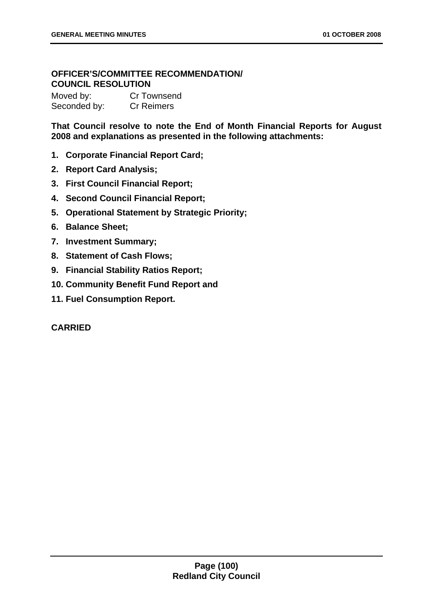# **OFFICER'S/COMMITTEE RECOMMENDATION/ COUNCIL RESOLUTION**

Moved by: Cr Townsend Seconded by: Cr Reimers

**That Council resolve to note the End of Month Financial Reports for August 2008 and explanations as presented in the following attachments:** 

- **1. Corporate Financial Report Card;**
- **2. Report Card Analysis;**
- **3. First Council Financial Report;**
- **4. Second Council Financial Report;**
- **5. Operational Statement by Strategic Priority;**
- **6. Balance Sheet;**
- **7. Investment Summary;**
- **8. Statement of Cash Flows;**
- **9. Financial Stability Ratios Report;**
- **10. Community Benefit Fund Report and**
- **11. Fuel Consumption Report.**

## **CARRIED**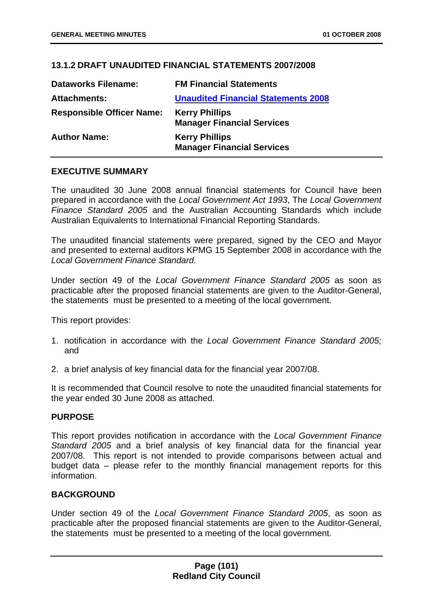## **13.1.2 DRAFT UNAUDITED FINANCIAL STATEMENTS 2007/2008**

| <b>Dataworks Filename:</b>       | <b>FM Financial Statements</b>                             |
|----------------------------------|------------------------------------------------------------|
| <b>Attachments:</b>              | <b>Unaudited Financial Statements 2008</b>                 |
| <b>Responsible Officer Name:</b> | <b>Kerry Phillips</b><br><b>Manager Financial Services</b> |
| <b>Author Name:</b>              | <b>Kerry Phillips</b><br><b>Manager Financial Services</b> |

## **EXECUTIVE SUMMARY**

The unaudited 30 June 2008 annual financial statements for Council have been prepared in accordance with the *Local Government Act 1993*, The *Local Government Finance Standard 2005* and the Australian Accounting Standards which include Australian Equivalents to International Financial Reporting Standards.

The unaudited financial statements were prepared, signed by the CEO and Mayor and presented to external auditors KPMG 15 September 2008 in accordance with the *Local Government Finance Standard.*

Under section 49 of the *Local Government Finance Standard 2005* as soon as practicable after the proposed financial statements are given to the Auditor-General, the statements must be presented to a meeting of the local government.

This report provides:

- 1. notification in accordance with the *Local Government Finance Standard 2005;*  and
- 2. a brief analysis of key financial data for the financial year 2007/08.

It is recommended that Council resolve to note the unaudited financial statements for the year ended 30 June 2008 as attached.

## **PURPOSE**

This report provides notification in accordance with the *Local Government Finance Standard 2005* and a brief analysis of key financial data for the financial year 2007/08. This report is not intended to provide comparisons between actual and budget data – please refer to the monthly financial management reports for this information.

## **BACKGROUND**

Under section 49 of the *Local Government Finance Standard 2005*, as soon as practicable after the proposed financial statements are given to the Auditor-General, the statements must be presented to a meeting of the local government.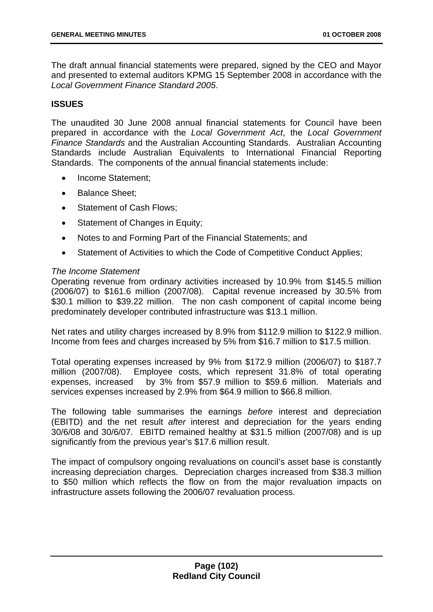The draft annual financial statements were prepared, signed by the CEO and Mayor and presented to external auditors KPMG 15 September 2008 in accordance with the *Local Government Finance Standard 2005*.

## **ISSUES**

The unaudited 30 June 2008 annual financial statements for Council have been prepared in accordance with the *Local Government Act*, the *Local Government Finance Standards* and the Australian Accounting Standards. Australian Accounting Standards include Australian Equivalents to International Financial Reporting Standards. The components of the annual financial statements include:

- Income Statement;
- Balance Sheet;
- Statement of Cash Flows;
- Statement of Changes in Equity;
- Notes to and Forming Part of the Financial Statements; and
- Statement of Activities to which the Code of Competitive Conduct Applies;

## *The Income Statement*

Operating revenue from ordinary activities increased by 10.9% from \$145.5 million  $(2006/07)$  to \$161.6 million  $(2007/08)$ . Capital revenue increased by 30.5% from \$30.1 million to \$39.22 million. The non cash component of capital income being predominately developer contributed infrastructure was \$13.1 million.

Net rates and utility charges increased by 8.9% from \$112.9 million to \$122.9 million. Income from fees and charges increased by 5% from \$16.7 million to \$17.5 million.

Total operating expenses increased by 9% from \$172.9 million (2006/07) to \$187.7 million (2007/08). Employee costs, which represent 31.8% of total operating expenses, increased by 3% from \$57.9 million to \$59.6 million. Materials and services expenses increased by 2.9% from \$64.9 million to \$66.8 million.

The following table summarises the earnings *before* interest and depreciation (EBITD) and the net result *after* interest and depreciation for the years ending 30/6/08 and 30/6/07. EBITD remained healthy at \$31.5 million (2007/08) and is up significantly from the previous year's \$17.6 million result.

The impact of compulsory ongoing revaluations on council's asset base is constantly increasing depreciation charges. Depreciation charges increased from \$38.3 million to \$50 million which reflects the flow on from the major revaluation impacts on infrastructure assets following the 2006/07 revaluation process.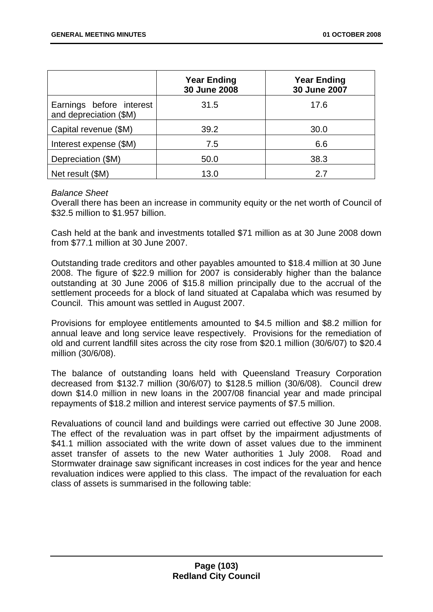|                                                    | <b>Year Ending</b><br>30 June 2008 | <b>Year Ending</b><br>30 June 2007 |
|----------------------------------------------------|------------------------------------|------------------------------------|
| Earnings before interest<br>and depreciation (\$M) | 31.5                               | 17.6                               |
| Capital revenue (\$M)                              | 39.2                               | 30.0                               |
| Interest expense (\$M)                             | 7.5                                | 6.6                                |
| Depreciation (\$M)                                 | 50.0                               | 38.3                               |
| Net result (\$M)                                   | 13.0                               | 27                                 |

## *Balance Sheet*

Overall there has been an increase in community equity or the net worth of Council of \$32.5 million to \$1.957 billion.

Cash held at the bank and investments totalled \$71 million as at 30 June 2008 down from \$77.1 million at 30 June 2007.

Outstanding trade creditors and other payables amounted to \$18.4 million at 30 June 2008. The figure of \$22.9 million for 2007 is considerably higher than the balance outstanding at 30 June 2006 of \$15.8 million principally due to the accrual of the settlement proceeds for a block of land situated at Capalaba which was resumed by Council. This amount was settled in August 2007.

Provisions for employee entitlements amounted to \$4.5 million and \$8.2 million for annual leave and long service leave respectively. Provisions for the remediation of old and current landfill sites across the city rose from \$20.1 million (30/6/07) to \$20.4 million (30/6/08).

The balance of outstanding loans held with Queensland Treasury Corporation decreased from \$132.7 million (30/6/07) to \$128.5 million (30/6/08). Council drew down \$14.0 million in new loans in the 2007/08 financial year and made principal repayments of \$18.2 million and interest service payments of \$7.5 million.

Revaluations of council land and buildings were carried out effective 30 June 2008. The effect of the revaluation was in part offset by the impairment adjustments of \$41.1 million associated with the write down of asset values due to the imminent asset transfer of assets to the new Water authorities 1 July 2008. Road and Stormwater drainage saw significant increases in cost indices for the year and hence revaluation indices were applied to this class. The impact of the revaluation for each class of assets is summarised in the following table: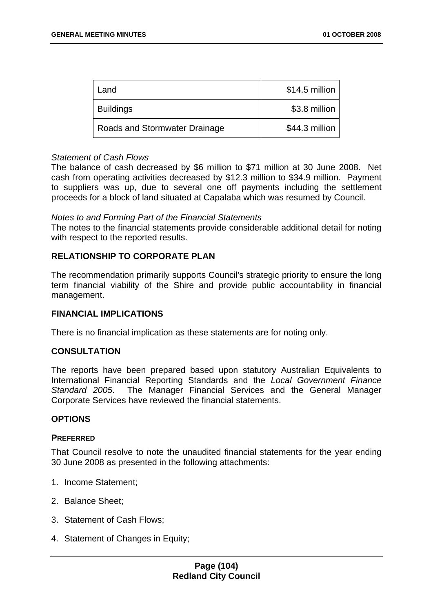| Land                          | \$14.5 million |
|-------------------------------|----------------|
| <b>Buildings</b>              | \$3.8 million  |
| Roads and Stormwater Drainage | \$44.3 million |

## *Statement of Cash Flows*

The balance of cash decreased by \$6 million to \$71 million at 30 June 2008. Net cash from operating activities decreased by \$12.3 million to \$34.9 million. Payment to suppliers was up, due to several one off payments including the settlement proceeds for a block of land situated at Capalaba which was resumed by Council.

#### *Notes to and Forming Part of the Financial Statements*

The notes to the financial statements provide considerable additional detail for noting with respect to the reported results.

## **RELATIONSHIP TO CORPORATE PLAN**

The recommendation primarily supports Council's strategic priority to ensure the long term financial viability of the Shire and provide public accountability in financial management.

## **FINANCIAL IMPLICATIONS**

There is no financial implication as these statements are for noting only.

## **CONSULTATION**

The reports have been prepared based upon statutory Australian Equivalents to International Financial Reporting Standards and the *Local Government Finance Standard 2005*. The Manager Financial Services and the General Manager Corporate Services have reviewed the financial statements.

## **OPTIONS**

#### **PREFERRED**

That Council resolve to note the unaudited financial statements for the year ending 30 June 2008 as presented in the following attachments:

- 1. Income Statement;
- 2. Balance Sheet;
- 3. Statement of Cash Flows;
- 4. Statement of Changes in Equity;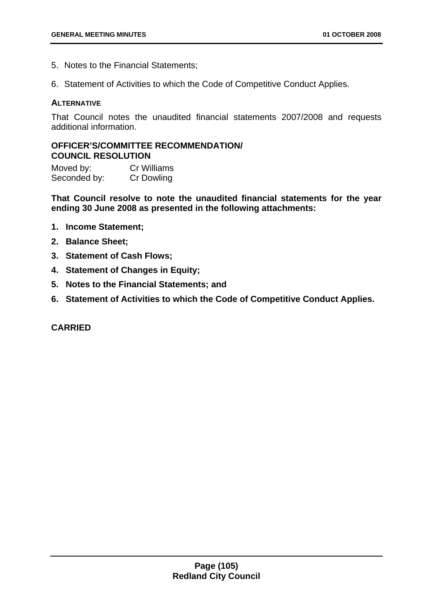- 5. Notes to the Financial Statements;
- 6. Statement of Activities to which the Code of Competitive Conduct Applies.

### **ALTERNATIVE**

That Council notes the unaudited financial statements 2007/2008 and requests additional information.

# **OFFICER'S/COMMITTEE RECOMMENDATION/ COUNCIL RESOLUTION**

Moved by: Cr Williams Seconded by: Cr Dowling

**That Council resolve to note the unaudited financial statements for the year ending 30 June 2008 as presented in the following attachments:** 

- **1. Income Statement;**
- **2. Balance Sheet;**
- **3. Statement of Cash Flows;**
- **4. Statement of Changes in Equity;**
- **5. Notes to the Financial Statements; and**
- **6. Statement of Activities to which the Code of Competitive Conduct Applies.**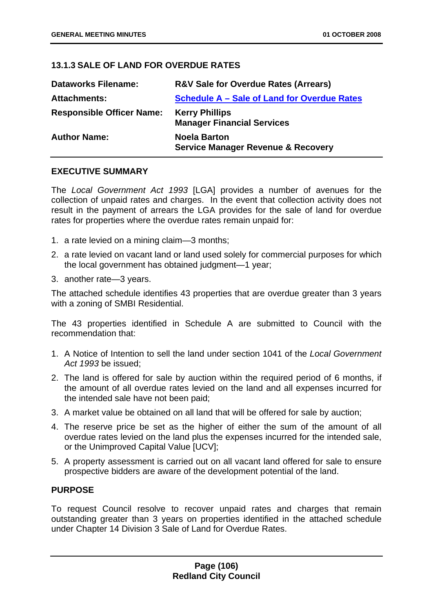# **13.1.3 SALE OF LAND FOR OVERDUE RATES**

| <b>Dataworks Filename:</b>       | <b>R&amp;V Sale for Overdue Rates (Arrears)</b>                      |
|----------------------------------|----------------------------------------------------------------------|
| <b>Attachments:</b>              | Schedule A - Sale of Land for Overdue Rates                          |
| <b>Responsible Officer Name:</b> | <b>Kerry Phillips</b><br><b>Manager Financial Services</b>           |
| <b>Author Name:</b>              | <b>Noela Barton</b><br><b>Service Manager Revenue &amp; Recovery</b> |

## **EXECUTIVE SUMMARY**

The *Local Government Act 1993* [LGA] provides a number of avenues for the collection of unpaid rates and charges. In the event that collection activity does not result in the payment of arrears the LGA provides for the sale of land for overdue rates for properties where the overdue rates remain unpaid for:

- 1. a rate levied on a mining claim—3 months;
- 2. a rate levied on vacant land or land used solely for commercial purposes for which the local government has obtained judgment—1 year;
- 3. another rate—3 years.

The attached schedule identifies 43 properties that are overdue greater than 3 years with a zoning of SMBI Residential.

The 43 properties identified in Schedule A are submitted to Council with the recommendation that:

- 1. A Notice of Intention to sell the land under section 1041 of the *Local Government Act 1993* be issued;
- 2. The land is offered for sale by auction within the required period of 6 months, if the amount of all overdue rates levied on the land and all expenses incurred for the intended sale have not been paid;
- 3. A market value be obtained on all land that will be offered for sale by auction;
- 4. The reserve price be set as the higher of either the sum of the amount of all overdue rates levied on the land plus the expenses incurred for the intended sale, or the Unimproved Capital Value [UCV];
- 5. A property assessment is carried out on all vacant land offered for sale to ensure prospective bidders are aware of the development potential of the land.

# **PURPOSE**

To request Council resolve to recover unpaid rates and charges that remain outstanding greater than 3 years on properties identified in the attached schedule under Chapter 14 Division 3 Sale of Land for Overdue Rates.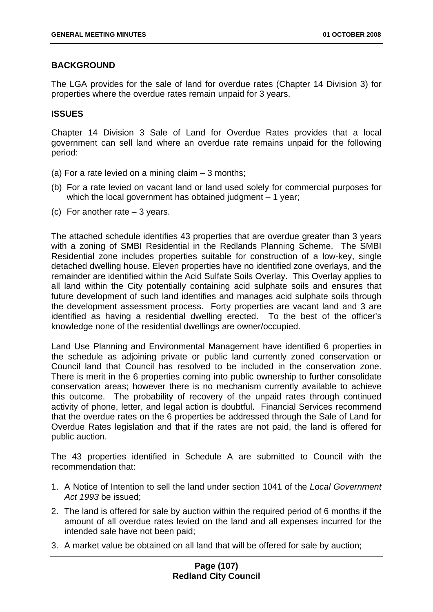# **BACKGROUND**

The LGA provides for the sale of land for overdue rates (Chapter 14 Division 3) for properties where the overdue rates remain unpaid for 3 years.

## **ISSUES**

Chapter 14 Division 3 Sale of Land for Overdue Rates provides that a local government can sell land where an overdue rate remains unpaid for the following period:

- (a) For a rate levied on a mining claim  $-3$  months;
- (b) For a rate levied on vacant land or land used solely for commercial purposes for which the local government has obtained judgment  $-1$  year;
- (c) For another rate 3 years.

The attached schedule identifies 43 properties that are overdue greater than 3 years with a zoning of SMBI Residential in the Redlands Planning Scheme. The SMBI Residential zone includes properties suitable for construction of a low-key, single detached dwelling house. Eleven properties have no identified zone overlays, and the remainder are identified within the Acid Sulfate Soils Overlay. This Overlay applies to all land within the City potentially containing acid sulphate soils and ensures that future development of such land identifies and manages acid sulphate soils through the development assessment process. Forty properties are vacant land and 3 are identified as having a residential dwelling erected. To the best of the officer's knowledge none of the residential dwellings are owner/occupied.

Land Use Planning and Environmental Management have identified 6 properties in the schedule as adjoining private or public land currently zoned conservation or Council land that Council has resolved to be included in the conservation zone. There is merit in the 6 properties coming into public ownership to further consolidate conservation areas; however there is no mechanism currently available to achieve this outcome. The probability of recovery of the unpaid rates through continued activity of phone, letter, and legal action is doubtful. Financial Services recommend that the overdue rates on the 6 properties be addressed through the Sale of Land for Overdue Rates legislation and that if the rates are not paid, the land is offered for public auction.

The 43 properties identified in Schedule A are submitted to Council with the recommendation that:

- 1. A Notice of Intention to sell the land under section 1041 of the *Local Government Act 1993* be issued;
- 2. The land is offered for sale by auction within the required period of 6 months if the amount of all overdue rates levied on the land and all expenses incurred for the intended sale have not been paid;
- 3. A market value be obtained on all land that will be offered for sale by auction;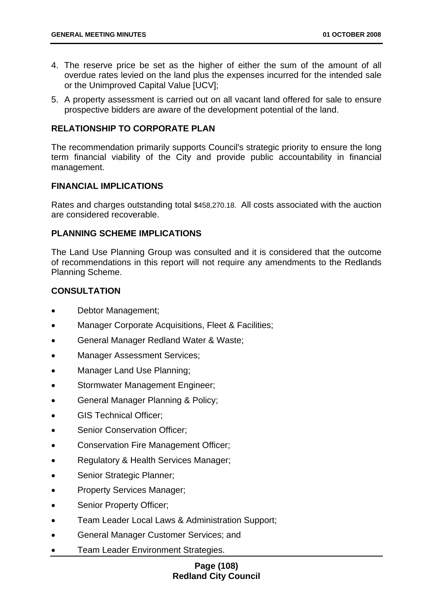- 4. The reserve price be set as the higher of either the sum of the amount of all overdue rates levied on the land plus the expenses incurred for the intended sale or the Unimproved Capital Value [UCV];
- 5. A property assessment is carried out on all vacant land offered for sale to ensure prospective bidders are aware of the development potential of the land.

## **RELATIONSHIP TO CORPORATE PLAN**

The recommendation primarily supports Council's strategic priority to ensure the long term financial viability of the City and provide public accountability in financial management.

### **FINANCIAL IMPLICATIONS**

Rates and charges outstanding total \$458,270.18. All costs associated with the auction are considered recoverable.

## **PLANNING SCHEME IMPLICATIONS**

The Land Use Planning Group was consulted and it is considered that the outcome of recommendations in this report will not require any amendments to the Redlands Planning Scheme.

# **CONSULTATION**

- Debtor Management;
- Manager Corporate Acquisitions, Fleet & Facilities;
- General Manager Redland Water & Waste;
- Manager Assessment Services;
- Manager Land Use Planning;
- Stormwater Management Engineer;
- General Manager Planning & Policy;
- GIS Technical Officer;
- Senior Conservation Officer:
- Conservation Fire Management Officer;
- Regulatory & Health Services Manager;
- Senior Strategic Planner:
- Property Services Manager;
- Senior Property Officer:
- Team Leader Local Laws & Administration Support;
- General Manager Customer Services; and
- **Team Leader Environment Strategies.**

## **Page (108) Redland City Council**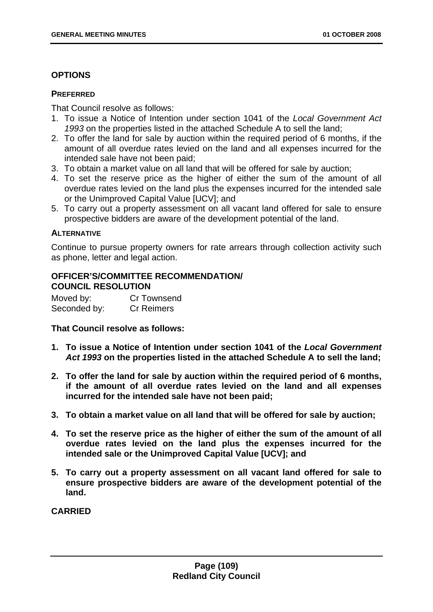## **OPTIONS**

### **PREFERRED**

That Council resolve as follows:

- 1. To issue a Notice of Intention under section 1041 of the *Local Government Act 1993* on the properties listed in the attached Schedule A to sell the land;
- 2. To offer the land for sale by auction within the required period of 6 months, if the amount of all overdue rates levied on the land and all expenses incurred for the intended sale have not been paid;
- 3. To obtain a market value on all land that will be offered for sale by auction;
- 4. To set the reserve price as the higher of either the sum of the amount of all overdue rates levied on the land plus the expenses incurred for the intended sale or the Unimproved Capital Value [UCV]; and
- 5. To carry out a property assessment on all vacant land offered for sale to ensure prospective bidders are aware of the development potential of the land.

### **ALTERNATIVE**

Continue to pursue property owners for rate arrears through collection activity such as phone, letter and legal action.

# **OFFICER'S/COMMITTEE RECOMMENDATION/ COUNCIL RESOLUTION**

Moved by: Cr Townsend Seconded by: Cr Reimers

### **That Council resolve as follows:**

- **1. To issue a Notice of Intention under section 1041 of the** *Local Government Act 1993* **on the properties listed in the attached Schedule A to sell the land;**
- **2. To offer the land for sale by auction within the required period of 6 months, if the amount of all overdue rates levied on the land and all expenses incurred for the intended sale have not been paid;**
- **3. To obtain a market value on all land that will be offered for sale by auction;**
- **4. To set the reserve price as the higher of either the sum of the amount of all overdue rates levied on the land plus the expenses incurred for the intended sale or the Unimproved Capital Value [UCV]; and**
- **5. To carry out a property assessment on all vacant land offered for sale to ensure prospective bidders are aware of the development potential of the land.**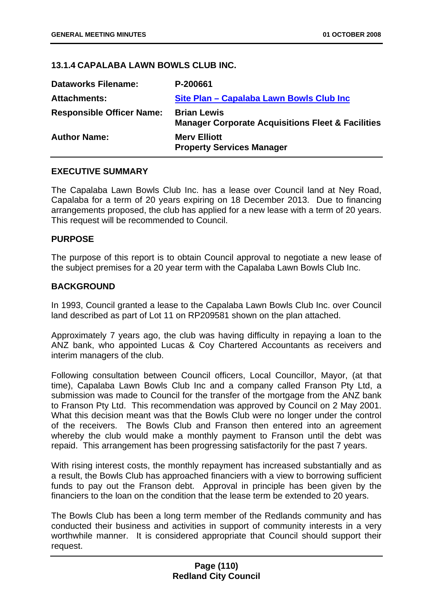## **13.1.4 CAPALABA LAWN BOWLS CLUB INC.**

| <b>Dataworks Filename:</b>       | P-200661                                                                           |
|----------------------------------|------------------------------------------------------------------------------------|
| <b>Attachments:</b>              | Site Plan - Capalaba Lawn Bowls Club Inc                                           |
| <b>Responsible Officer Name:</b> | <b>Brian Lewis</b><br><b>Manager Corporate Acquisitions Fleet &amp; Facilities</b> |
| <b>Author Name:</b>              | <b>Mery Elliott</b><br><b>Property Services Manager</b>                            |

### **EXECUTIVE SUMMARY**

The Capalaba Lawn Bowls Club Inc. has a lease over Council land at Ney Road, Capalaba for a term of 20 years expiring on 18 December 2013. Due to financing arrangements proposed, the club has applied for a new lease with a term of 20 years. This request will be recommended to Council.

#### **PURPOSE**

The purpose of this report is to obtain Council approval to negotiate a new lease of the subject premises for a 20 year term with the Capalaba Lawn Bowls Club Inc.

#### **BACKGROUND**

In 1993, Council granted a lease to the Capalaba Lawn Bowls Club Inc. over Council land described as part of Lot 11 on RP209581 shown on the plan attached.

Approximately 7 years ago, the club was having difficulty in repaying a loan to the ANZ bank, who appointed Lucas & Coy Chartered Accountants as receivers and interim managers of the club.

Following consultation between Council officers, Local Councillor, Mayor, (at that time), Capalaba Lawn Bowls Club Inc and a company called Franson Pty Ltd, a submission was made to Council for the transfer of the mortgage from the ANZ bank to Franson Pty Ltd. This recommendation was approved by Council on 2 May 2001. What this decision meant was that the Bowls Club were no longer under the control of the receivers. The Bowls Club and Franson then entered into an agreement whereby the club would make a monthly payment to Franson until the debt was repaid. This arrangement has been progressing satisfactorily for the past 7 years.

With rising interest costs, the monthly repayment has increased substantially and as a result, the Bowls Club has approached financiers with a view to borrowing sufficient funds to pay out the Franson debt. Approval in principle has been given by the financiers to the loan on the condition that the lease term be extended to 20 years.

The Bowls Club has been a long term member of the Redlands community and has conducted their business and activities in support of community interests in a very worthwhile manner. It is considered appropriate that Council should support their request.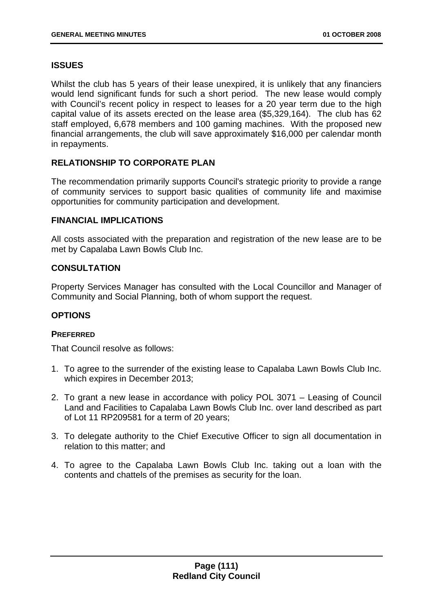# **ISSUES**

Whilst the club has 5 years of their lease unexpired, it is unlikely that any financiers would lend significant funds for such a short period. The new lease would comply with Council's recent policy in respect to leases for a 20 year term due to the high capital value of its assets erected on the lease area (\$5,329,164). The club has 62 staff employed, 6,678 members and 100 gaming machines. With the proposed new financial arrangements, the club will save approximately \$16,000 per calendar month in repayments.

# **RELATIONSHIP TO CORPORATE PLAN**

The recommendation primarily supports Council's strategic priority to provide a range of community services to support basic qualities of community life and maximise opportunities for community participation and development.

## **FINANCIAL IMPLICATIONS**

All costs associated with the preparation and registration of the new lease are to be met by Capalaba Lawn Bowls Club Inc.

# **CONSULTATION**

Property Services Manager has consulted with the Local Councillor and Manager of Community and Social Planning, both of whom support the request.

# **OPTIONS**

# **PREFERRED**

That Council resolve as follows:

- 1. To agree to the surrender of the existing lease to Capalaba Lawn Bowls Club Inc. which expires in December 2013;
- 2. To grant a new lease in accordance with policy POL 3071 Leasing of Council Land and Facilities to Capalaba Lawn Bowls Club Inc. over land described as part of Lot 11 RP209581 for a term of 20 years;
- 3. To delegate authority to the Chief Executive Officer to sign all documentation in relation to this matter; and
- 4. To agree to the Capalaba Lawn Bowls Club Inc. taking out a loan with the contents and chattels of the premises as security for the loan.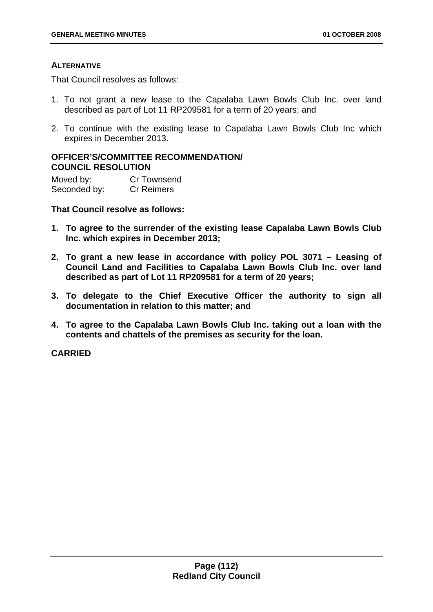## **ALTERNATIVE**

That Council resolves as follows:

- 1. To not grant a new lease to the Capalaba Lawn Bowls Club Inc. over land described as part of Lot 11 RP209581 for a term of 20 years; and
- 2. To continue with the existing lease to Capalaba Lawn Bowls Club Inc which expires in December 2013.

## **OFFICER'S/COMMITTEE RECOMMENDATION/ COUNCIL RESOLUTION**

Moved by: Cr Townsend Seconded by: Cr Reimers

**That Council resolve as follows:** 

- **1. To agree to the surrender of the existing lease Capalaba Lawn Bowls Club Inc. which expires in December 2013;**
- **2. To grant a new lease in accordance with policy POL 3071 Leasing of Council Land and Facilities to Capalaba Lawn Bowls Club Inc. over land described as part of Lot 11 RP209581 for a term of 20 years;**
- **3. To delegate to the Chief Executive Officer the authority to sign all documentation in relation to this matter; and**
- **4. To agree to the Capalaba Lawn Bowls Club Inc. taking out a loan with the contents and chattels of the premises as security for the loan.**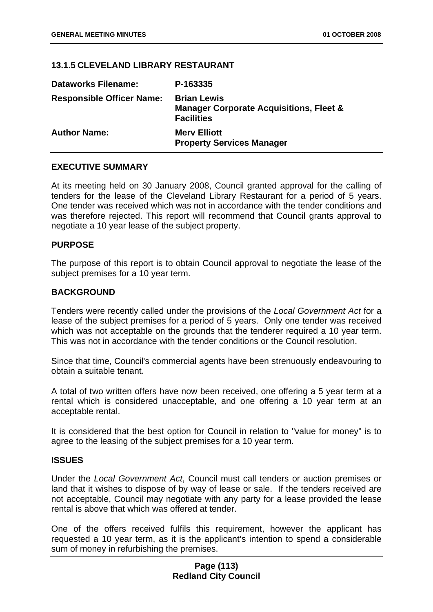## **13.1.5 CLEVELAND LIBRARY RESTAURANT**

| <b>Dataworks Filename:</b>       | P-163335                                                                                      |
|----------------------------------|-----------------------------------------------------------------------------------------------|
| <b>Responsible Officer Name:</b> | <b>Brian Lewis</b><br><b>Manager Corporate Acquisitions, Fleet &amp;</b><br><b>Facilities</b> |
| <b>Author Name:</b>              | <b>Mery Elliott</b><br><b>Property Services Manager</b>                                       |

### **EXECUTIVE SUMMARY**

At its meeting held on 30 January 2008, Council granted approval for the calling of tenders for the lease of the Cleveland Library Restaurant for a period of 5 years. One tender was received which was not in accordance with the tender conditions and was therefore rejected. This report will recommend that Council grants approval to negotiate a 10 year lease of the subject property.

### **PURPOSE**

The purpose of this report is to obtain Council approval to negotiate the lease of the subject premises for a 10 year term.

## **BACKGROUND**

Tenders were recently called under the provisions of the *Local Government Act* for a lease of the subject premises for a period of 5 years. Only one tender was received which was not acceptable on the grounds that the tenderer required a 10 year term. This was not in accordance with the tender conditions or the Council resolution.

Since that time, Council's commercial agents have been strenuously endeavouring to obtain a suitable tenant.

A total of two written offers have now been received, one offering a 5 year term at a rental which is considered unacceptable, and one offering a 10 year term at an acceptable rental.

It is considered that the best option for Council in relation to "value for money" is to agree to the leasing of the subject premises for a 10 year term.

### **ISSUES**

Under the *Local Government Act*, Council must call tenders or auction premises or land that it wishes to dispose of by way of lease or sale. If the tenders received are not acceptable, Council may negotiate with any party for a lease provided the lease rental is above that which was offered at tender.

One of the offers received fulfils this requirement, however the applicant has requested a 10 year term, as it is the applicant's intention to spend a considerable sum of money in refurbishing the premises.

## **Page (113) Redland City Council**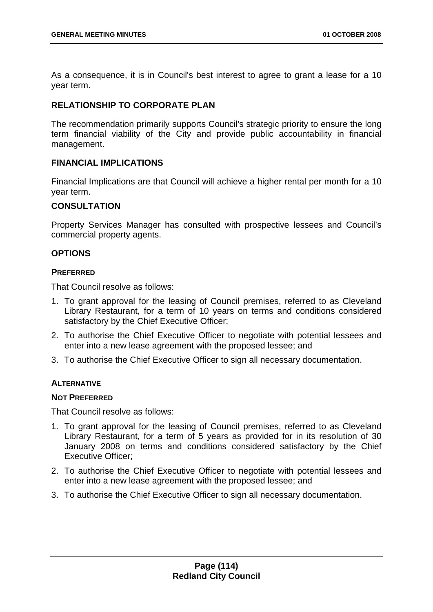As a consequence, it is in Council's best interest to agree to grant a lease for a 10 year term.

## **RELATIONSHIP TO CORPORATE PLAN**

The recommendation primarily supports Council's strategic priority to ensure the long term financial viability of the City and provide public accountability in financial management.

## **FINANCIAL IMPLICATIONS**

Financial Implications are that Council will achieve a higher rental per month for a 10 year term.

## **CONSULTATION**

Property Services Manager has consulted with prospective lessees and Council's commercial property agents.

### **OPTIONS**

### **PREFERRED**

That Council resolve as follows:

- 1. To grant approval for the leasing of Council premises, referred to as Cleveland Library Restaurant, for a term of 10 years on terms and conditions considered satisfactory by the Chief Executive Officer;
- 2. To authorise the Chief Executive Officer to negotiate with potential lessees and enter into a new lease agreement with the proposed lessee; and
- 3. To authorise the Chief Executive Officer to sign all necessary documentation.

### **ALTERNATIVE**

### **NOT PREFERRED**

That Council resolve as follows:

- 1. To grant approval for the leasing of Council premises, referred to as Cleveland Library Restaurant, for a term of 5 years as provided for in its resolution of 30 January 2008 on terms and conditions considered satisfactory by the Chief Executive Officer;
- 2. To authorise the Chief Executive Officer to negotiate with potential lessees and enter into a new lease agreement with the proposed lessee; and
- 3. To authorise the Chief Executive Officer to sign all necessary documentation.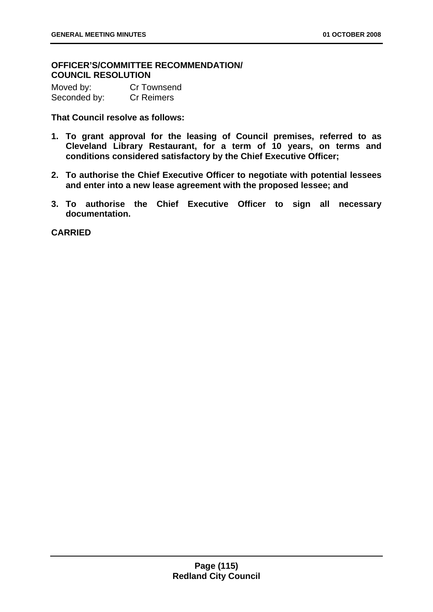# **OFFICER'S/COMMITTEE RECOMMENDATION/ COUNCIL RESOLUTION**

| Moved by:    | <b>Cr Townsend</b> |
|--------------|--------------------|
| Seconded by: | <b>Cr Reimers</b>  |

**That Council resolve as follows:** 

- **1. To grant approval for the leasing of Council premises, referred to as Cleveland Library Restaurant, for a term of 10 years, on terms and conditions considered satisfactory by the Chief Executive Officer;**
- **2. To authorise the Chief Executive Officer to negotiate with potential lessees and enter into a new lease agreement with the proposed lessee; and**
- **3. To authorise the Chief Executive Officer to sign all necessary documentation.**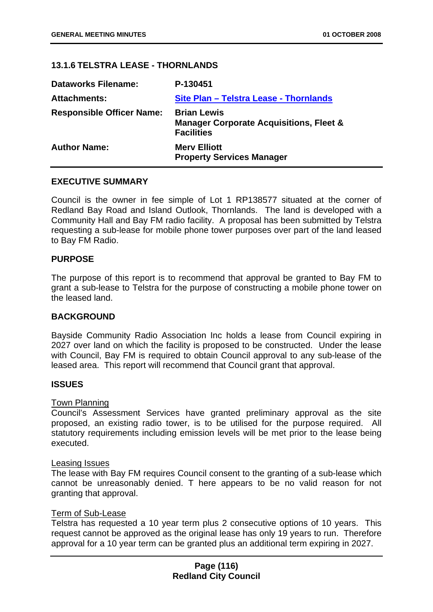## **13.1.6 TELSTRA LEASE - THORNLANDS**

| P-130451                                                                                      |
|-----------------------------------------------------------------------------------------------|
| Site Plan - Telstra Lease - Thornlands                                                        |
| <b>Brian Lewis</b><br><b>Manager Corporate Acquisitions, Fleet &amp;</b><br><b>Facilities</b> |
| <b>Merv Elliott</b><br><b>Property Services Manager</b>                                       |
|                                                                                               |

#### **EXECUTIVE SUMMARY**

Council is the owner in fee simple of Lot 1 RP138577 situated at the corner of Redland Bay Road and Island Outlook, Thornlands. The land is developed with a Community Hall and Bay FM radio facility. A proposal has been submitted by Telstra requesting a sub-lease for mobile phone tower purposes over part of the land leased to Bay FM Radio.

#### **PURPOSE**

The purpose of this report is to recommend that approval be granted to Bay FM to grant a sub-lease to Telstra for the purpose of constructing a mobile phone tower on the leased land.

### **BACKGROUND**

Bayside Community Radio Association Inc holds a lease from Council expiring in 2027 over land on which the facility is proposed to be constructed. Under the lease with Council, Bay FM is required to obtain Council approval to any sub-lease of the leased area. This report will recommend that Council grant that approval.

#### **ISSUES**

#### Town Planning

Council's Assessment Services have granted preliminary approval as the site proposed, an existing radio tower, is to be utilised for the purpose required. All statutory requirements including emission levels will be met prior to the lease being executed.

#### Leasing Issues

The lease with Bay FM requires Council consent to the granting of a sub-lease which cannot be unreasonably denied. T here appears to be no valid reason for not granting that approval.

#### Term of Sub-Lease

Telstra has requested a 10 year term plus 2 consecutive options of 10 years. This request cannot be approved as the original lease has only 19 years to run. Therefore approval for a 10 year term can be granted plus an additional term expiring in 2027.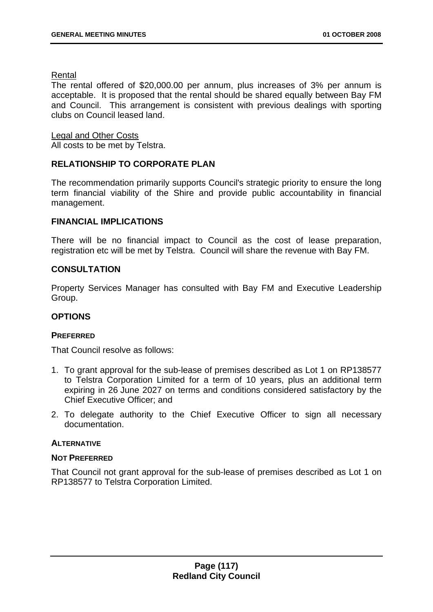## Rental

The rental offered of \$20,000.00 per annum, plus increases of 3% per annum is acceptable. It is proposed that the rental should be shared equally between Bay FM and Council. This arrangement is consistent with previous dealings with sporting clubs on Council leased land.

## Legal and Other Costs

All costs to be met by Telstra.

# **RELATIONSHIP TO CORPORATE PLAN**

The recommendation primarily supports Council's strategic priority to ensure the long term financial viability of the Shire and provide public accountability in financial management.

# **FINANCIAL IMPLICATIONS**

There will be no financial impact to Council as the cost of lease preparation, registration etc will be met by Telstra. Council will share the revenue with Bay FM.

# **CONSULTATION**

Property Services Manager has consulted with Bay FM and Executive Leadership Group.

# **OPTIONS**

### **PREFERRED**

That Council resolve as follows:

- 1. To grant approval for the sub-lease of premises described as Lot 1 on RP138577 to Telstra Corporation Limited for a term of 10 years, plus an additional term expiring in 26 June 2027 on terms and conditions considered satisfactory by the Chief Executive Officer; and
- 2. To delegate authority to the Chief Executive Officer to sign all necessary documentation.

### **ALTERNATIVE**

### **NOT PREFERRED**

That Council not grant approval for the sub-lease of premises described as Lot 1 on RP138577 to Telstra Corporation Limited.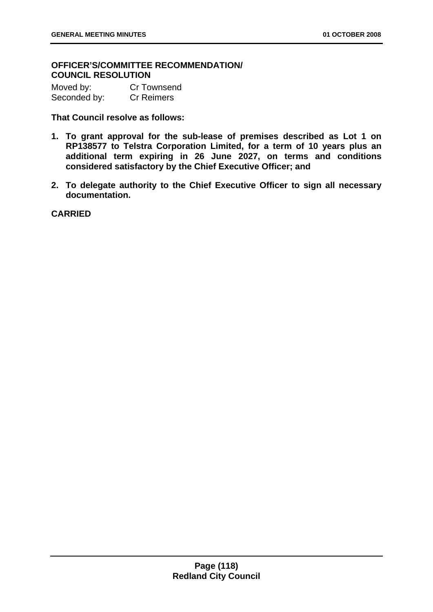# **OFFICER'S/COMMITTEE RECOMMENDATION/ COUNCIL RESOLUTION**

| Moved by:    | <b>Cr Townsend</b> |
|--------------|--------------------|
| Seconded by: | <b>Cr Reimers</b>  |

**That Council resolve as follows:** 

- **1. To grant approval for the sub-lease of premises described as Lot 1 on RP138577 to Telstra Corporation Limited, for a term of 10 years plus an additional term expiring in 26 June 2027, on terms and conditions considered satisfactory by the Chief Executive Officer; and**
- **2. To delegate authority to the Chief Executive Officer to sign all necessary documentation.**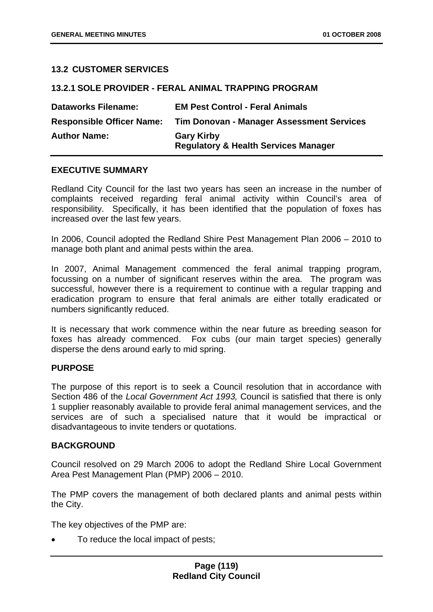## **13.2 CUSTOMER SERVICES**

| <u> 13.2.1 SULE PRUVIDER - FERAL ANIMAL TRAPPING PRUGRAM</u> |                                                                      |
|--------------------------------------------------------------|----------------------------------------------------------------------|
| <b>Dataworks Filename:</b>                                   | <b>EM Pest Control - Feral Animals</b>                               |
| <b>Responsible Officer Name:</b>                             | Tim Donovan - Manager Assessment Services                            |
| <b>Author Name:</b>                                          | <b>Gary Kirby</b><br><b>Regulatory &amp; Health Services Manager</b> |

**13.2.1 SOLE PROVIDER - FERAL ANIMAL TRAPPING PROGRAM** 

### **EXECUTIVE SUMMARY**

Redland City Council for the last two years has seen an increase in the number of complaints received regarding feral animal activity within Council's area of responsibility. Specifically, it has been identified that the population of foxes has increased over the last few years.

In 2006, Council adopted the Redland Shire Pest Management Plan 2006 – 2010 to manage both plant and animal pests within the area.

In 2007, Animal Management commenced the feral animal trapping program, focussing on a number of significant reserves within the area. The program was successful, however there is a requirement to continue with a regular trapping and eradication program to ensure that feral animals are either totally eradicated or numbers significantly reduced.

It is necessary that work commence within the near future as breeding season for foxes has already commenced. Fox cubs (our main target species) generally disperse the dens around early to mid spring.

### **PURPOSE**

The purpose of this report is to seek a Council resolution that in accordance with Section 486 of the *Local Government Act 1993,* Council is satisfied that there is only 1 supplier reasonably available to provide feral animal management services, and the services are of such a specialised nature that it would be impractical or disadvantageous to invite tenders or quotations.

### **BACKGROUND**

Council resolved on 29 March 2006 to adopt the Redland Shire Local Government Area Pest Management Plan (PMP) 2006 – 2010.

The PMP covers the management of both declared plants and animal pests within the City.

The key objectives of the PMP are:

• To reduce the local impact of pests;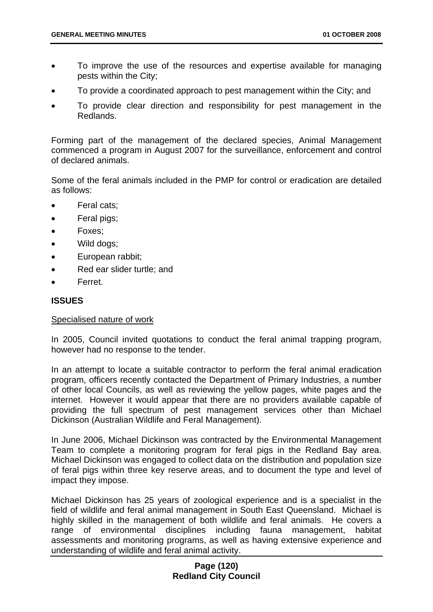- To improve the use of the resources and expertise available for managing pests within the City;
- To provide a coordinated approach to pest management within the City; and
- To provide clear direction and responsibility for pest management in the Redlands.

Forming part of the management of the declared species, Animal Management commenced a program in August 2007 for the surveillance, enforcement and control of declared animals.

Some of the feral animals included in the PMP for control or eradication are detailed as follows:

- Feral cats:
- Feral pigs;
- Foxes;
- Wild dogs;
- European rabbit;
- Red ear slider turtle; and
- Ferret.

## **ISSUES**

### Specialised nature of work

In 2005, Council invited quotations to conduct the feral animal trapping program, however had no response to the tender.

In an attempt to locate a suitable contractor to perform the feral animal eradication program, officers recently contacted the Department of Primary Industries, a number of other local Councils, as well as reviewing the yellow pages, white pages and the internet. However it would appear that there are no providers available capable of providing the full spectrum of pest management services other than Michael Dickinson (Australian Wildlife and Feral Management).

In June 2006, Michael Dickinson was contracted by the Environmental Management Team to complete a monitoring program for feral pigs in the Redland Bay area. Michael Dickinson was engaged to collect data on the distribution and population size of feral pigs within three key reserve areas, and to document the type and level of impact they impose.

Michael Dickinson has 25 years of zoological experience and is a specialist in the field of wildlife and feral animal management in South East Queensland. Michael is highly skilled in the management of both wildlife and feral animals. He covers a range of environmental disciplines including fauna management, habitat assessments and monitoring programs, as well as having extensive experience and understanding of wildlife and feral animal activity.

## **Page (120) Redland City Council**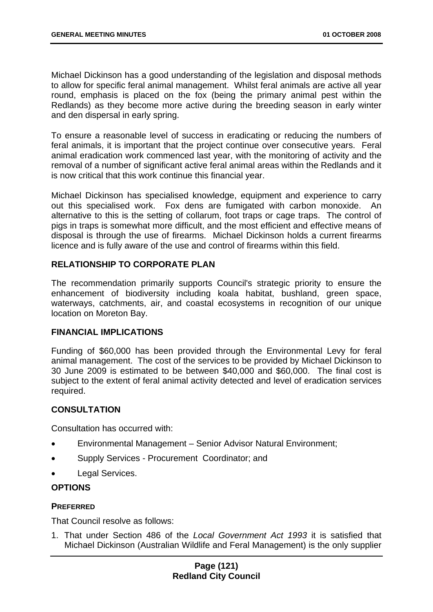Michael Dickinson has a good understanding of the legislation and disposal methods to allow for specific feral animal management. Whilst feral animals are active all year round, emphasis is placed on the fox (being the primary animal pest within the Redlands) as they become more active during the breeding season in early winter and den dispersal in early spring.

To ensure a reasonable level of success in eradicating or reducing the numbers of feral animals, it is important that the project continue over consecutive years. Feral animal eradication work commenced last year, with the monitoring of activity and the removal of a number of significant active feral animal areas within the Redlands and it is now critical that this work continue this financial year.

Michael Dickinson has specialised knowledge, equipment and experience to carry out this specialised work. Fox dens are fumigated with carbon monoxide. An alternative to this is the setting of collarum, foot traps or cage traps. The control of pigs in traps is somewhat more difficult, and the most efficient and effective means of disposal is through the use of firearms. Michael Dickinson holds a current firearms licence and is fully aware of the use and control of firearms within this field.

# **RELATIONSHIP TO CORPORATE PLAN**

The recommendation primarily supports Council's strategic priority to ensure the enhancement of biodiversity including koala habitat, bushland, green space, waterways, catchments, air, and coastal ecosystems in recognition of our unique location on Moreton Bay.

# **FINANCIAL IMPLICATIONS**

Funding of \$60,000 has been provided through the Environmental Levy for feral animal management. The cost of the services to be provided by Michael Dickinson to 30 June 2009 is estimated to be between \$40,000 and \$60,000. The final cost is subject to the extent of feral animal activity detected and level of eradication services required.

# **CONSULTATION**

Consultation has occurred with:

- Environmental Management Senior Advisor Natural Environment;
- Supply Services Procurement Coordinator; and
- Legal Services.

# **OPTIONS**

# **PREFERRED**

That Council resolve as follows:

1. That under Section 486 of the *Local Government Act 1993* it is satisfied that Michael Dickinson (Australian Wildlife and Feral Management) is the only supplier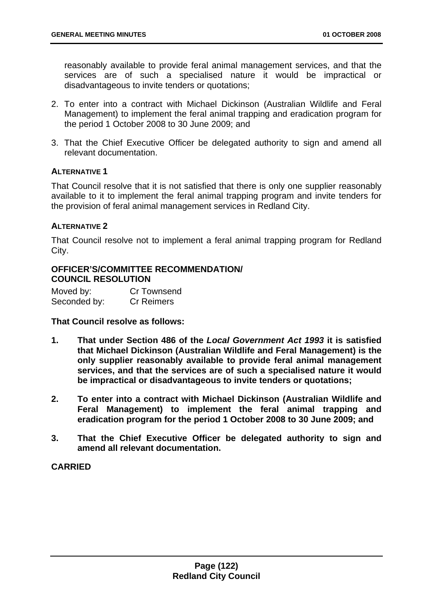reasonably available to provide feral animal management services, and that the services are of such a specialised nature it would be impractical or disadvantageous to invite tenders or quotations;

- 2. To enter into a contract with Michael Dickinson (Australian Wildlife and Feral Management) to implement the feral animal trapping and eradication program for the period 1 October 2008 to 30 June 2009; and
- 3. That the Chief Executive Officer be delegated authority to sign and amend all relevant documentation.

## **ALTERNATIVE 1**

That Council resolve that it is not satisfied that there is only one supplier reasonably available to it to implement the feral animal trapping program and invite tenders for the provision of feral animal management services in Redland City.

## **ALTERNATIVE 2**

That Council resolve not to implement a feral animal trapping program for Redland City.

## **OFFICER'S/COMMITTEE RECOMMENDATION/ COUNCIL RESOLUTION**

| Moved by:    | <b>Cr Townsend</b> |
|--------------|--------------------|
| Seconded by: | <b>Cr Reimers</b>  |

**That Council resolve as follows:** 

- **1. That under Section 486 of the** *Local Government Act 1993* **it is satisfied that Michael Dickinson (Australian Wildlife and Feral Management) is the only supplier reasonably available to provide feral animal management services, and that the services are of such a specialised nature it would be impractical or disadvantageous to invite tenders or quotations;**
- **2. To enter into a contract with Michael Dickinson (Australian Wildlife and Feral Management) to implement the feral animal trapping and eradication program for the period 1 October 2008 to 30 June 2009; and**
- **3. That the Chief Executive Officer be delegated authority to sign and amend all relevant documentation.**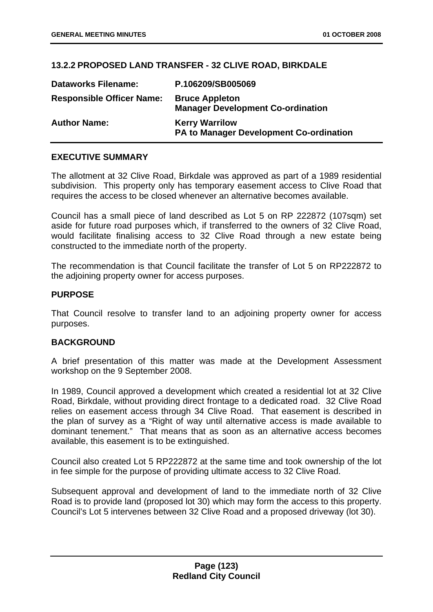## **13.2.2 PROPOSED LAND TRANSFER - 32 CLIVE ROAD, BIRKDALE**

| <b>Dataworks Filename:</b>       | P.106209/SB005069                                                       |
|----------------------------------|-------------------------------------------------------------------------|
| <b>Responsible Officer Name:</b> | <b>Bruce Appleton</b><br><b>Manager Development Co-ordination</b>       |
| <b>Author Name:</b>              | <b>Kerry Warrilow</b><br><b>PA to Manager Development Co-ordination</b> |

### **EXECUTIVE SUMMARY**

The allotment at 32 Clive Road, Birkdale was approved as part of a 1989 residential subdivision. This property only has temporary easement access to Clive Road that requires the access to be closed whenever an alternative becomes available.

Council has a small piece of land described as Lot 5 on RP 222872 (107sqm) set aside for future road purposes which, if transferred to the owners of 32 Clive Road, would facilitate finalising access to 32 Clive Road through a new estate being constructed to the immediate north of the property.

The recommendation is that Council facilitate the transfer of Lot 5 on RP222872 to the adjoining property owner for access purposes.

#### **PURPOSE**

That Council resolve to transfer land to an adjoining property owner for access purposes.

### **BACKGROUND**

A brief presentation of this matter was made at the Development Assessment workshop on the 9 September 2008.

In 1989, Council approved a development which created a residential lot at 32 Clive Road, Birkdale, without providing direct frontage to a dedicated road. 32 Clive Road relies on easement access through 34 Clive Road. That easement is described in the plan of survey as a "Right of way until alternative access is made available to dominant tenement." That means that as soon as an alternative access becomes available, this easement is to be extinguished.

Council also created Lot 5 RP222872 at the same time and took ownership of the lot in fee simple for the purpose of providing ultimate access to 32 Clive Road.

Subsequent approval and development of land to the immediate north of 32 Clive Road is to provide land (proposed lot 30) which may form the access to this property. Council's Lot 5 intervenes between 32 Clive Road and a proposed driveway (lot 30).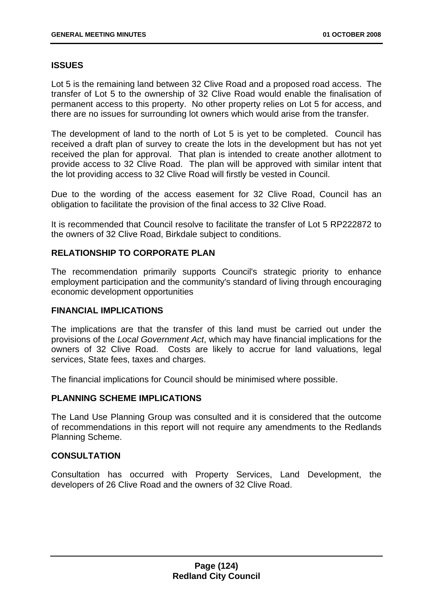# **ISSUES**

Lot 5 is the remaining land between 32 Clive Road and a proposed road access. The transfer of Lot 5 to the ownership of 32 Clive Road would enable the finalisation of permanent access to this property. No other property relies on Lot 5 for access, and there are no issues for surrounding lot owners which would arise from the transfer.

The development of land to the north of Lot 5 is yet to be completed. Council has received a draft plan of survey to create the lots in the development but has not yet received the plan for approval. That plan is intended to create another allotment to provide access to 32 Clive Road. The plan will be approved with similar intent that the lot providing access to 32 Clive Road will firstly be vested in Council.

Due to the wording of the access easement for 32 Clive Road, Council has an obligation to facilitate the provision of the final access to 32 Clive Road.

It is recommended that Council resolve to facilitate the transfer of Lot 5 RP222872 to the owners of 32 Clive Road, Birkdale subject to conditions.

## **RELATIONSHIP TO CORPORATE PLAN**

The recommendation primarily supports Council's strategic priority to enhance employment participation and the community's standard of living through encouraging economic development opportunities

### **FINANCIAL IMPLICATIONS**

The implications are that the transfer of this land must be carried out under the provisions of the *Local Government Act*, which may have financial implications for the owners of 32 Clive Road. Costs are likely to accrue for land valuations, legal services, State fees, taxes and charges.

The financial implications for Council should be minimised where possible.

### **PLANNING SCHEME IMPLICATIONS**

The Land Use Planning Group was consulted and it is considered that the outcome of recommendations in this report will not require any amendments to the Redlands Planning Scheme.

### **CONSULTATION**

Consultation has occurred with Property Services, Land Development, the developers of 26 Clive Road and the owners of 32 Clive Road.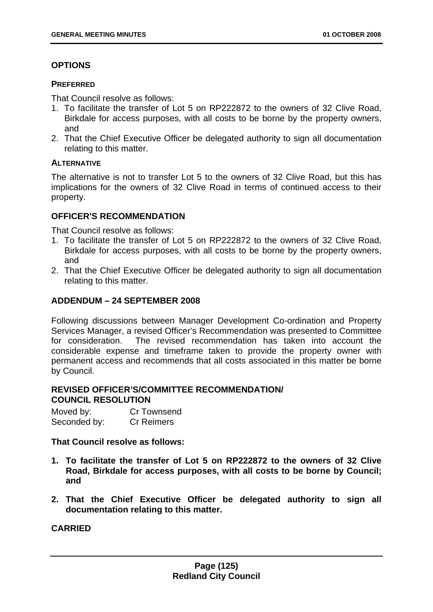# **OPTIONS**

### **PREFERRED**

That Council resolve as follows:

- 1. To facilitate the transfer of Lot 5 on RP222872 to the owners of 32 Clive Road, Birkdale for access purposes, with all costs to be borne by the property owners, and
- 2. That the Chief Executive Officer be delegated authority to sign all documentation relating to this matter.

## **ALTERNATIVE**

The alternative is not to transfer Lot 5 to the owners of 32 Clive Road, but this has implications for the owners of 32 Clive Road in terms of continued access to their property.

# **OFFICER'S RECOMMENDATION**

That Council resolve as follows:

- 1. To facilitate the transfer of Lot 5 on RP222872 to the owners of 32 Clive Road, Birkdale for access purposes, with all costs to be borne by the property owners, and
- 2. That the Chief Executive Officer be delegated authority to sign all documentation relating to this matter.

# **ADDENDUM – 24 SEPTEMBER 2008**

Following discussions between Manager Development Co-ordination and Property Services Manager, a revised Officer's Recommendation was presented to Committee for consideration. The revised recommendation has taken into account the considerable expense and timeframe taken to provide the property owner with permanent access and recommends that all costs associated in this matter be borne by Council.

## **REVISED OFFICER'S/COMMITTEE RECOMMENDATION/ COUNCIL RESOLUTION**

| Moved by:    | <b>Cr Townsend</b> |
|--------------|--------------------|
| Seconded by: | <b>Cr Reimers</b>  |

# **That Council resolve as follows:**

- **1. To facilitate the transfer of Lot 5 on RP222872 to the owners of 32 Clive Road, Birkdale for access purposes, with all costs to be borne by Council; and**
- **2. That the Chief Executive Officer be delegated authority to sign all documentation relating to this matter.**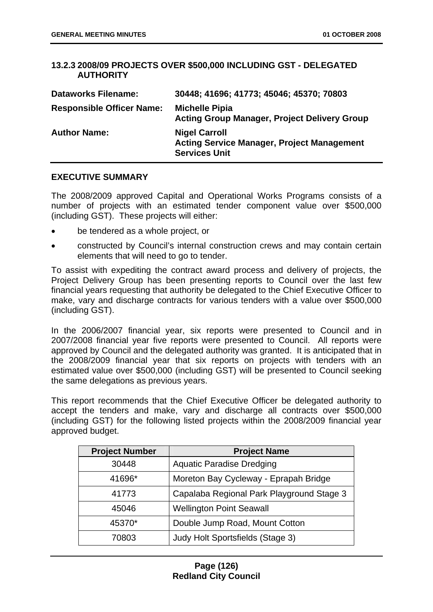## **13.2.3 2008/09 PROJECTS OVER \$500,000 INCLUDING GST - DELEGATED AUTHORITY**

| <b>Dataworks Filename:</b>       | 30448; 41696; 41773; 45046; 45370; 70803                                                          |
|----------------------------------|---------------------------------------------------------------------------------------------------|
| <b>Responsible Officer Name:</b> | <b>Michelle Pipia</b><br><b>Acting Group Manager, Project Delivery Group</b>                      |
| <b>Author Name:</b>              | <b>Nigel Carroll</b><br><b>Acting Service Manager, Project Management</b><br><b>Services Unit</b> |

## **EXECUTIVE SUMMARY**

The 2008/2009 approved Capital and Operational Works Programs consists of a number of projects with an estimated tender component value over \$500,000 (including GST). These projects will either:

- be tendered as a whole project, or
- constructed by Council's internal construction crews and may contain certain elements that will need to go to tender.

To assist with expediting the contract award process and delivery of projects, the Project Delivery Group has been presenting reports to Council over the last few financial years requesting that authority be delegated to the Chief Executive Officer to make, vary and discharge contracts for various tenders with a value over \$500,000 (including GST).

In the 2006/2007 financial year, six reports were presented to Council and in 2007/2008 financial year five reports were presented to Council. All reports were approved by Council and the delegated authority was granted. It is anticipated that in the 2008/2009 financial year that six reports on projects with tenders with an estimated value over \$500,000 (including GST) will be presented to Council seeking the same delegations as previous years.

This report recommends that the Chief Executive Officer be delegated authority to accept the tenders and make, vary and discharge all contracts over \$500,000 (including GST) for the following listed projects within the 2008/2009 financial year approved budget.

| <b>Project Number</b> | <b>Project Name</b>                       |
|-----------------------|-------------------------------------------|
| 30448                 | <b>Aquatic Paradise Dredging</b>          |
| 41696*                | Moreton Bay Cycleway - Eprapah Bridge     |
| 41773                 | Capalaba Regional Park Playground Stage 3 |
| 45046                 | <b>Wellington Point Seawall</b>           |
| 45370*                | Double Jump Road, Mount Cotton            |
| 70803                 | Judy Holt Sportsfields (Stage 3)          |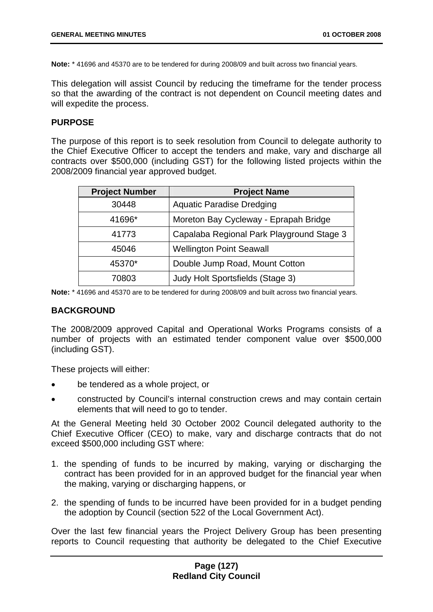**Note:** \* 41696 and 45370 are to be tendered for during 2008/09 and built across two financial years.

This delegation will assist Council by reducing the timeframe for the tender process so that the awarding of the contract is not dependent on Council meeting dates and will expedite the process.

#### **PURPOSE**

The purpose of this report is to seek resolution from Council to delegate authority to the Chief Executive Officer to accept the tenders and make, vary and discharge all contracts over \$500,000 (including GST) for the following listed projects within the 2008/2009 financial year approved budget.

| <b>Project Number</b> | <b>Project Name</b>                       |
|-----------------------|-------------------------------------------|
| 30448                 | <b>Aquatic Paradise Dredging</b>          |
| 41696*                | Moreton Bay Cycleway - Eprapah Bridge     |
| 41773                 | Capalaba Regional Park Playground Stage 3 |
| 45046                 | <b>Wellington Point Seawall</b>           |
| 45370*                | Double Jump Road, Mount Cotton            |
| 70803                 | Judy Holt Sportsfields (Stage 3)          |

**Note:** \* 41696 and 45370 are to be tendered for during 2008/09 and built across two financial years.

#### **BACKGROUND**

The 2008/2009 approved Capital and Operational Works Programs consists of a number of projects with an estimated tender component value over \$500,000 (including GST).

These projects will either:

- be tendered as a whole project, or
- constructed by Council's internal construction crews and may contain certain elements that will need to go to tender.

At the General Meeting held 30 October 2002 Council delegated authority to the Chief Executive Officer (CEO) to make, vary and discharge contracts that do not exceed \$500,000 including GST where:

- 1. the spending of funds to be incurred by making, varying or discharging the contract has been provided for in an approved budget for the financial year when the making, varying or discharging happens, or
- 2. the spending of funds to be incurred have been provided for in a budget pending the adoption by Council (section 522 of the Local Government Act).

Over the last few financial years the Project Delivery Group has been presenting reports to Council requesting that authority be delegated to the Chief Executive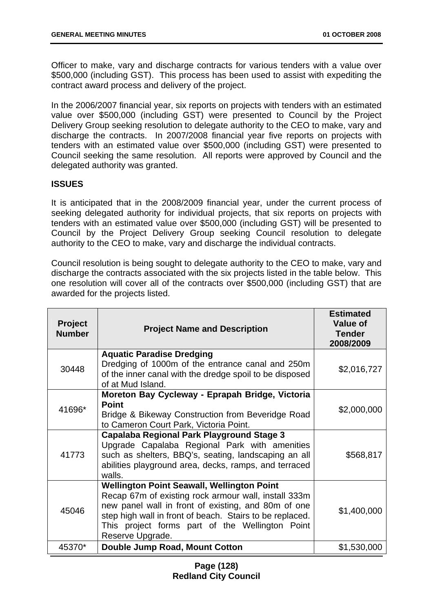Officer to make, vary and discharge contracts for various tenders with a value over \$500,000 (including GST). This process has been used to assist with expediting the contract award process and delivery of the project.

In the 2006/2007 financial year, six reports on projects with tenders with an estimated value over \$500,000 (including GST) were presented to Council by the Project Delivery Group seeking resolution to delegate authority to the CEO to make, vary and discharge the contracts. In 2007/2008 financial year five reports on projects with tenders with an estimated value over \$500,000 (including GST) were presented to Council seeking the same resolution. All reports were approved by Council and the delegated authority was granted.

## **ISSUES**

It is anticipated that in the 2008/2009 financial year, under the current process of seeking delegated authority for individual projects, that six reports on projects with tenders with an estimated value over \$500,000 (including GST) will be presented to Council by the Project Delivery Group seeking Council resolution to delegate authority to the CEO to make, vary and discharge the individual contracts.

Council resolution is being sought to delegate authority to the CEO to make, vary and discharge the contracts associated with the six projects listed in the table below. This one resolution will cover all of the contracts over \$500,000 (including GST) that are awarded for the projects listed.

| <b>Project</b><br><b>Number</b> | <b>Project Name and Description</b>                                                                                                                                                                                                                                                                 | <b>Estimated</b><br><b>Value of</b><br><b>Tender</b><br>2008/2009 |
|---------------------------------|-----------------------------------------------------------------------------------------------------------------------------------------------------------------------------------------------------------------------------------------------------------------------------------------------------|-------------------------------------------------------------------|
| 30448                           | <b>Aquatic Paradise Dredging</b><br>Dredging of 1000m of the entrance canal and 250m<br>of the inner canal with the dredge spoil to be disposed<br>of at Mud Island.                                                                                                                                | \$2,016,727                                                       |
| 41696*                          | Moreton Bay Cycleway - Eprapah Bridge, Victoria<br><b>Point</b><br>Bridge & Bikeway Construction from Beveridge Road<br>to Cameron Court Park, Victoria Point.                                                                                                                                      | \$2,000,000                                                       |
| 41773                           | Capalaba Regional Park Playground Stage 3<br>Upgrade Capalaba Regional Park with amenities<br>such as shelters, BBQ's, seating, landscaping an all<br>abilities playground area, decks, ramps, and terraced<br>walls.                                                                               | \$568,817                                                         |
| 45046                           | <b>Wellington Point Seawall, Wellington Point</b><br>Recap 67m of existing rock armour wall, install 333m<br>new panel wall in front of existing, and 80m of one<br>step high wall in front of beach. Stairs to be replaced.<br>This project forms part of the Wellington Point<br>Reserve Upgrade. | \$1,400,000                                                       |
| 45370*                          | Double Jump Road, Mount Cotton                                                                                                                                                                                                                                                                      | \$1,530,000                                                       |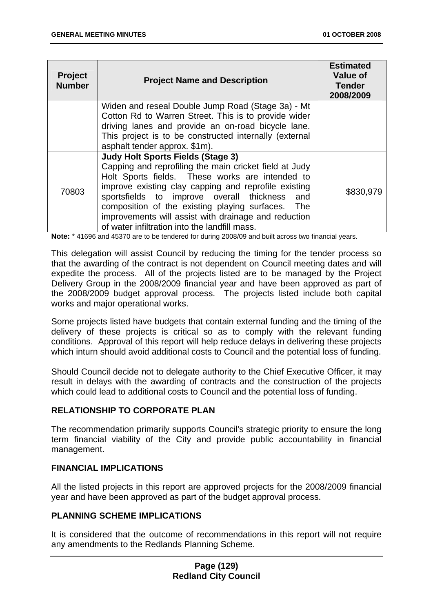| <b>Project</b><br><b>Number</b> | <b>Project Name and Description</b>                                                                                                                                                                                                                                                                                                                                                                                                | <b>Estimated</b><br><b>Value of</b><br><b>Tender</b><br>2008/2009 |
|---------------------------------|------------------------------------------------------------------------------------------------------------------------------------------------------------------------------------------------------------------------------------------------------------------------------------------------------------------------------------------------------------------------------------------------------------------------------------|-------------------------------------------------------------------|
|                                 | Widen and reseal Double Jump Road (Stage 3a) - Mt<br>Cotton Rd to Warren Street. This is to provide wider                                                                                                                                                                                                                                                                                                                          |                                                                   |
|                                 | driving lanes and provide an on-road bicycle lane.                                                                                                                                                                                                                                                                                                                                                                                 |                                                                   |
|                                 | This project is to be constructed internally (external<br>asphalt tender approx. \$1m).                                                                                                                                                                                                                                                                                                                                            |                                                                   |
| 70803                           | <b>Judy Holt Sports Fields (Stage 3)</b><br>Capping and reprofiling the main cricket field at Judy<br>Holt Sports fields. These works are intended to<br>improve existing clay capping and reprofile existing<br>sportsfields to improve overall thickness<br>and<br>composition of the existing playing surfaces.<br>The<br>improvements will assist with drainage and reduction<br>of water infiltration into the landfill mass. | \$830,979                                                         |

**Note:** \* 41696 and 45370 are to be tendered for during 2008/09 and built across two financial years.

This delegation will assist Council by reducing the timing for the tender process so that the awarding of the contract is not dependent on Council meeting dates and will expedite the process. All of the projects listed are to be managed by the Project Delivery Group in the 2008/2009 financial year and have been approved as part of the 2008/2009 budget approval process. The projects listed include both capital works and major operational works.

Some projects listed have budgets that contain external funding and the timing of the delivery of these projects is critical so as to comply with the relevant funding conditions. Approval of this report will help reduce delays in delivering these projects which inturn should avoid additional costs to Council and the potential loss of funding.

Should Council decide not to delegate authority to the Chief Executive Officer, it may result in delays with the awarding of contracts and the construction of the projects which could lead to additional costs to Council and the potential loss of funding.

# **RELATIONSHIP TO CORPORATE PLAN**

The recommendation primarily supports Council's strategic priority to ensure the long term financial viability of the City and provide public accountability in financial management.

# **FINANCIAL IMPLICATIONS**

All the listed projects in this report are approved projects for the 2008/2009 financial year and have been approved as part of the budget approval process.

### **PLANNING SCHEME IMPLICATIONS**

It is considered that the outcome of recommendations in this report will not require any amendments to the Redlands Planning Scheme.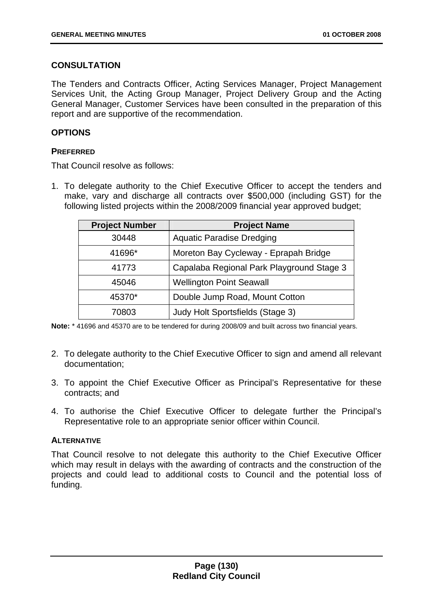# **CONSULTATION**

The Tenders and Contracts Officer, Acting Services Manager, Project Management Services Unit, the Acting Group Manager, Project Delivery Group and the Acting General Manager, Customer Services have been consulted in the preparation of this report and are supportive of the recommendation.

# **OPTIONS**

## **PREFERRED**

That Council resolve as follows:

1. To delegate authority to the Chief Executive Officer to accept the tenders and make, vary and discharge all contracts over \$500,000 (including GST) for the following listed projects within the 2008/2009 financial year approved budget;

| <b>Project Number</b> | <b>Project Name</b>                       |
|-----------------------|-------------------------------------------|
| 30448                 | <b>Aquatic Paradise Dredging</b>          |
| 41696*                | Moreton Bay Cycleway - Eprapah Bridge     |
| 41773                 | Capalaba Regional Park Playground Stage 3 |
| 45046                 | <b>Wellington Point Seawall</b>           |
| 45370*                | Double Jump Road, Mount Cotton            |
| 70803                 | Judy Holt Sportsfields (Stage 3)          |

**Note:** \* 41696 and 45370 are to be tendered for during 2008/09 and built across two financial years.

- 2. To delegate authority to the Chief Executive Officer to sign and amend all relevant documentation;
- 3. To appoint the Chief Executive Officer as Principal's Representative for these contracts; and
- 4. To authorise the Chief Executive Officer to delegate further the Principal's Representative role to an appropriate senior officer within Council.

# **ALTERNATIVE**

That Council resolve to not delegate this authority to the Chief Executive Officer which may result in delays with the awarding of contracts and the construction of the projects and could lead to additional costs to Council and the potential loss of funding.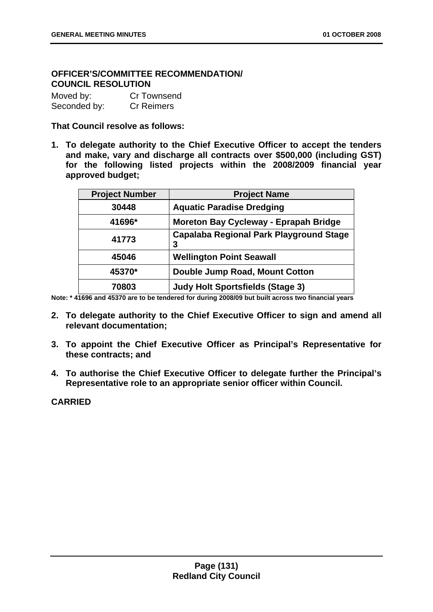# **OFFICER'S/COMMITTEE RECOMMENDATION/ COUNCIL RESOLUTION**

| Moved by:    | Cr Townsend       |
|--------------|-------------------|
| Seconded by: | <b>Cr Reimers</b> |

### **That Council resolve as follows:**

**1. To delegate authority to the Chief Executive Officer to accept the tenders and make, vary and discharge all contracts over \$500,000 (including GST) for the following listed projects within the 2008/2009 financial year approved budget;** 

| <b>Project Number</b> | <b>Project Name</b>                                 |
|-----------------------|-----------------------------------------------------|
| 30448                 | <b>Aquatic Paradise Dredging</b>                    |
| 41696*                | <b>Moreton Bay Cycleway - Eprapah Bridge</b>        |
| 41773                 | <b>Capalaba Regional Park Playground Stage</b><br>3 |
| 45046                 | <b>Wellington Point Seawall</b>                     |
| 45370*                | Double Jump Road, Mount Cotton                      |
| 70803                 | <b>Judy Holt Sportsfields (Stage 3)</b>             |

**Note: \* 41696 and 45370 are to be tendered for during 2008/09 but built across two financial years** 

- **2. To delegate authority to the Chief Executive Officer to sign and amend all relevant documentation;**
- **3. To appoint the Chief Executive Officer as Principal's Representative for these contracts; and**
- **4. To authorise the Chief Executive Officer to delegate further the Principal's Representative role to an appropriate senior officer within Council.**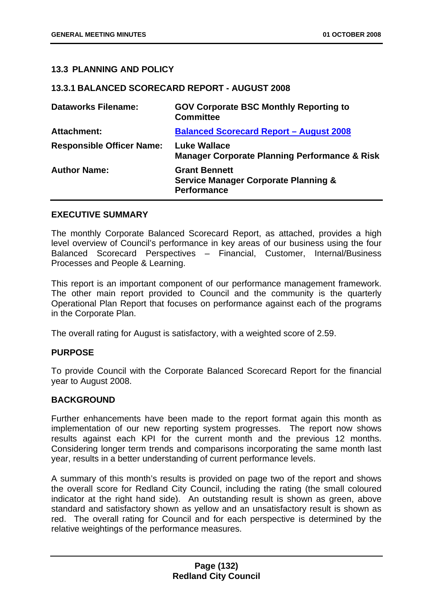## **13.3 PLANNING AND POLICY**

#### **13.3.1 BALANCED SCORECARD REPORT - AUGUST 2008**

| <b>Dataworks Filename:</b>       | <b>GOV Corporate BSC Monthly Reporting to</b><br><b>Committee</b>                             |
|----------------------------------|-----------------------------------------------------------------------------------------------|
| <b>Attachment:</b>               | <b>Balanced Scorecard Report - August 2008</b>                                                |
| <b>Responsible Officer Name:</b> | <b>Luke Wallace</b><br><b>Manager Corporate Planning Performance &amp; Risk</b>               |
| <b>Author Name:</b>              | <b>Grant Bennett</b><br><b>Service Manager Corporate Planning &amp;</b><br><b>Performance</b> |

#### **EXECUTIVE SUMMARY**

The monthly Corporate Balanced Scorecard Report, as attached, provides a high level overview of Council's performance in key areas of our business using the four Balanced Scorecard Perspectives – Financial, Customer, Internal/Business Processes and People & Learning.

This report is an important component of our performance management framework. The other main report provided to Council and the community is the quarterly Operational Plan Report that focuses on performance against each of the programs in the Corporate Plan.

The overall rating for August is satisfactory, with a weighted score of 2.59.

### **PURPOSE**

To provide Council with the Corporate Balanced Scorecard Report for the financial year to August 2008.

## **BACKGROUND**

Further enhancements have been made to the report format again this month as implementation of our new reporting system progresses. The report now shows results against each KPI for the current month and the previous 12 months. Considering longer term trends and comparisons incorporating the same month last year, results in a better understanding of current performance levels.

A summary of this month's results is provided on page two of the report and shows the overall score for Redland City Council, including the rating (the small coloured indicator at the right hand side). An outstanding result is shown as green, above standard and satisfactory shown as yellow and an unsatisfactory result is shown as red. The overall rating for Council and for each perspective is determined by the relative weightings of the performance measures.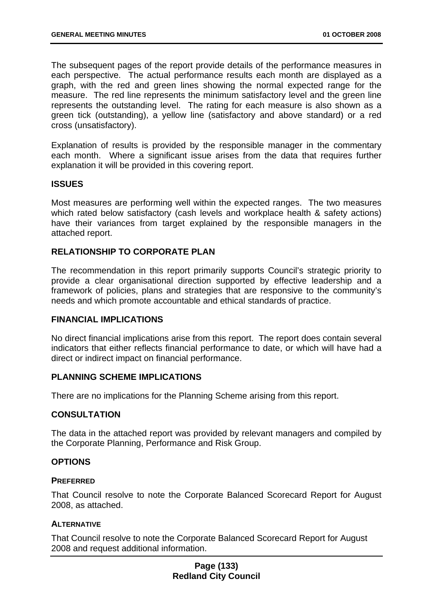The subsequent pages of the report provide details of the performance measures in each perspective. The actual performance results each month are displayed as a graph, with the red and green lines showing the normal expected range for the measure. The red line represents the minimum satisfactory level and the green line represents the outstanding level. The rating for each measure is also shown as a green tick (outstanding), a yellow line (satisfactory and above standard) or a red cross (unsatisfactory).

Explanation of results is provided by the responsible manager in the commentary each month. Where a significant issue arises from the data that requires further explanation it will be provided in this covering report.

### **ISSUES**

Most measures are performing well within the expected ranges. The two measures which rated below satisfactory (cash levels and workplace health & safety actions) have their variances from target explained by the responsible managers in the attached report.

## **RELATIONSHIP TO CORPORATE PLAN**

The recommendation in this report primarily supports Council's strategic priority to provide a clear organisational direction supported by effective leadership and a framework of policies, plans and strategies that are responsive to the community's needs and which promote accountable and ethical standards of practice.

### **FINANCIAL IMPLICATIONS**

No direct financial implications arise from this report. The report does contain several indicators that either reflects financial performance to date, or which will have had a direct or indirect impact on financial performance.

### **PLANNING SCHEME IMPLICATIONS**

There are no implications for the Planning Scheme arising from this report.

### **CONSULTATION**

The data in the attached report was provided by relevant managers and compiled by the Corporate Planning, Performance and Risk Group.

### **OPTIONS**

### **PREFERRED**

That Council resolve to note the Corporate Balanced Scorecard Report for August 2008, as attached.

### **ALTERNATIVE**

That Council resolve to note the Corporate Balanced Scorecard Report for August 2008 and request additional information.

## **Page (133) Redland City Council**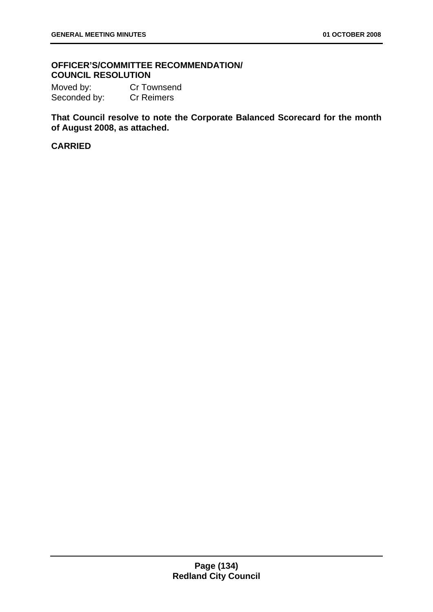# **OFFICER'S/COMMITTEE RECOMMENDATION/ COUNCIL RESOLUTION**

Moved by: Cr Townsend Seconded by: Cr Reimers

**That Council resolve to note the Corporate Balanced Scorecard for the month of August 2008, as attached.**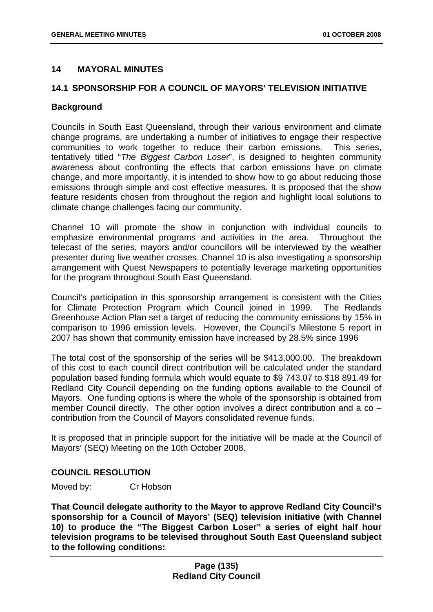## **14 MAYORAL MINUTES**

## **14.1 SPONSORSHIP FOR A COUNCIL OF MAYORS' TELEVISION INITIATIVE**

### **Background**

Councils in South East Queensland, through their various environment and climate change programs, are undertaking a number of initiatives to engage their respective communities to work together to reduce their carbon emissions. This series, tentatively titled "*The Biggest Carbon Lose*r", is designed to heighten community awareness about confronting the effects that carbon emissions have on climate change, and more importantly, it is intended to show how to go about reducing those emissions through simple and cost effective measures. It is proposed that the show feature residents chosen from throughout the region and highlight local solutions to climate change challenges facing our community.

Channel 10 will promote the show in conjunction with individual councils to emphasize environmental programs and activities in the area. Throughout the telecast of the series, mayors and/or councillors will be interviewed by the weather presenter during live weather crosses. Channel 10 is also investigating a sponsorship arrangement with Quest Newspapers to potentially leverage marketing opportunities for the program throughout South East Queensland.

Council's participation in this sponsorship arrangement is consistent with the Cities for Climate Protection Program which Council joined in 1999. The Redlands Greenhouse Action Plan set a target of reducing the community emissions by 15% in comparison to 1996 emission levels. However, the Council's Milestone 5 report in 2007 has shown that community emission have increased by 28.5% since 1996

The total cost of the sponsorship of the series will be \$413,000.00. The breakdown of this cost to each council direct contribution will be calculated under the standard population based funding formula which would equate to \$9 743.07 to \$18 891.49 for Redland City Council depending on the funding options available to the Council of Mayors. One funding options is where the whole of the sponsorship is obtained from member Council directly. The other option involves a direct contribution and a co – contribution from the Council of Mayors consolidated revenue funds.

It is proposed that in principle support for the initiative will be made at the Council of Mayors' (SEQ) Meeting on the 10th October 2008.

# **COUNCIL RESOLUTION**

Moved by: Cr Hobson

**That Council delegate authority to the Mayor to approve Redland City Council's sponsorship for a Council of Mayors' (SEQ) television initiative (with Channel 10) to produce the "The Biggest Carbon Loser" a series of eight half hour television programs to be televised throughout South East Queensland subject to the following conditions:**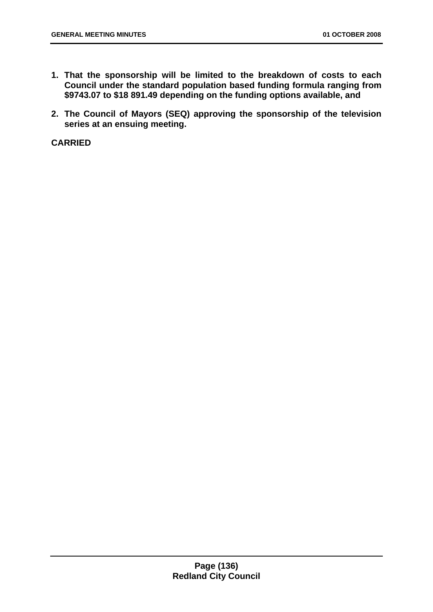- **1. That the sponsorship will be limited to the breakdown of costs to each Council under the standard population based funding formula ranging from \$9743.07 to \$18 891.49 depending on the funding options available, and**
- **2. The Council of Mayors (SEQ) approving the sponsorship of the television series at an ensuing meeting.**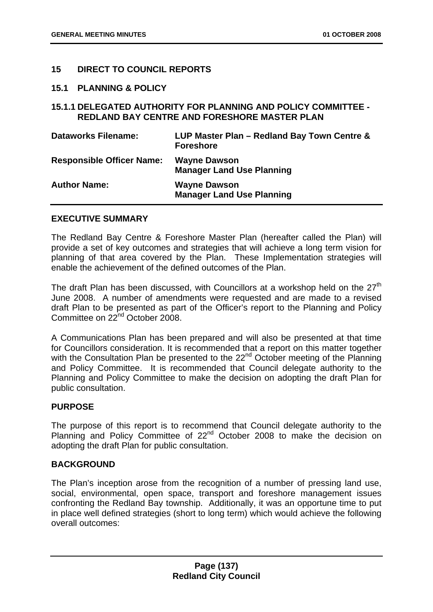## **15 DIRECT TO COUNCIL REPORTS**

#### **15.1 PLANNING & POLICY**

## **15.1.1 DELEGATED AUTHORITY FOR PLANNING AND POLICY COMMITTEE - REDLAND BAY CENTRE AND FORESHORE MASTER PLAN**

| <b>Dataworks Filename:</b>       | LUP Master Plan - Redland Bay Town Centre &<br><b>Foreshore</b> |
|----------------------------------|-----------------------------------------------------------------|
| <b>Responsible Officer Name:</b> | <b>Wayne Dawson</b><br><b>Manager Land Use Planning</b>         |
| <b>Author Name:</b>              | <b>Wayne Dawson</b><br><b>Manager Land Use Planning</b>         |

### **EXECUTIVE SUMMARY**

The Redland Bay Centre & Foreshore Master Plan (hereafter called the Plan) will provide a set of key outcomes and strategies that will achieve a long term vision for planning of that area covered by the Plan. These Implementation strategies will enable the achievement of the defined outcomes of the Plan.

The draft Plan has been discussed, with Councillors at a workshop held on the  $27<sup>th</sup>$ June 2008. A number of amendments were requested and are made to a revised draft Plan to be presented as part of the Officer's report to the Planning and Policy Committee on 22<sup>nd</sup> October 2008.

A Communications Plan has been prepared and will also be presented at that time for Councillors consideration. It is recommended that a report on this matter together with the Consultation Plan be presented to the 22<sup>nd</sup> October meeting of the Planning and Policy Committee. It is recommended that Council delegate authority to the Planning and Policy Committee to make the decision on adopting the draft Plan for public consultation.

### **PURPOSE**

The purpose of this report is to recommend that Council delegate authority to the Planning and Policy Committee of 22<sup>nd</sup> October 2008 to make the decision on adopting the draft Plan for public consultation.

### **BACKGROUND**

The Plan's inception arose from the recognition of a number of pressing land use, social, environmental, open space, transport and foreshore management issues confronting the Redland Bay township. Additionally, it was an opportune time to put in place well defined strategies (short to long term) which would achieve the following overall outcomes: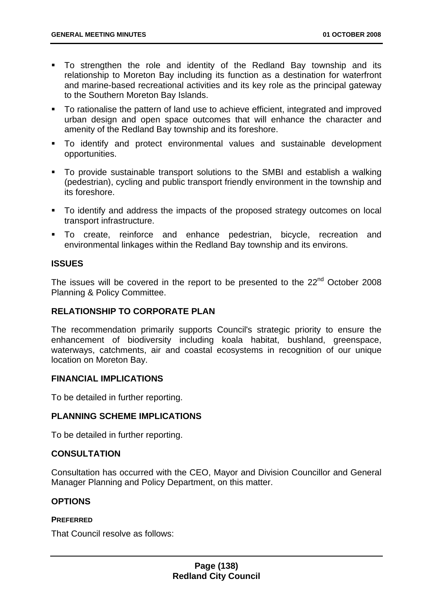- To strengthen the role and identity of the Redland Bay township and its relationship to Moreton Bay including its function as a destination for waterfront and marine-based recreational activities and its key role as the principal gateway to the Southern Moreton Bay Islands.
- To rationalise the pattern of land use to achieve efficient, integrated and improved urban design and open space outcomes that will enhance the character and amenity of the Redland Bay township and its foreshore.
- To identify and protect environmental values and sustainable development opportunities.
- To provide sustainable transport solutions to the SMBI and establish a walking (pedestrian), cycling and public transport friendly environment in the township and its foreshore.
- To identify and address the impacts of the proposed strategy outcomes on local transport infrastructure.
- To create, reinforce and enhance pedestrian, bicycle, recreation and environmental linkages within the Redland Bay township and its environs.

# **ISSUES**

The issues will be covered in the report to be presented to the 22<sup>nd</sup> October 2008 Planning & Policy Committee.

# **RELATIONSHIP TO CORPORATE PLAN**

The recommendation primarily supports Council's strategic priority to ensure the enhancement of biodiversity including koala habitat, bushland, greenspace, waterways, catchments, air and coastal ecosystems in recognition of our unique location on Moreton Bay.

# **FINANCIAL IMPLICATIONS**

To be detailed in further reporting.

# **PLANNING SCHEME IMPLICATIONS**

To be detailed in further reporting.

### **CONSULTATION**

Consultation has occurred with the CEO, Mayor and Division Councillor and General Manager Planning and Policy Department, on this matter.

# **OPTIONS**

### **PREFERRED**

That Council resolve as follows: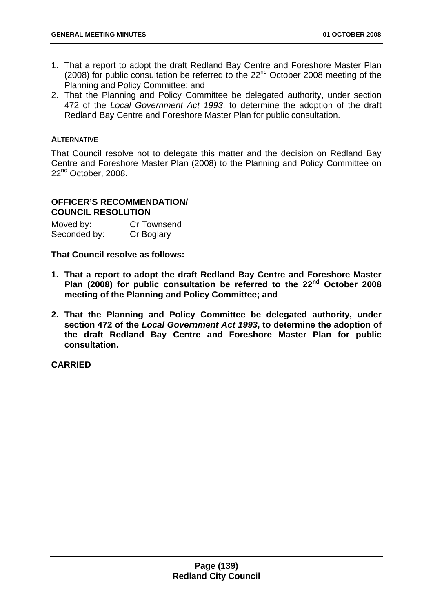- 1. That a report to adopt the draft Redland Bay Centre and Foreshore Master Plan (2008) for public consultation be referred to the  $22<sup>nd</sup>$  October 2008 meeting of the Planning and Policy Committee; and
- 2. That the Planning and Policy Committee be delegated authority, under section 472 of the *Local Government Act 1993*, to determine the adoption of the draft Redland Bay Centre and Foreshore Master Plan for public consultation.

### **ALTERNATIVE**

That Council resolve not to delegate this matter and the decision on Redland Bay Centre and Foreshore Master Plan (2008) to the Planning and Policy Committee on 22<sup>nd</sup> October, 2008.

### **OFFICER'S RECOMMENDATION/ COUNCIL RESOLUTION**

Moved by: Cr Townsend Seconded by: Cr Boglary

**That Council resolve as follows:** 

- **1. That a report to adopt the draft Redland Bay Centre and Foreshore Master Plan (2008) for public consultation be referred to the 22nd October 2008 meeting of the Planning and Policy Committee; and**
- **2. That the Planning and Policy Committee be delegated authority, under section 472 of the** *Local Government Act 1993***, to determine the adoption of the draft Redland Bay Centre and Foreshore Master Plan for public consultation.**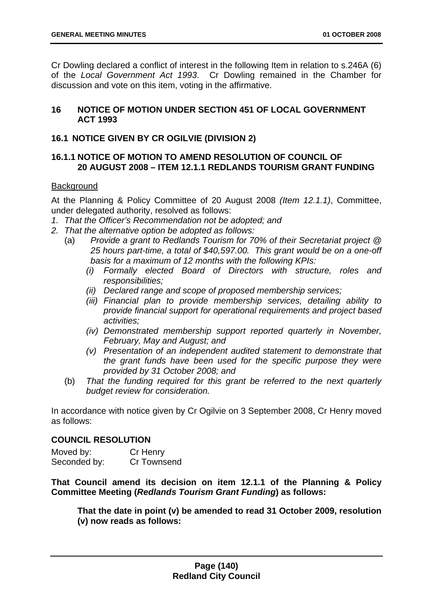Cr Dowling declared a conflict of interest in the following Item in relation to s.246A (6) of the *Local Government Act 1993*. Cr Dowling remained in the Chamber for discussion and vote on this item, voting in the affirmative.

## **16 NOTICE OF MOTION UNDER SECTION 451 OF LOCAL GOVERNMENT ACT 1993**

# **16.1 NOTICE GIVEN BY CR OGILVIE (DIVISION 2)**

## **16.1.1 NOTICE OF MOTION TO AMEND RESOLUTION OF COUNCIL OF 20 AUGUST 2008 – ITEM 12.1.1 REDLANDS TOURISM GRANT FUNDING**

## **Background**

At the Planning & Policy Committee of 20 August 2008 *(Item 12.1.1)*, Committee, under delegated authority, resolved as follows:

- *1. That the Officer's Recommendation not be adopted; and*
- *2. That the alternative option be adopted as follows:* 
	- (a) *Provide a grant to Redlands Tourism for 70% of their Secretariat project @ 25 hours part-time, a total of \$40,597.00. This grant would be on a one-off basis for a maximum of 12 months with the following KPIs:* 
		- *(i) Formally elected Board of Directors with structure, roles and responsibilities;*
		- *(ii) Declared range and scope of proposed membership services;*
		- *(iii) Financial plan to provide membership services, detailing ability to provide financial support for operational requirements and project based activities;*
		- *(iv) Demonstrated membership support reported quarterly in November, February, May and August; and*
		- *(v) Presentation of an independent audited statement to demonstrate that the grant funds have been used for the specific purpose they were provided by 31 October 2008; and*
	- (b) *That the funding required for this grant be referred to the next quarterly budget review for consideration.*

In accordance with notice given by Cr Ogilvie on 3 September 2008, Cr Henry moved as follows:

# **COUNCIL RESOLUTION**

Moved by: Cr Henry Seconded by: Cr Townsend

**That Council amend its decision on item 12.1.1 of the Planning & Policy Committee Meeting (***Redlands Tourism Grant Funding***) as follows:** 

**That the date in point (v) be amended to read 31 October 2009, resolution (v) now reads as follows:**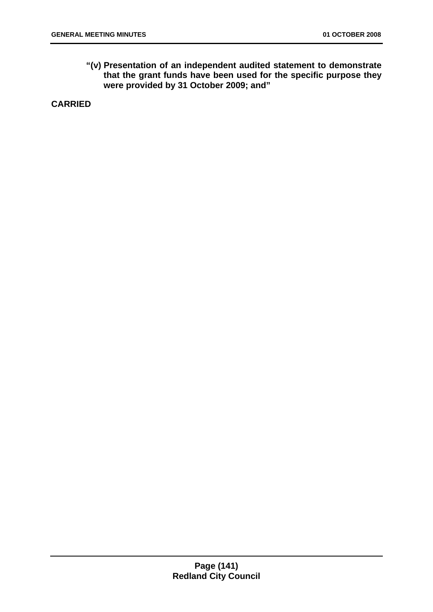**"(v) Presentation of an independent audited statement to demonstrate that the grant funds have been used for the specific purpose they were provided by 31 October 2009; and"** 

**CARRIED**